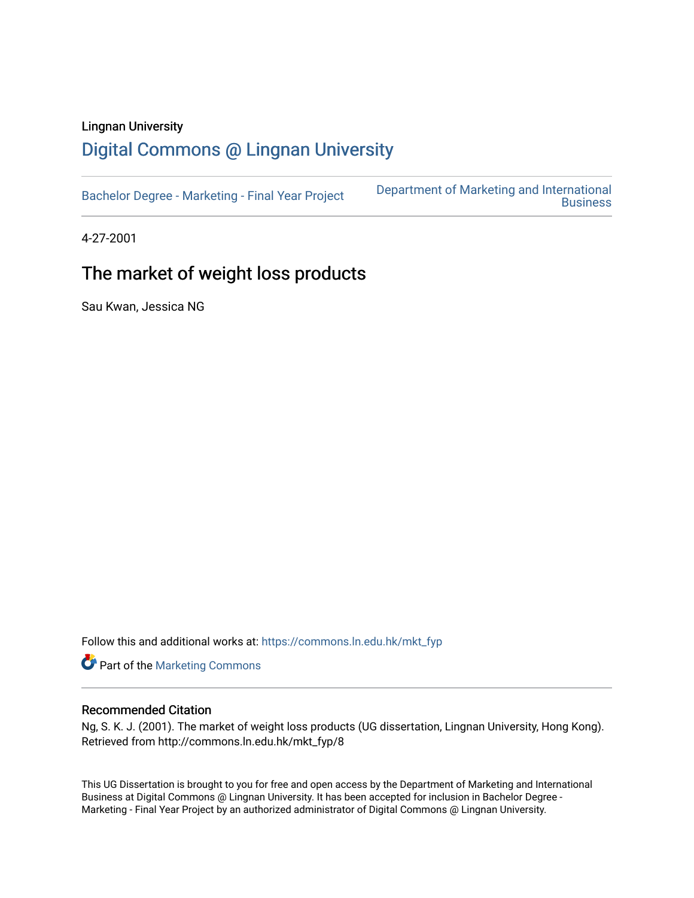### Lingnan University

# [Digital Commons @ Lingnan University](https://commons.ln.edu.hk/)

| Bachelor Degree - Marketing - Final Year Project | Department of Marketing and International<br><b>Business</b> |
|--------------------------------------------------|--------------------------------------------------------------|
|--------------------------------------------------|--------------------------------------------------------------|

4-27-2001

# The market of weight loss products

Sau Kwan, Jessica NG

Follow this and additional works at: [https://commons.ln.edu.hk/mkt\\_fyp](https://commons.ln.edu.hk/mkt_fyp?utm_source=commons.ln.edu.hk%2Fmkt_fyp%2F8&utm_medium=PDF&utm_campaign=PDFCoverPages) 

Part of the [Marketing Commons](http://network.bepress.com/hgg/discipline/638?utm_source=commons.ln.edu.hk%2Fmkt_fyp%2F8&utm_medium=PDF&utm_campaign=PDFCoverPages)

#### Recommended Citation

Ng, S. K. J. (2001). The market of weight loss products (UG dissertation, Lingnan University, Hong Kong). Retrieved from http://commons.ln.edu.hk/mkt\_fyp/8

This UG Dissertation is brought to you for free and open access by the Department of Marketing and International Business at Digital Commons @ Lingnan University. It has been accepted for inclusion in Bachelor Degree - Marketing - Final Year Project by an authorized administrator of Digital Commons @ Lingnan University.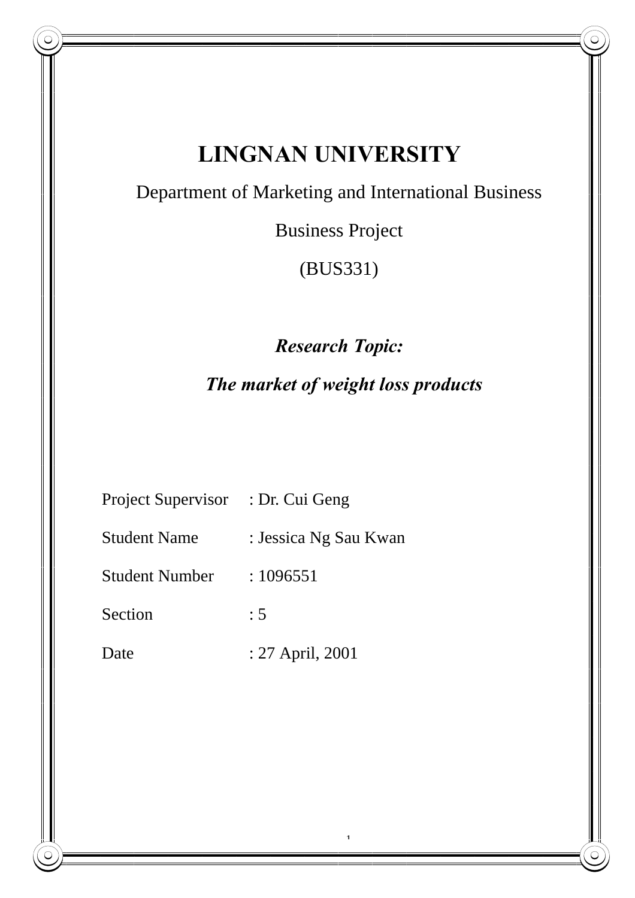|                                    | <b>LINGNAN UNIVERSITY</b>                          |
|------------------------------------|----------------------------------------------------|
|                                    | Department of Marketing and International Business |
|                                    | <b>Business Project</b>                            |
|                                    | (BUS331)                                           |
|                                    | <b>Research Topic:</b>                             |
| The market of weight loss products |                                                    |
|                                    |                                                    |
| Project Supervisor : Dr. Cui Geng  |                                                    |
| <b>Student Name</b>                | : Jessica Ng Sau Kwan                              |
| <b>Student Number</b>              | : 1096551                                          |
| Section                            | : 5                                                |
| Date                               | : 27 April, 2001                                   |
|                                    |                                                    |
|                                    |                                                    |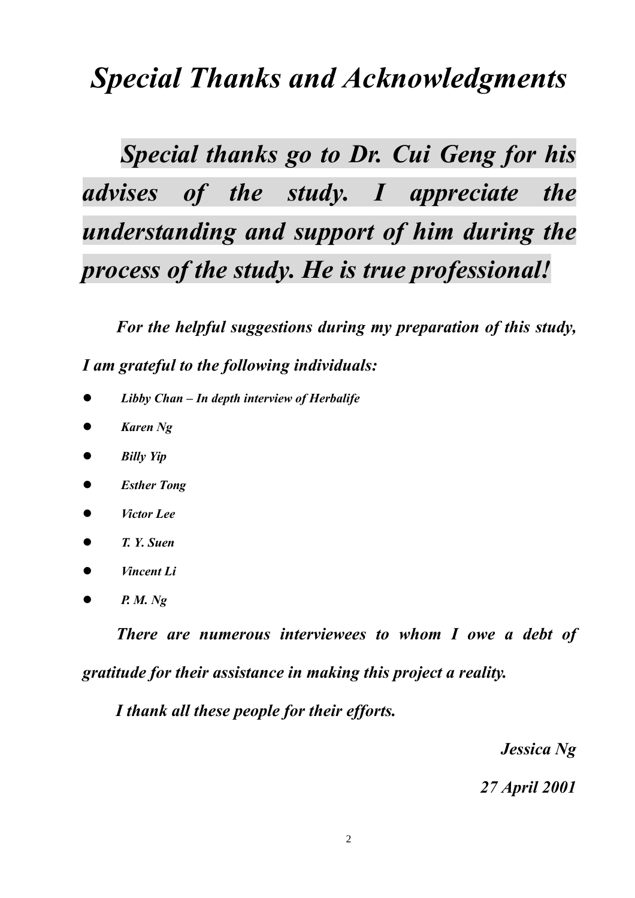# *Special Thanks and Acknowledgments*

*Special thanks go to Dr. Cui Geng for his advises of the study. I appreciate the understanding and support of him during the process of the study. He is true professional!*

 *For the helpful suggestions during my preparation of this study, I am grateful to the following individuals:*

- l *Libby Chan In depth interview of Herbalife*
- l *Karen Ng*
- **•** *Billy Yip*
- *Esther Tong*
- l *Victor Lee*
- l *T. Y. Suen*
- l *Vincent Li*
- $\bullet$  *P. M. Ng*

 *There are numerous interviewees to whom I owe a debt of gratitude for their assistance in making this project a reality.*

 *I thank all these people for their efforts.*

*Jessica Ng*

*27 April 2001*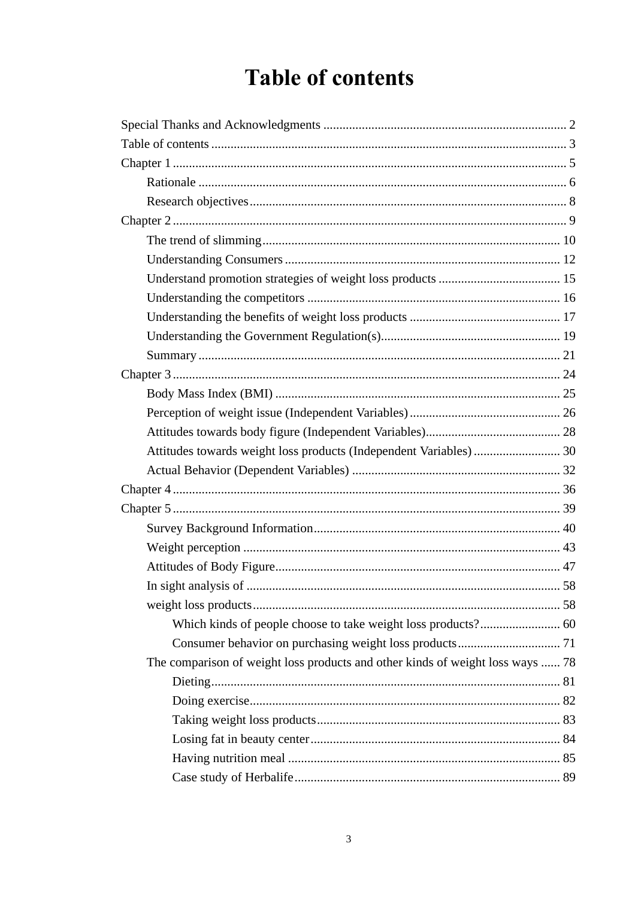# **Table of contents**

| The comparison of weight loss products and other kinds of weight loss ways  78 |
|--------------------------------------------------------------------------------|
|                                                                                |
|                                                                                |
|                                                                                |
|                                                                                |
|                                                                                |
|                                                                                |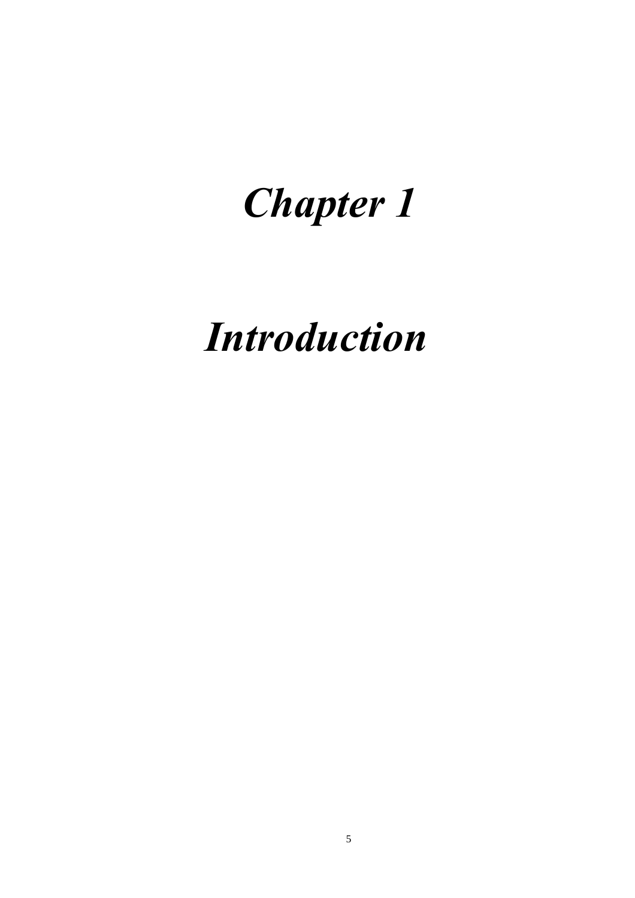# *Chapter 1*

# *Introduction*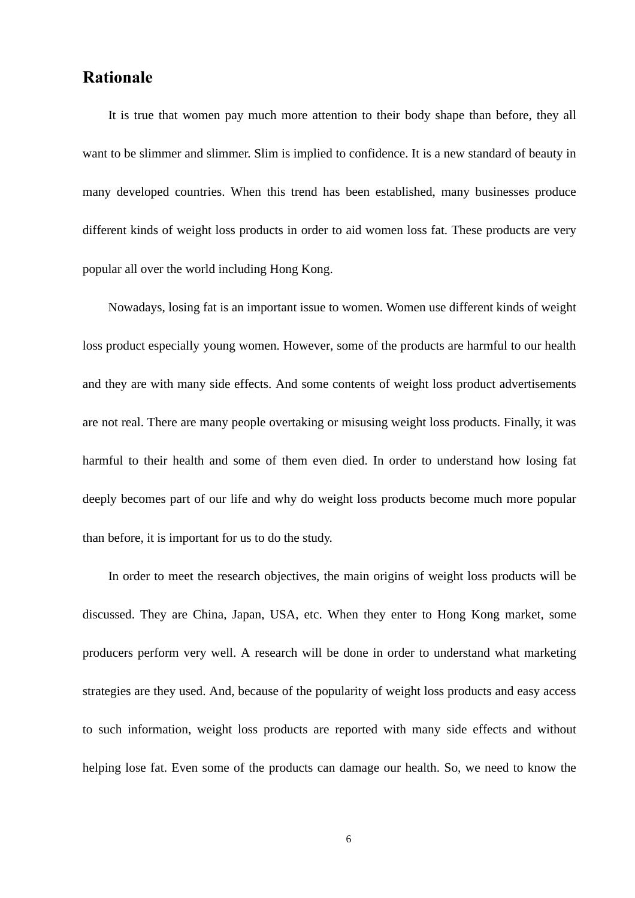### **Rationale**

 It is true that women pay much more attention to their body shape than before, they all want to be slimmer and slimmer. Slim is implied to confidence. It is a new standard of beauty in many developed countries. When this trend has been established, many businesses produce different kinds of weight loss products in order to aid women loss fat. These products are very popular all over the world including Hong Kong.

 Nowadays, losing fat is an important issue to women. Women use different kinds of weight loss product especially young women. However, some of the products are harmful to our health and they are with many side effects. And some contents of weight loss product advertisements are not real. There are many people overtaking or misusing weight loss products. Finally, it was harmful to their health and some of them even died. In order to understand how losing fat deeply becomes part of our life and why do weight loss products become much more popular than before, it is important for us to do the study.

 In order to meet the research objectives, the main origins of weight loss products will be discussed. They are China, Japan, USA, etc. When they enter to Hong Kong market, some producers perform very well. A research will be done in order to understand what marketing strategies are they used. And, because of the popularity of weight loss products and easy access to such information, weight loss products are reported with many side effects and without helping lose fat. Even some of the products can damage our health. So, we need to know the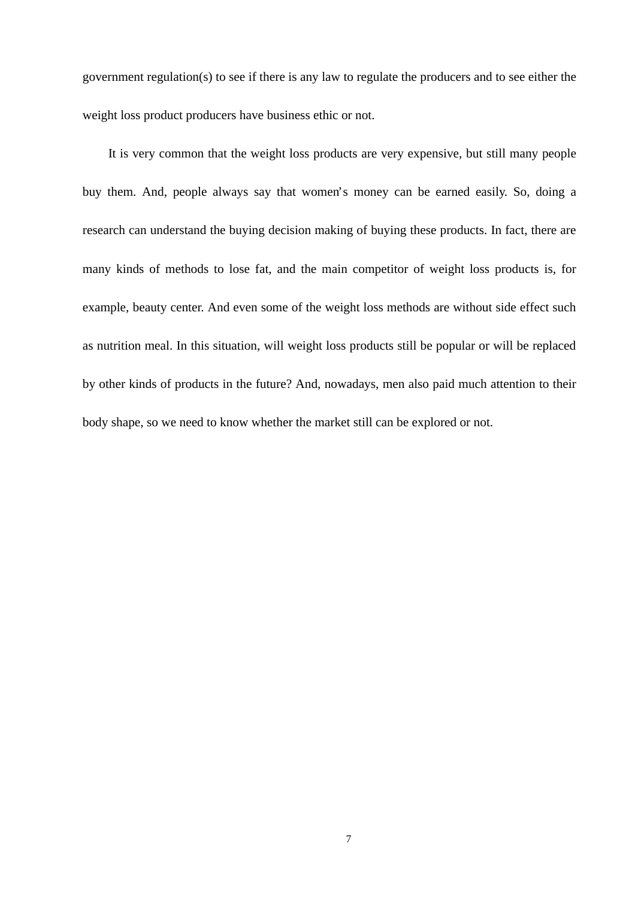government regulation(s) to see if there is any law to regulate the producers and to see either the weight loss product producers have business ethic or not.

 It is very common that the weight loss products are very expensive, but still many people buy them. And, people always say that women's money can be earned easily. So, doing a research can understand the buying decision making of buying these products. In fact, there are many kinds of methods to lose fat, and the main competitor of weight loss products is, for example, beauty center. And even some of the weight loss methods are without side effect such as nutrition meal. In this situation, will weight loss products still be popular or will be replaced by other kinds of products in the future? And, nowadays, men also paid much attention to their body shape, so we need to know whether the market still can be explored or not.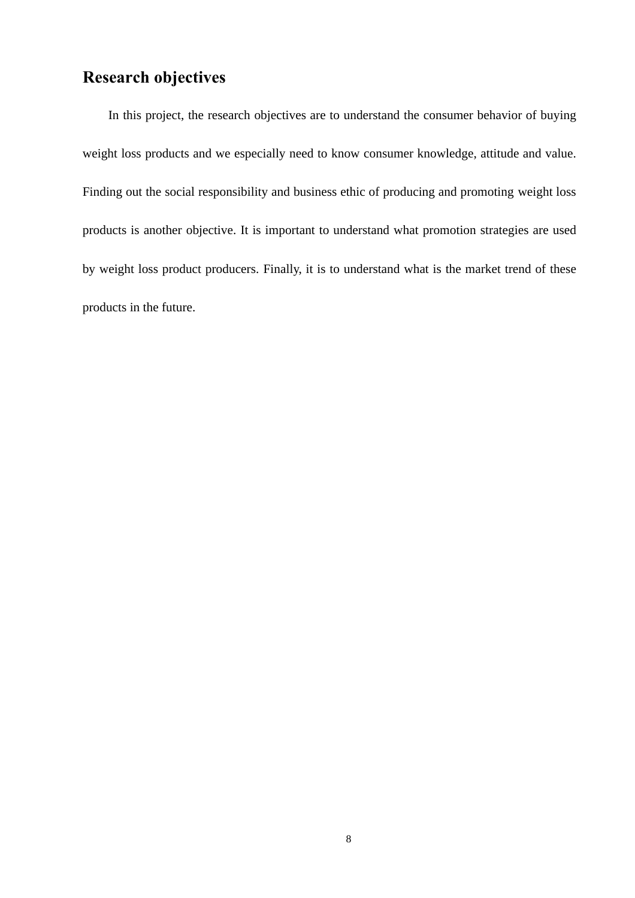# **Research objectives**

 In this project, the research objectives are to understand the consumer behavior of buying weight loss products and we especially need to know consumer knowledge, attitude and value. Finding out the social responsibility and business ethic of producing and promoting weight loss products is another objective. It is important to understand what promotion strategies are used by weight loss product producers. Finally, it is to understand what is the market trend of these products in the future.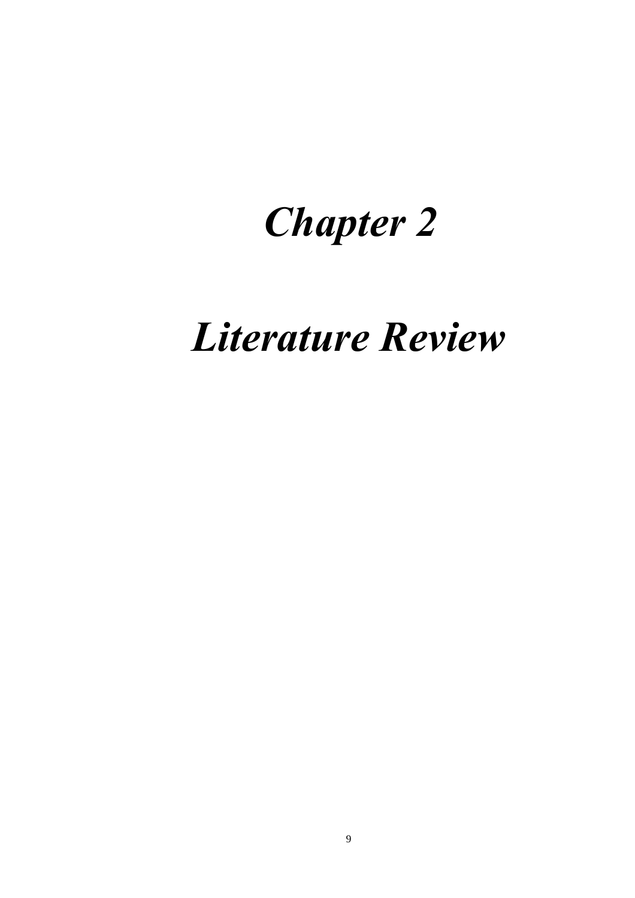# *Chapter 2*

# *Literature Review*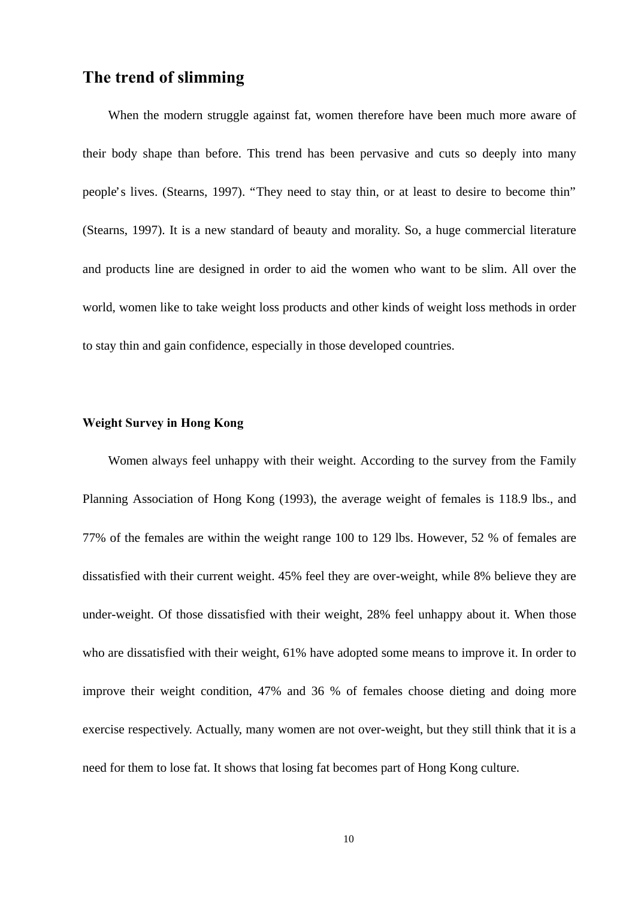# **The trend of slimming**

 When the modern struggle against fat, women therefore have been much more aware of their body shape than before. This trend has been pervasive and cuts so deeply into many people's lives. (Stearns, 1997). "They need to stay thin, or at least to desire to become thin" (Stearns, 1997). It is a new standard of beauty and morality. So, a huge commercial literature and products line are designed in order to aid the women who want to be slim. All over the world, women like to take weight loss products and other kinds of weight loss methods in order to stay thin and gain confidence, especially in those developed countries.

### **Weight Survey in Hong Kong**

 Women always feel unhappy with their weight. According to the survey from the Family Planning Association of Hong Kong (1993), the average weight of females is 118.9 lbs., and 77% of the females are within the weight range 100 to 129 lbs. However, 52 % of females are dissatisfied with their current weight. 45% feel they are over-weight, while 8% believe they are under-weight. Of those dissatisfied with their weight, 28% feel unhappy about it. When those who are dissatisfied with their weight, 61% have adopted some means to improve it. In order to improve their weight condition, 47% and 36 % of females choose dieting and doing more exercise respectively. Actually, many women are not over-weight, but they still think that it is a need for them to lose fat. It shows that losing fat becomes part of Hong Kong culture.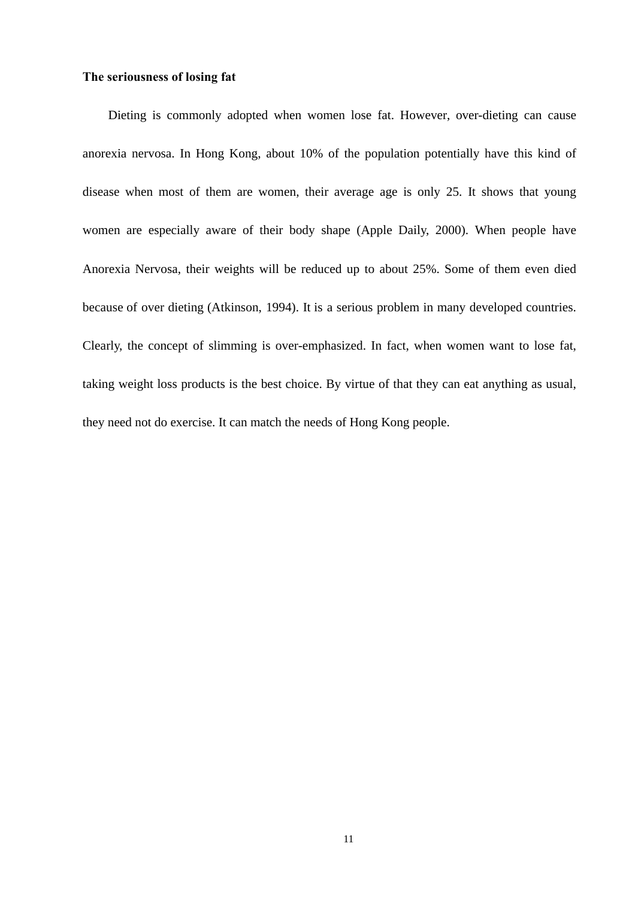### **The seriousness of losing fat**

 Dieting is commonly adopted when women lose fat. However, over-dieting can cause anorexia nervosa. In Hong Kong, about 10% of the population potentially have this kind of disease when most of them are women, their average age is only 25. It shows that young women are especially aware of their body shape (Apple Daily, 2000). When people have Anorexia Nervosa, their weights will be reduced up to about 25%. Some of them even died because of over dieting (Atkinson, 1994). It is a serious problem in many developed countries. Clearly, the concept of slimming is over-emphasized. In fact, when women want to lose fat, taking weight loss products is the best choice. By virtue of that they can eat anything as usual, they need not do exercise. It can match the needs of Hong Kong people.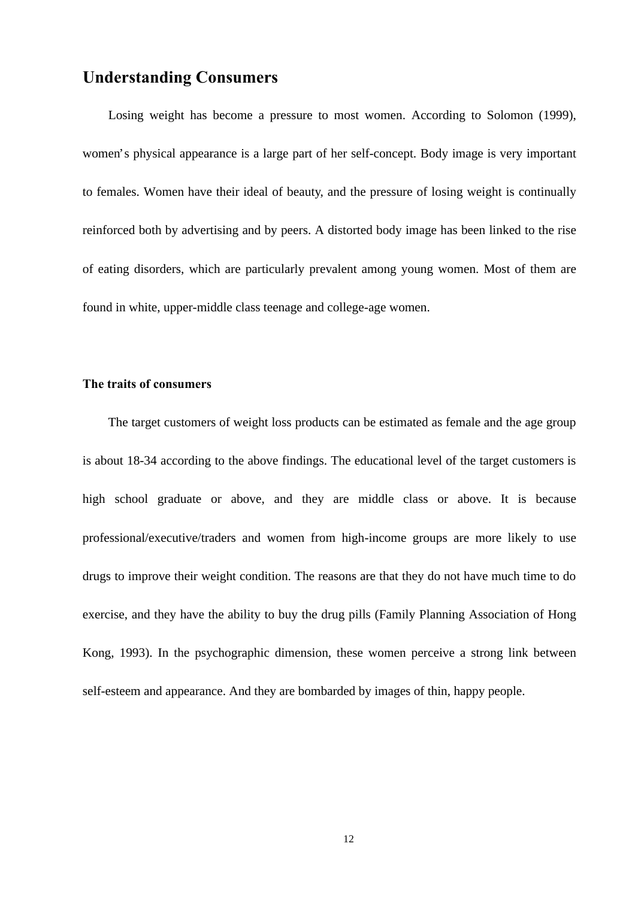# **Understanding Consumers**

 Losing weight has become a pressure to most women. According to Solomon (1999), women's physical appearance is a large part of her self-concept. Body image is very important to females. Women have their ideal of beauty, and the pressure of losing weight is continually reinforced both by advertising and by peers. A distorted body image has been linked to the rise of eating disorders, which are particularly prevalent among young women. Most of them are found in white, upper-middle class teenage and college-age women.

### **The traits of consumers**

 The target customers of weight loss products can be estimated as female and the age group is about 18-34 according to the above findings. The educational level of the target customers is high school graduate or above, and they are middle class or above. It is because professional/executive/traders and women from high-income groups are more likely to use drugs to improve their weight condition. The reasons are that they do not have much time to do exercise, and they have the ability to buy the drug pills (Family Planning Association of Hong Kong, 1993). In the psychographic dimension, these women perceive a strong link between self-esteem and appearance. And they are bombarded by images of thin, happy people.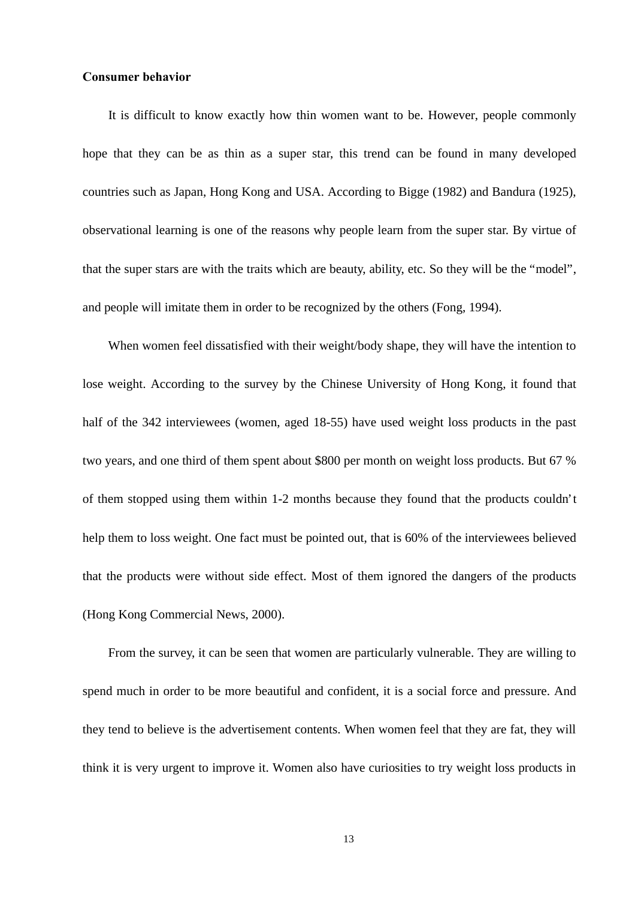### **Consumer behavior**

 It is difficult to know exactly how thin women want to be. However, people commonly hope that they can be as thin as a super star, this trend can be found in many developed countries such as Japan, Hong Kong and USA. According to Bigge (1982) and Bandura (1925), observational learning is one of the reasons why people learn from the super star. By virtue of that the super stars are with the traits which are beauty, ability, etc. So they will be the "model", and people will imitate them in order to be recognized by the others (Fong, 1994).

 When women feel dissatisfied with their weight/body shape, they will have the intention to lose weight. According to the survey by the Chinese University of Hong Kong, it found that half of the 342 interviewees (women, aged 18-55) have used weight loss products in the past two years, and one third of them spent about \$800 per month on weight loss products. But 67 % of them stopped using them within 1-2 months because they found that the products couldn't help them to loss weight. One fact must be pointed out, that is 60% of the interviewees believed that the products were without side effect. Most of them ignored the dangers of the products (Hong Kong Commercial News, 2000).

 From the survey, it can be seen that women are particularly vulnerable. They are willing to spend much in order to be more beautiful and confident, it is a social force and pressure. And they tend to believe is the advertisement contents. When women feel that they are fat, they will think it is very urgent to improve it. Women also have curiosities to try weight loss products in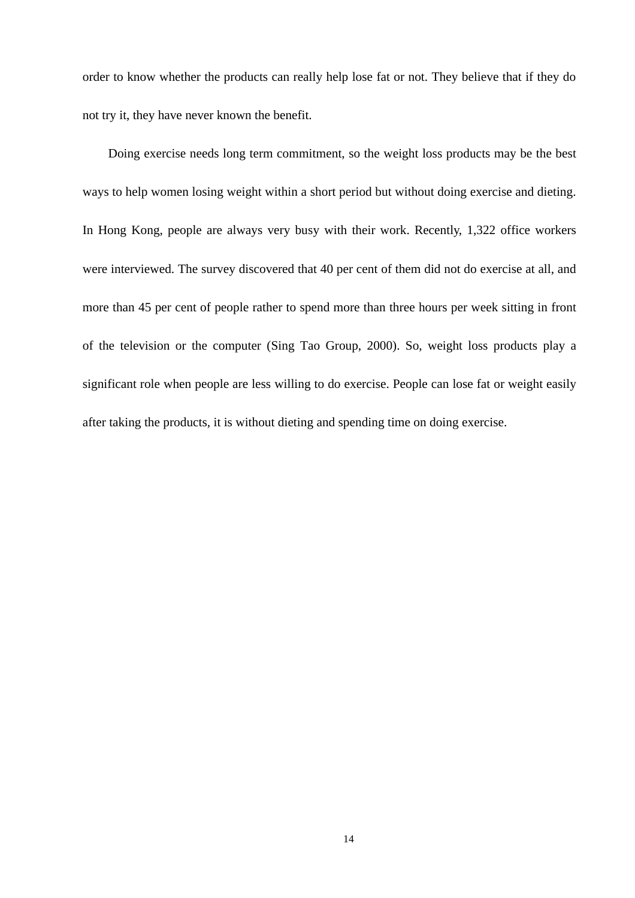order to know whether the products can really help lose fat or not. They believe that if they do not try it, they have never known the benefit.

 Doing exercise needs long term commitment, so the weight loss products may be the best ways to help women losing weight within a short period but without doing exercise and dieting. In Hong Kong, people are always very busy with their work. Recently, 1,322 office workers were interviewed. The survey discovered that 40 per cent of them did not do exercise at all, and more than 45 per cent of people rather to spend more than three hours per week sitting in front of the television or the computer (Sing Tao Group, 2000). So, weight loss products play a significant role when people are less willing to do exercise. People can lose fat or weight easily after taking the products, it is without dieting and spending time on doing exercise.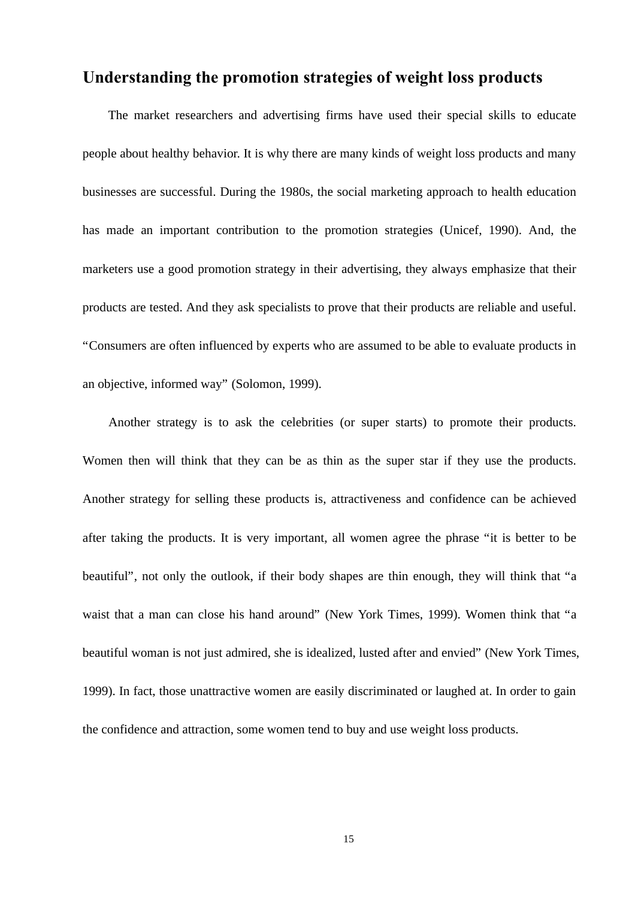## **Understanding the promotion strategies of weight loss products**

 The market researchers and advertising firms have used their special skills to educate people about healthy behavior. It is why there are many kinds of weight loss products and many businesses are successful. During the 1980s, the social marketing approach to health education has made an important contribution to the promotion strategies (Unicef, 1990). And, the marketers use a good promotion strategy in their advertising, they always emphasize that their products are tested. And they ask specialists to prove that their products are reliable and useful. "Consumers are often influenced by experts who are assumed to be able to evaluate products in an objective, informed way" (Solomon, 1999).

 Another strategy is to ask the celebrities (or super starts) to promote their products. Women then will think that they can be as thin as the super star if they use the products. Another strategy for selling these products is, attractiveness and confidence can be achieved after taking the products. It is very important, all women agree the phrase "it is better to be beautiful", not only the outlook, if their body shapes are thin enough, they will think that "a waist that a man can close his hand around" (New York Times, 1999). Women think that "a beautiful woman is not just admired, she is idealized, lusted after and envied" (New York Times, 1999). In fact, those unattractive women are easily discriminated or laughed at. In order to gain the confidence and attraction, some women tend to buy and use weight loss products.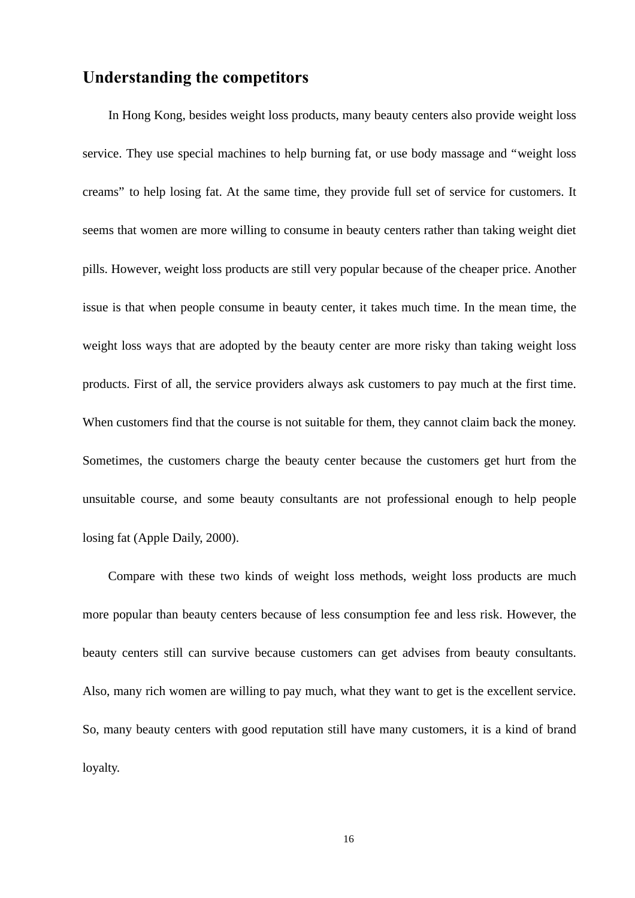## **Understanding the competitors**

 In Hong Kong, besides weight loss products, many beauty centers also provide weight loss service. They use special machines to help burning fat, or use body massage and "weight loss creams" to help losing fat. At the same time, they provide full set of service for customers. It seems that women are more willing to consume in beauty centers rather than taking weight diet pills. However, weight loss products are still very popular because of the cheaper price. Another issue is that when people consume in beauty center, it takes much time. In the mean time, the weight loss ways that are adopted by the beauty center are more risky than taking weight loss products. First of all, the service providers always ask customers to pay much at the first time. When customers find that the course is not suitable for them, they cannot claim back the money. Sometimes, the customers charge the beauty center because the customers get hurt from the unsuitable course, and some beauty consultants are not professional enough to help people losing fat (Apple Daily, 2000).

 Compare with these two kinds of weight loss methods, weight loss products are much more popular than beauty centers because of less consumption fee and less risk. However, the beauty centers still can survive because customers can get advises from beauty consultants. Also, many rich women are willing to pay much, what they want to get is the excellent service. So, many beauty centers with good reputation still have many customers, it is a kind of brand loyalty.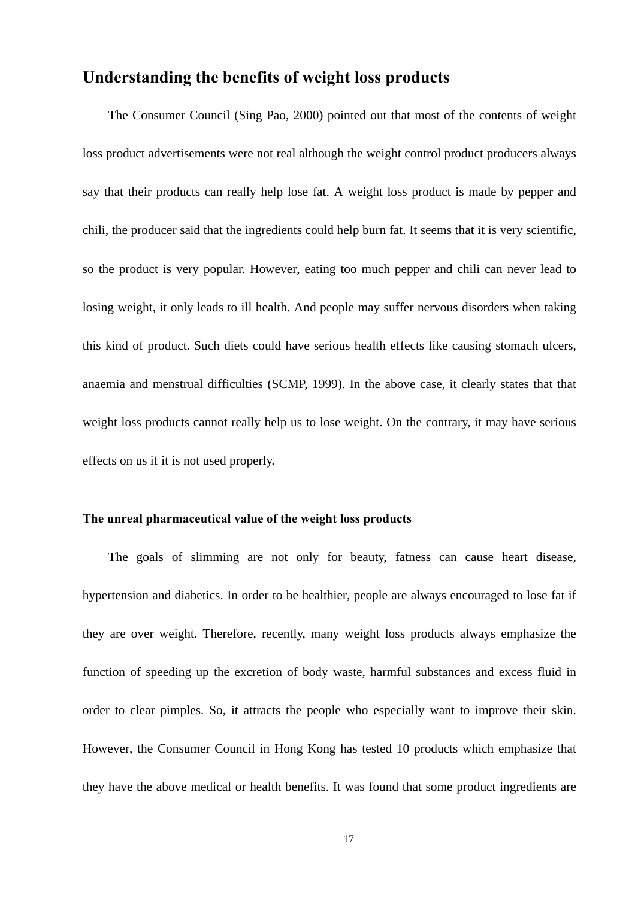# **Understanding the benefits of weight loss products**

 The Consumer Council (Sing Pao, 2000) pointed out that most of the contents of weight loss product advertisements were not real although the weight control product producers always say that their products can really help lose fat. A weight loss product is made by pepper and chili, the producer said that the ingredients could help burn fat. It seems that it is very scientific, so the product is very popular. However, eating too much pepper and chili can never lead to losing weight, it only leads to ill health. And people may suffer nervous disorders when taking this kind of product. Such diets could have serious health effects like causing stomach ulcers, anaemia and menstrual difficulties (SCMP, 1999). In the above case, it clearly states that that weight loss products cannot really help us to lose weight. On the contrary, it may have serious effects on us if it is not used properly.

### **The unreal pharmaceutical value of the weight loss products**

 The goals of slimming are not only for beauty, fatness can cause heart disease, hypertension and diabetics. In order to be healthier, people are always encouraged to lose fat if they are over weight. Therefore, recently, many weight loss products always emphasize the function of speeding up the excretion of body waste, harmful substances and excess fluid in order to clear pimples. So, it attracts the people who especially want to improve their skin. However, the Consumer Council in Hong Kong has tested 10 products which emphasize that they have the above medical or health benefits. It was found that some product ingredients are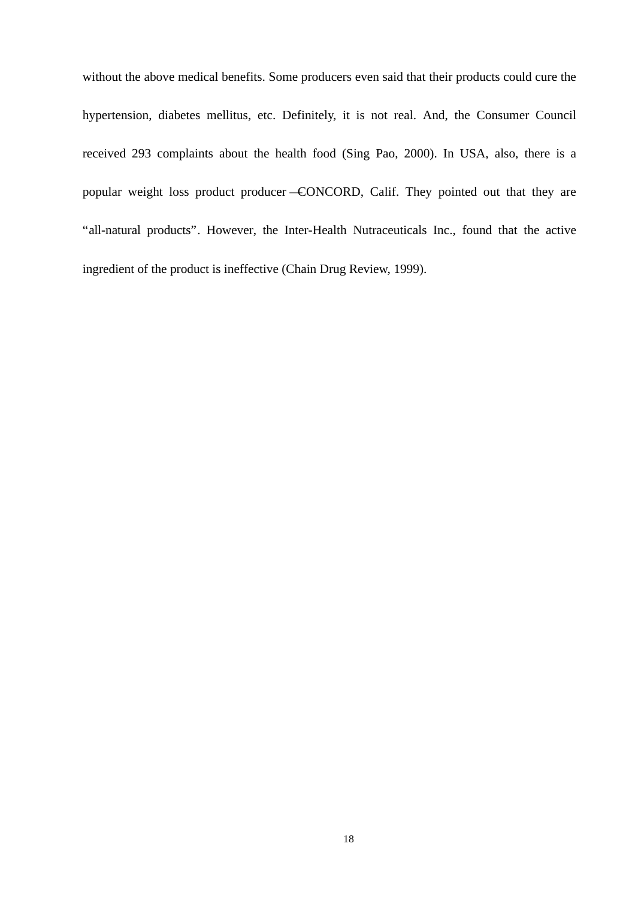without the above medical benefits. Some producers even said that their products could cure the hypertension, diabetes mellitus, etc. Definitely, it is not real. And, the Consumer Council received 293 complaints about the health food (Sing Pao, 2000). In USA, also, there is a popular weight loss product producer —CONCORD, Calif. They pointed out that they are "all-natural products". However, the Inter-Health Nutraceuticals Inc., found that the active ingredient of the product is ineffective (Chain Drug Review, 1999).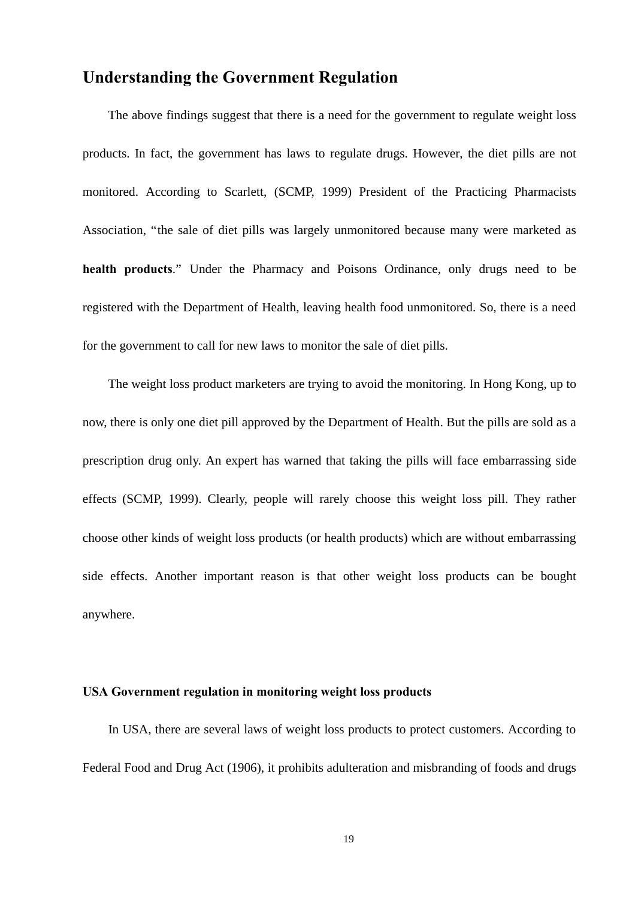### **Understanding the Government Regulation**

 The above findings suggest that there is a need for the government to regulate weight loss products. In fact, the government has laws to regulate drugs. However, the diet pills are not monitored. According to Scarlett, (SCMP, 1999) President of the Practicing Pharmacists Association, "the sale of diet pills was largely unmonitored because many were marketed as **health products**." Under the Pharmacy and Poisons Ordinance, only drugs need to be registered with the Department of Health, leaving health food unmonitored. So, there is a need for the government to call for new laws to monitor the sale of diet pills.

 The weight loss product marketers are trying to avoid the monitoring. In Hong Kong, up to now, there is only one diet pill approved by the Department of Health. But the pills are sold as a prescription drug only. An expert has warned that taking the pills will face embarrassing side effects (SCMP, 1999). Clearly, people will rarely choose this weight loss pill. They rather choose other kinds of weight loss products (or health products) which are without embarrassing side effects. Another important reason is that other weight loss products can be bought anywhere.

#### **USA Government regulation in monitoring weight loss products**

 In USA, there are several laws of weight loss products to protect customers. According to Federal Food and Drug Act (1906), it prohibits adulteration and misbranding of foods and drugs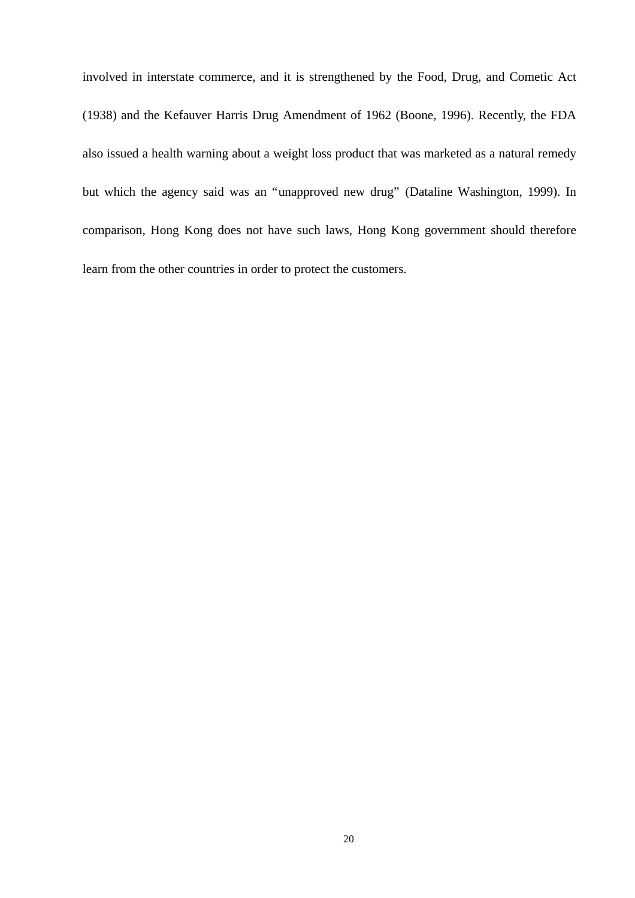involved in interstate commerce, and it is strengthened by the Food, Drug, and Cometic Act (1938) and the Kefauver Harris Drug Amendment of 1962 (Boone, 1996). Recently, the FDA also issued a health warning about a weight loss product that was marketed as a natural remedy but which the agency said was an "unapproved new drug" (Dataline Washington, 1999). In comparison, Hong Kong does not have such laws, Hong Kong government should therefore learn from the other countries in order to protect the customers.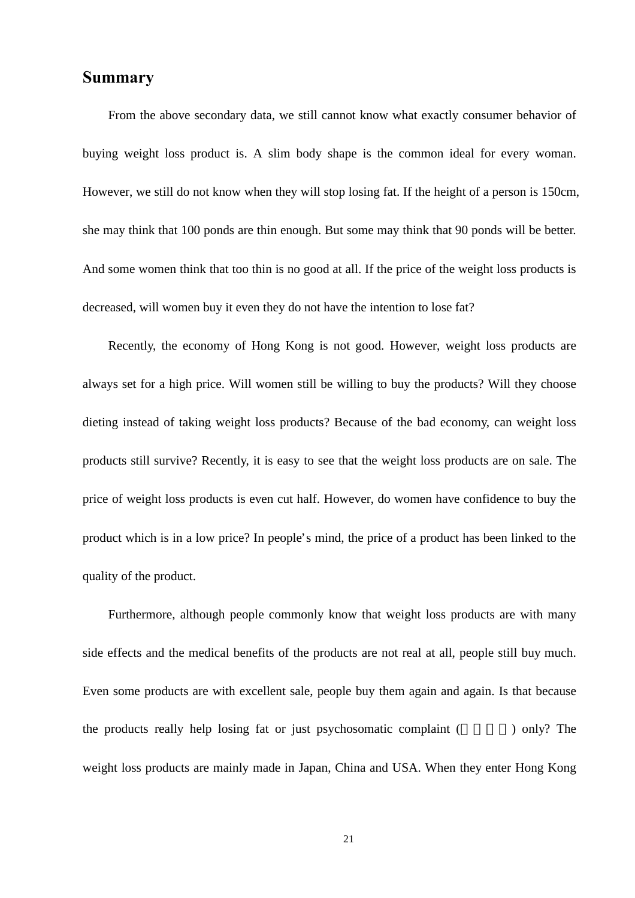### **Summary**

 From the above secondary data, we still cannot know what exactly consumer behavior of buying weight loss product is. A slim body shape is the common ideal for every woman. However, we still do not know when they will stop losing fat. If the height of a person is 150cm, she may think that 100 ponds are thin enough. But some may think that 90 ponds will be better. And some women think that too thin is no good at all. If the price of the weight loss products is decreased, will women buy it even they do not have the intention to lose fat?

 Recently, the economy of Hong Kong is not good. However, weight loss products are always set for a high price. Will women still be willing to buy the products? Will they choose dieting instead of taking weight loss products? Because of the bad economy, can weight loss products still survive? Recently, it is easy to see that the weight loss products are on sale. The price of weight loss products is even cut half. However, do women have confidence to buy the product which is in a low price? In people's mind, the price of a product has been linked to the quality of the product.

 Furthermore, although people commonly know that weight loss products are with many side effects and the medical benefits of the products are not real at all, people still buy much. Even some products are with excellent sale, people buy them again and again. Is that because the products really help losing fat or just psychosomatic complaint (network) only? The weight loss products are mainly made in Japan, China and USA. When they enter Hong Kong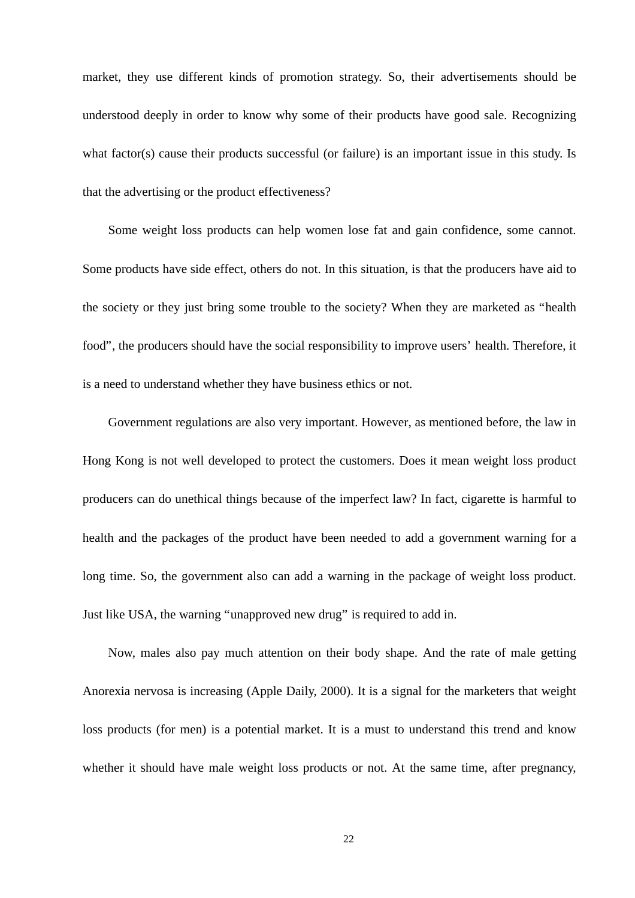market, they use different kinds of promotion strategy. So, their advertisements should be understood deeply in order to know why some of their products have good sale. Recognizing what factor(s) cause their products successful (or failure) is an important issue in this study. Is that the advertising or the product effectiveness?

 Some weight loss products can help women lose fat and gain confidence, some cannot. Some products have side effect, others do not. In this situation, is that the producers have aid to the society or they just bring some trouble to the society? When they are marketed as "health food", the producers should have the social responsibility to improve users' health. Therefore, it is a need to understand whether they have business ethics or not.

 Government regulations are also very important. However, as mentioned before, the law in Hong Kong is not well developed to protect the customers. Does it mean weight loss product producers can do unethical things because of the imperfect law? In fact, cigarette is harmful to health and the packages of the product have been needed to add a government warning for a long time. So, the government also can add a warning in the package of weight loss product. Just like USA, the warning "unapproved new drug" is required to add in.

 Now, males also pay much attention on their body shape. And the rate of male getting Anorexia nervosa is increasing (Apple Daily, 2000). It is a signal for the marketers that weight loss products (for men) is a potential market. It is a must to understand this trend and know whether it should have male weight loss products or not. At the same time, after pregnancy,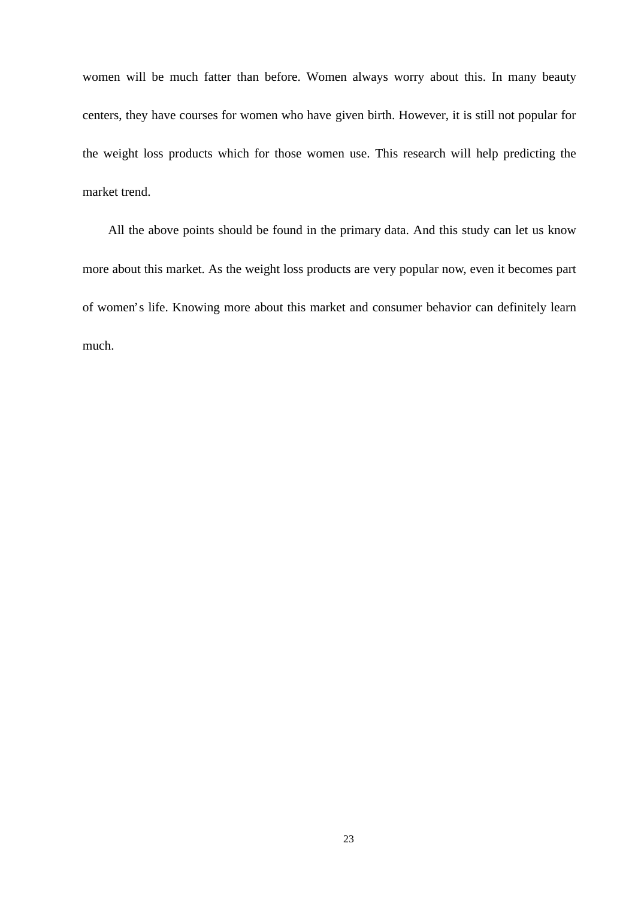women will be much fatter than before. Women always worry about this. In many beauty centers, they have courses for women who have given birth. However, it is still not popular for the weight loss products which for those women use. This research will help predicting the market trend.

 All the above points should be found in the primary data. And this study can let us know more about this market. As the weight loss products are very popular now, even it becomes part of women's life. Knowing more about this market and consumer behavior can definitely learn much.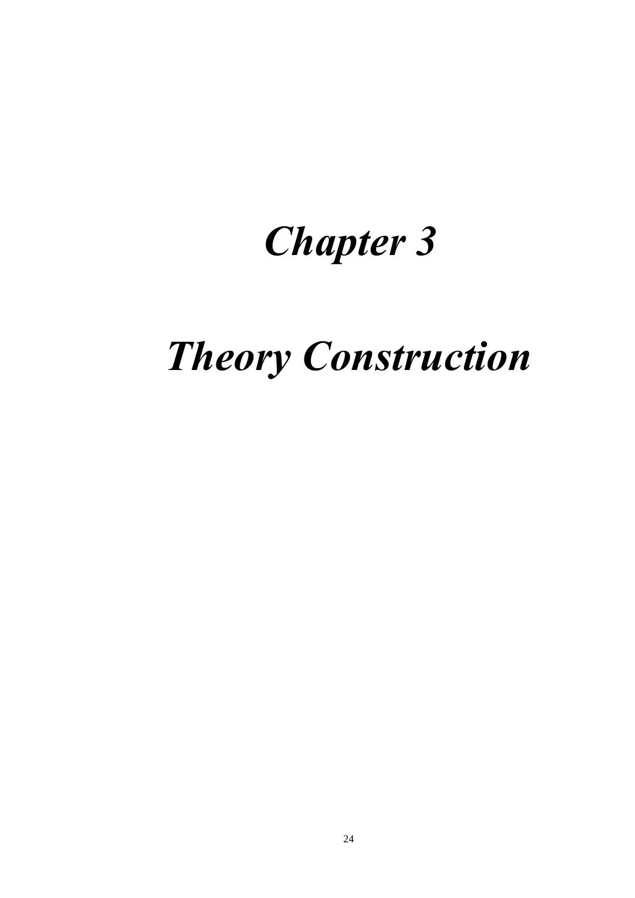# *Chapter 3*

# *Theory Construction*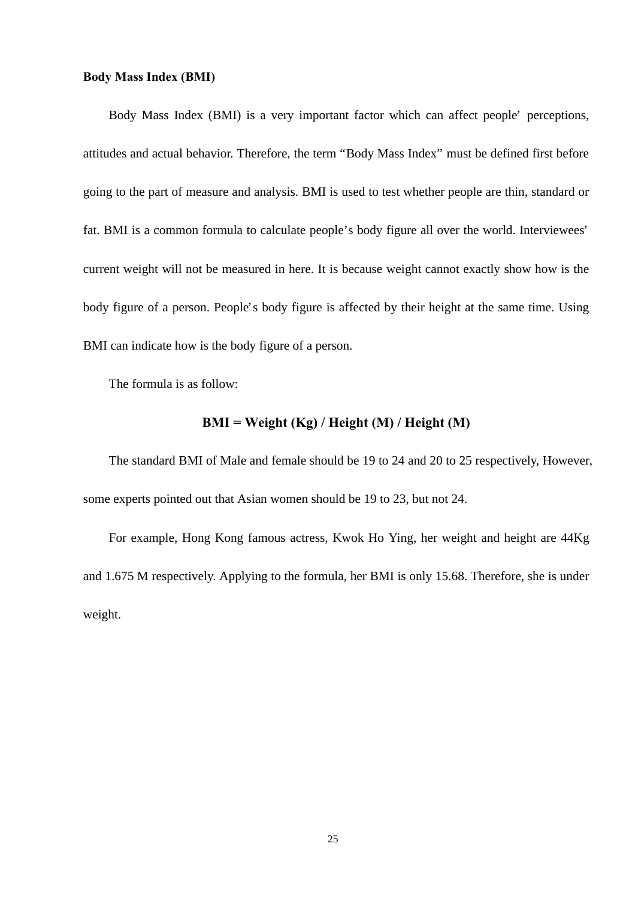### **Body Mass Index (BMI)**

 Body Mass Index (BMI) is a very important factor which can affect people' perceptions, attitudes and actual behavior. Therefore, the term "Body Mass Index" must be defined first before going to the part of measure and analysis. BMI is used to test whether people are thin, standard or fat. BMI is a common formula to calculate people's body figure all over the world. Interviewees' current weight will not be measured in here. It is because weight cannot exactly show how is the body figure of a person. People's body figure is affected by their height at the same time. Using BMI can indicate how is the body figure of a person.

The formula is as follow:

### **BMI = Weight (Kg) / Height (M) / Height (M)**

 The standard BMI of Male and female should be 19 to 24 and 20 to 25 respectively, However, some experts pointed out that Asian women should be 19 to 23, but not 24.

 For example, Hong Kong famous actress, Kwok Ho Ying, her weight and height are 44Kg and 1.675 M respectively. Applying to the formula, her BMI is only 15.68. Therefore, she is under weight.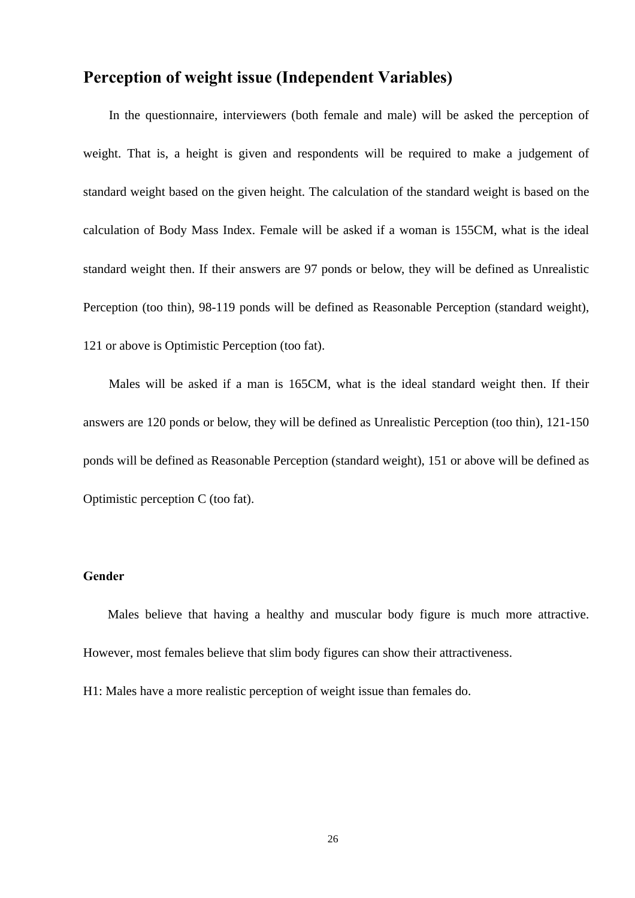# **Perception of weight issue (Independent Variables)**

 In the questionnaire, interviewers (both female and male) will be asked the perception of weight. That is, a height is given and respondents will be required to make a judgement of standard weight based on the given height. The calculation of the standard weight is based on the calculation of Body Mass Index. Female will be asked if a woman is 155CM, what is the ideal standard weight then. If their answers are 97 ponds or below, they will be defined as Unrealistic Perception (too thin), 98-119 ponds will be defined as Reasonable Perception (standard weight), 121 or above is Optimistic Perception (too fat).

 Males will be asked if a man is 165CM, what is the ideal standard weight then. If their answers are 120 ponds or below, they will be defined as Unrealistic Perception (too thin), 121-150 ponds will be defined as Reasonable Perception (standard weight), 151 or above will be defined as Optimistic perception C (too fat).

### **Gender**

 Males believe that having a healthy and muscular body figure is much more attractive. However, most females believe that slim body figures can show their attractiveness.

H1: Males have a more realistic perception of weight issue than females do.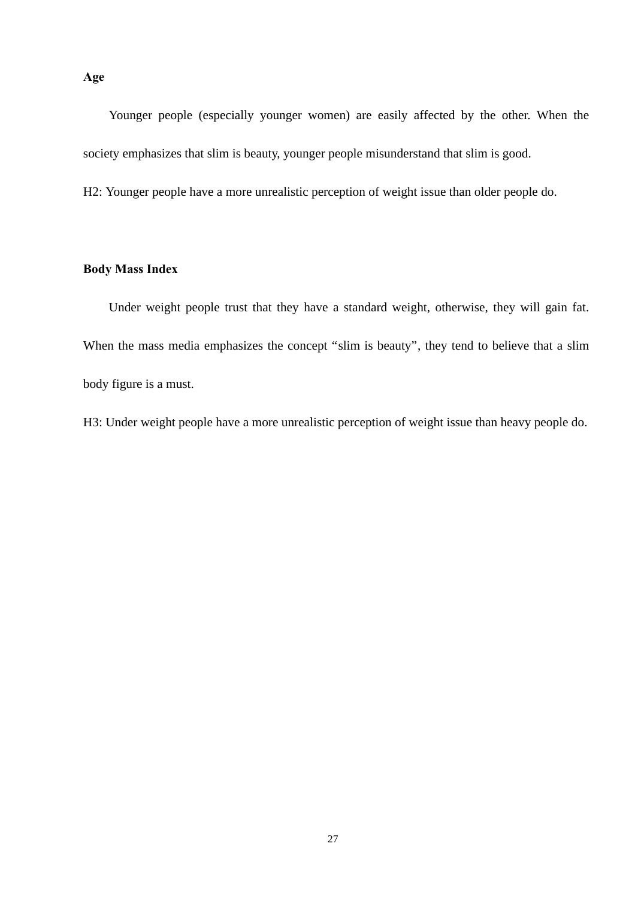Younger people (especially younger women) are easily affected by the other. When the society emphasizes that slim is beauty, younger people misunderstand that slim is good.

H2: Younger people have a more unrealistic perception of weight issue than older people do.

### **Body Mass Index**

 Under weight people trust that they have a standard weight, otherwise, they will gain fat. When the mass media emphasizes the concept "slim is beauty", they tend to believe that a slim body figure is a must.

H3: Under weight people have a more unrealistic perception of weight issue than heavy people do.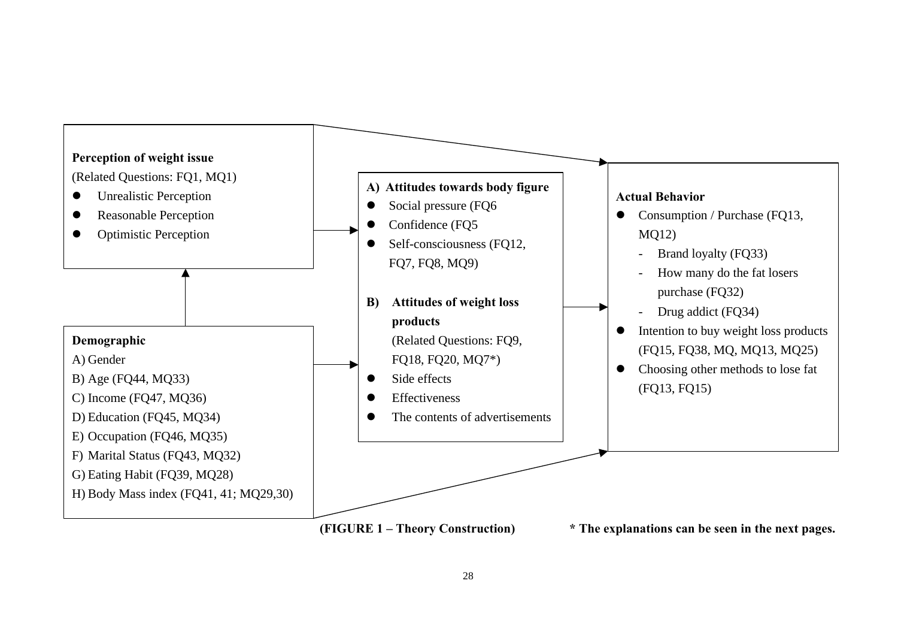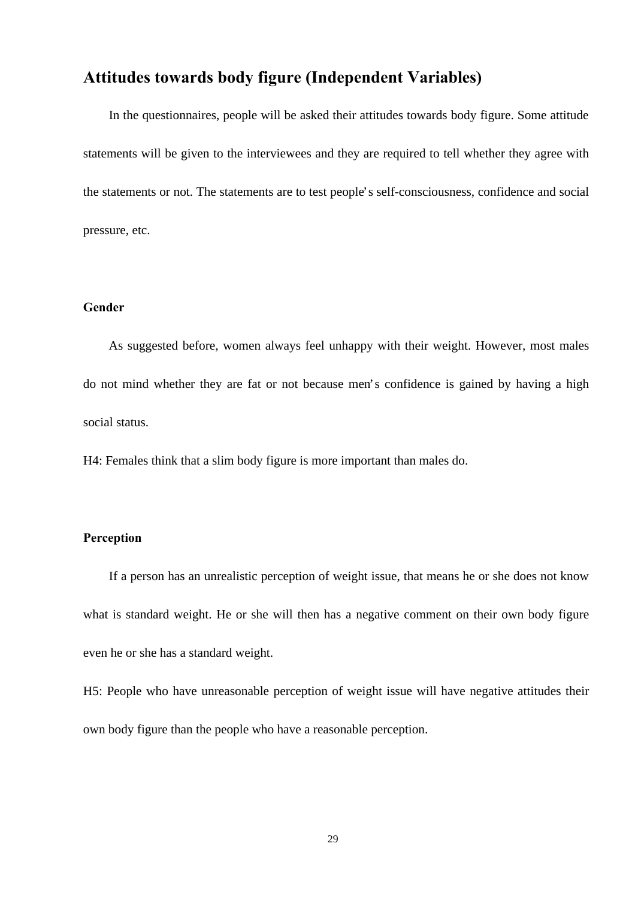# **Attitudes towards body figure (Independent Variables)**

 In the questionnaires, people will be asked their attitudes towards body figure. Some attitude statements will be given to the interviewees and they are required to tell whether they agree with the statements or not. The statements are to test people's self-consciousness, confidence and social pressure, etc.

### **Gender**

As suggested before, women always feel unhappy with their weight. However, most males do not mind whether they are fat or not because men's confidence is gained by having a high social status.

H4: Females think that a slim body figure is more important than males do.

### **Perception**

If a person has an unrealistic perception of weight issue, that means he or she does not know what is standard weight. He or she will then has a negative comment on their own body figure even he or she has a standard weight.

H5: People who have unreasonable perception of weight issue will have negative attitudes their own body figure than the people who have a reasonable perception.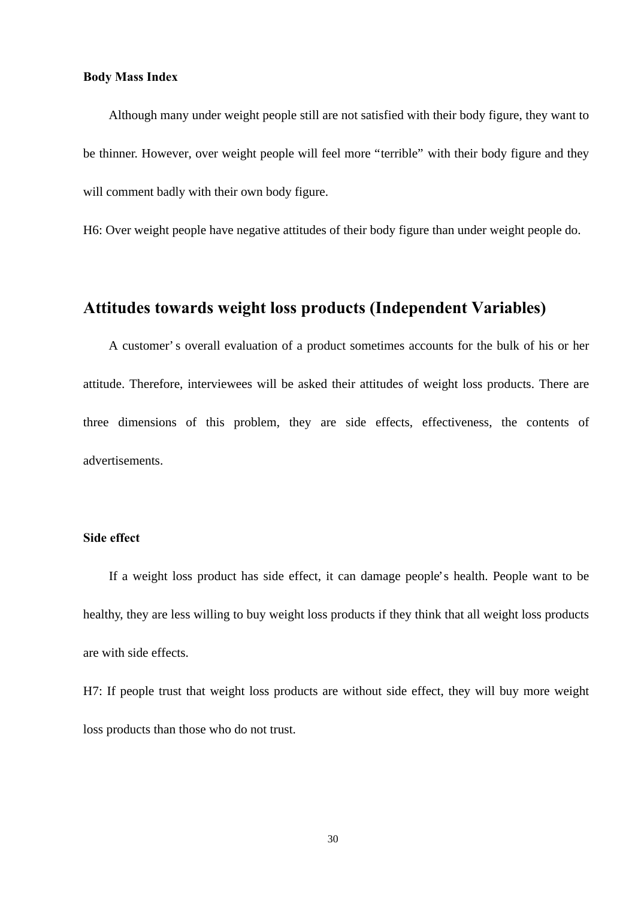### **Body Mass Index**

 Although many under weight people still are not satisfied with their body figure, they want to be thinner. However, over weight people will feel more "terrible" with their body figure and they will comment badly with their own body figure.

H6: Over weight people have negative attitudes of their body figure than under weight people do.

# **Attitudes towards weight loss products (Independent Variables)**

 A customer's overall evaluation of a product sometimes accounts for the bulk of his or her attitude. Therefore, interviewees will be asked their attitudes of weight loss products. There are three dimensions of this problem, they are side effects, effectiveness, the contents of advertisements.

### **Side effect**

 If a weight loss product has side effect, it can damage people's health. People want to be healthy, they are less willing to buy weight loss products if they think that all weight loss products are with side effects.

H7: If people trust that weight loss products are without side effect, they will buy more weight loss products than those who do not trust.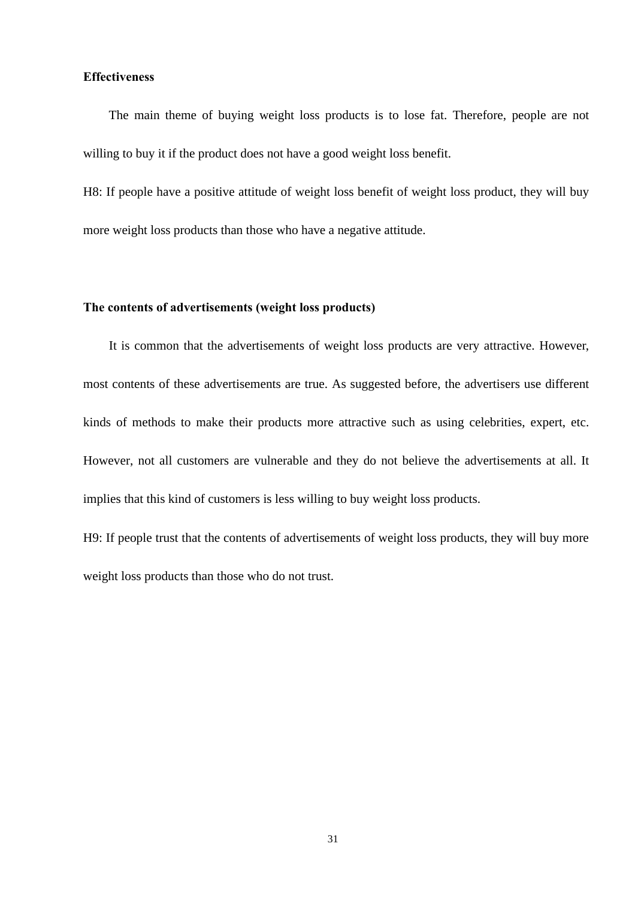### **Effectiveness**

 The main theme of buying weight loss products is to lose fat. Therefore, people are not willing to buy it if the product does not have a good weight loss benefit.

H8: If people have a positive attitude of weight loss benefit of weight loss product, they will buy more weight loss products than those who have a negative attitude.

### **The contents of advertisements (weight loss products)**

It is common that the advertisements of weight loss products are very attractive. However, most contents of these advertisements are true. As suggested before, the advertisers use different kinds of methods to make their products more attractive such as using celebrities, expert, etc. However, not all customers are vulnerable and they do not believe the advertisements at all. It implies that this kind of customers is less willing to buy weight loss products.

H9: If people trust that the contents of advertisements of weight loss products, they will buy more weight loss products than those who do not trust.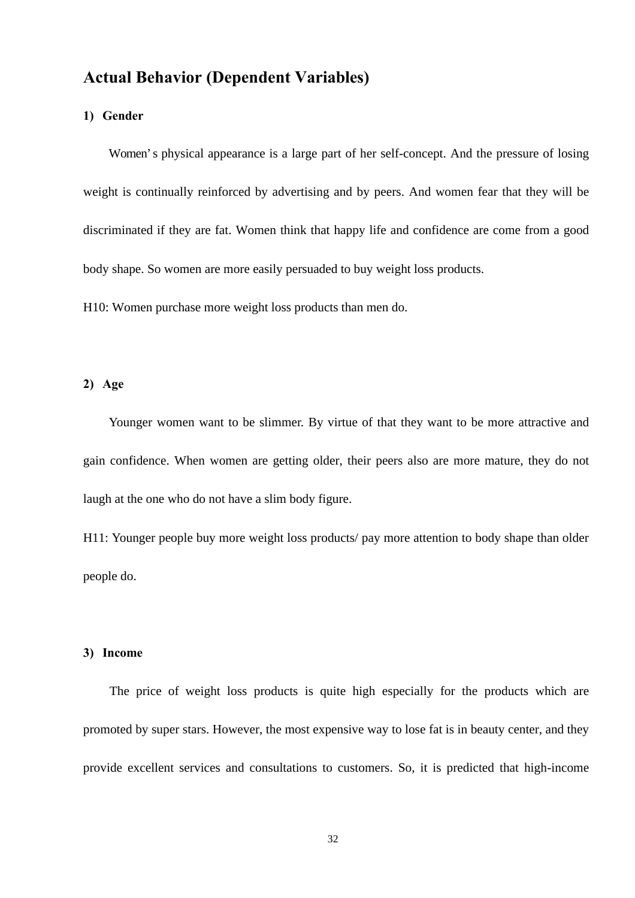# **Actual Behavior (Dependent Variables)**

### **1) Gender**

 Women's physical appearance is a large part of her self-concept. And the pressure of losing weight is continually reinforced by advertising and by peers. And women fear that they will be discriminated if they are fat. Women think that happy life and confidence are come from a good body shape. So women are more easily persuaded to buy weight loss products.

H10: Women purchase more weight loss products than men do.

### **2) Age**

 Younger women want to be slimmer. By virtue of that they want to be more attractive and gain confidence. When women are getting older, their peers also are more mature, they do not laugh at the one who do not have a slim body figure.

H11: Younger people buy more weight loss products/ pay more attention to body shape than older people do.

#### **3) Income**

 The price of weight loss products is quite high especially for the products which are promoted by super stars. However, the most expensive way to lose fat is in beauty center, and they provide excellent services and consultations to customers. So, it is predicted that high-income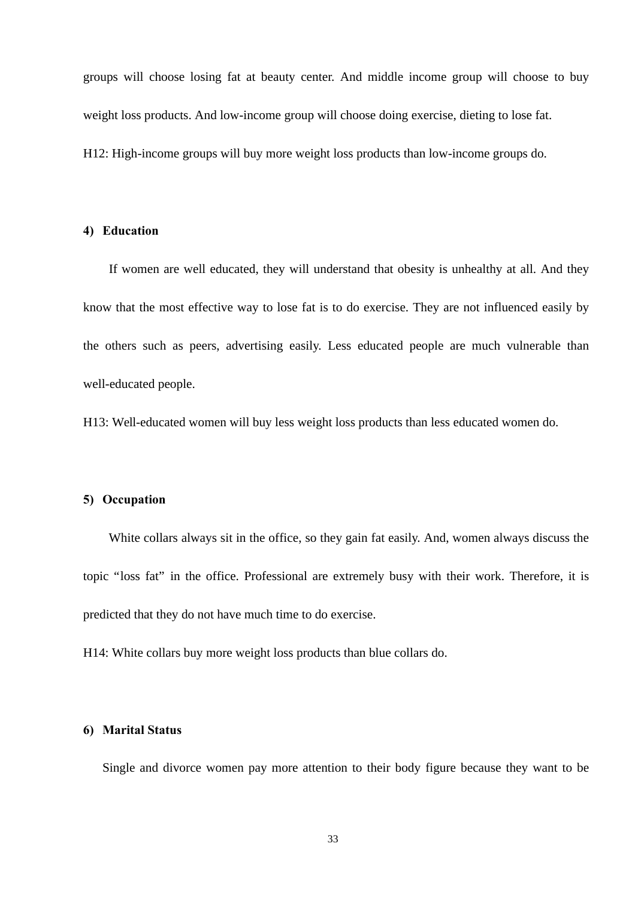groups will choose losing fat at beauty center. And middle income group will choose to buy weight loss products. And low-income group will choose doing exercise, dieting to lose fat. H12: High-income groups will buy more weight loss products than low-income groups do.

### **4) Education**

 If women are well educated, they will understand that obesity is unhealthy at all. And they know that the most effective way to lose fat is to do exercise. They are not influenced easily by the others such as peers, advertising easily. Less educated people are much vulnerable than well-educated people.

H13: Well-educated women will buy less weight loss products than less educated women do.

### **5) Occupation**

 White collars always sit in the office, so they gain fat easily. And, women always discuss the topic "loss fat" in the office. Professional are extremely busy with their work. Therefore, it is predicted that they do not have much time to do exercise.

H14: White collars buy more weight loss products than blue collars do.

### **6) Marital Status**

Single and divorce women pay more attention to their body figure because they want to be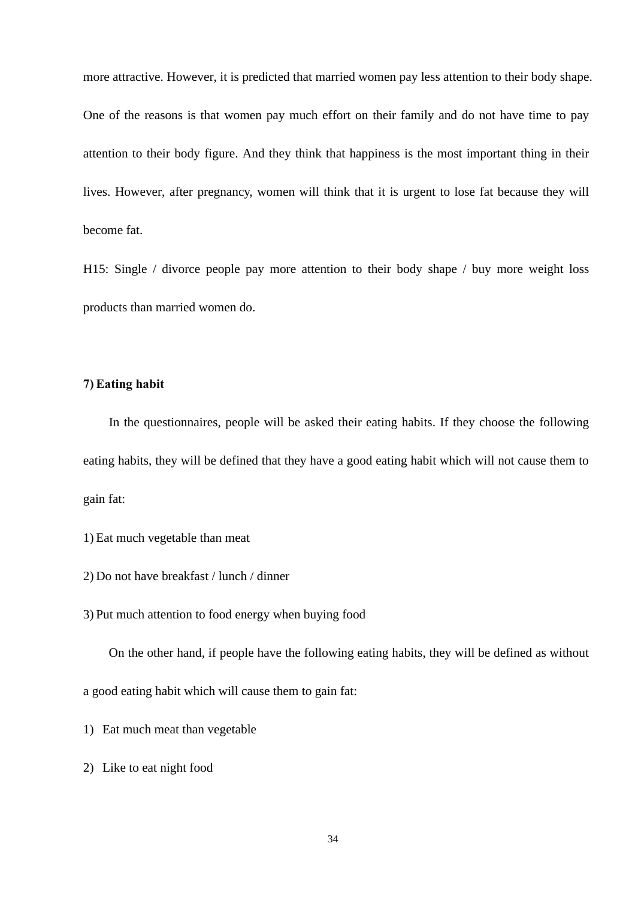more attractive. However, it is predicted that married women pay less attention to their body shape. One of the reasons is that women pay much effort on their family and do not have time to pay attention to their body figure. And they think that happiness is the most important thing in their lives. However, after pregnancy, women will think that it is urgent to lose fat because they will become fat.

H15: Single / divorce people pay more attention to their body shape / buy more weight loss products than married women do.

### **7) Eating habit**

 In the questionnaires, people will be asked their eating habits. If they choose the following eating habits, they will be defined that they have a good eating habit which will not cause them to gain fat:

- 1) Eat much vegetable than meat
- 2) Do not have breakfast / lunch / dinner
- 3) Put much attention to food energy when buying food

On the other hand, if people have the following eating habits, they will be defined as without

a good eating habit which will cause them to gain fat:

- 1) Eat much meat than vegetable
- 2) Like to eat night food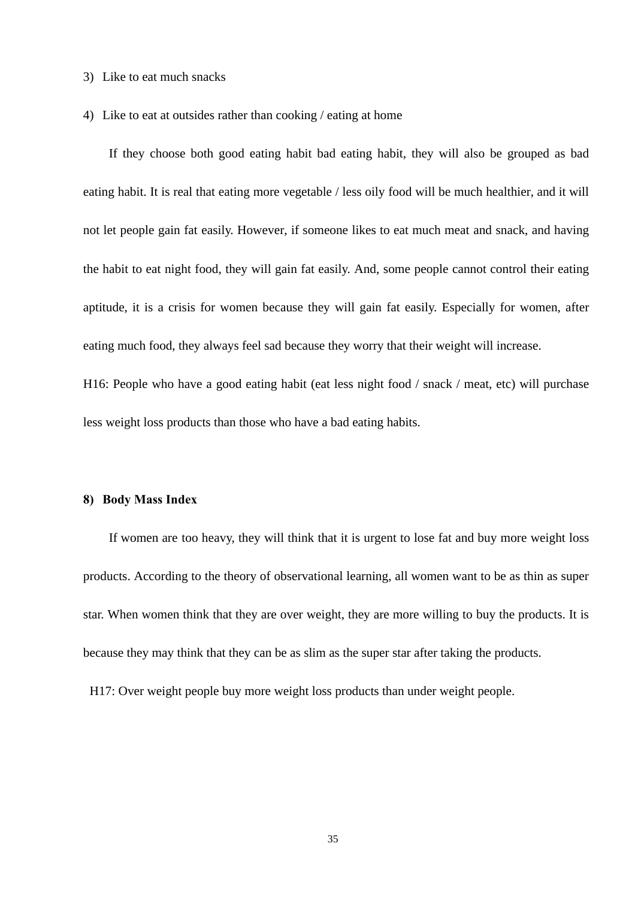- 3) Like to eat much snacks
- 4) Like to eat at outsides rather than cooking / eating at home

If they choose both good eating habit bad eating habit, they will also be grouped as bad eating habit. It is real that eating more vegetable / less oily food will be much healthier, and it will not let people gain fat easily. However, if someone likes to eat much meat and snack, and having the habit to eat night food, they will gain fat easily. And, some people cannot control their eating aptitude, it is a crisis for women because they will gain fat easily. Especially for women, after eating much food, they always feel sad because they worry that their weight will increase.

H16: People who have a good eating habit (eat less night food / snack / meat, etc) will purchase less weight loss products than those who have a bad eating habits.

#### **8) Body Mass Index**

 If women are too heavy, they will think that it is urgent to lose fat and buy more weight loss products. According to the theory of observational learning, all women want to be as thin as super star. When women think that they are over weight, they are more willing to buy the products. It is because they may think that they can be as slim as the super star after taking the products.

H17: Over weight people buy more weight loss products than under weight people.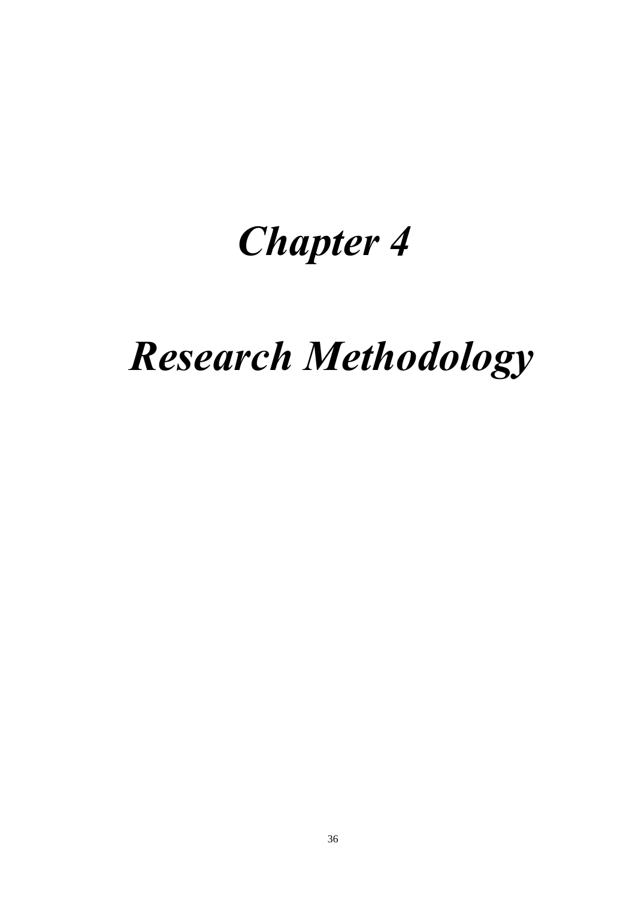# *Chapter 4*

# *Research Methodology*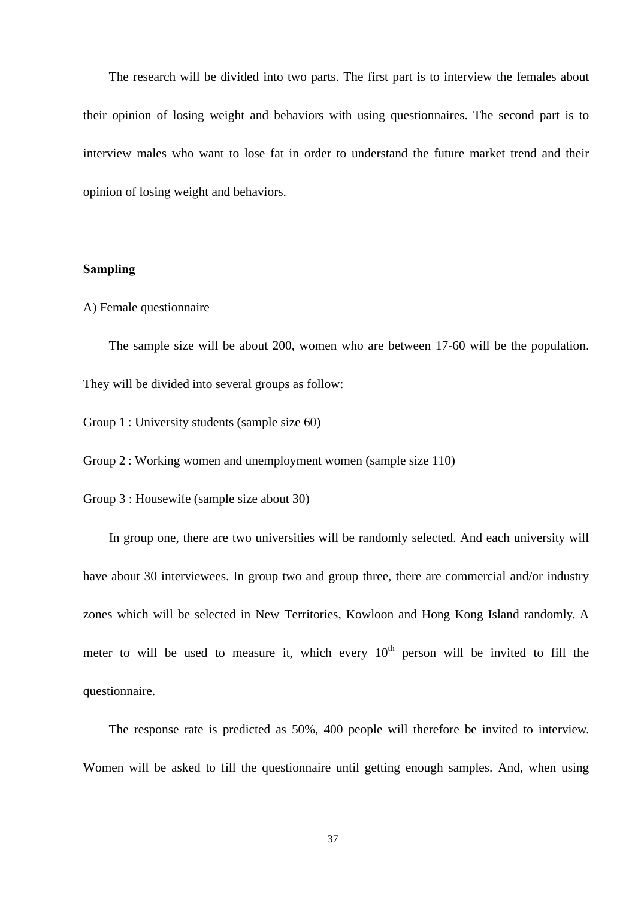The research will be divided into two parts. The first part is to interview the females about their opinion of losing weight and behaviors with using questionnaires. The second part is to interview males who want to lose fat in order to understand the future market trend and their opinion of losing weight and behaviors.

## **Sampling**

#### A) Female questionnaire

 The sample size will be about 200, women who are between 17-60 will be the population. They will be divided into several groups as follow:

Group 1 : University students (sample size 60)

Group 2 : Working women and unemployment women (sample size 110)

Group 3 : Housewife (sample size about 30)

 In group one, there are two universities will be randomly selected. And each university will have about 30 interviewees. In group two and group three, there are commercial and/or industry zones which will be selected in New Territories, Kowloon and Hong Kong Island randomly. A meter to will be used to measure it, which every  $10<sup>th</sup>$  person will be invited to fill the questionnaire.

 The response rate is predicted as 50%, 400 people will therefore be invited to interview. Women will be asked to fill the questionnaire until getting enough samples. And, when using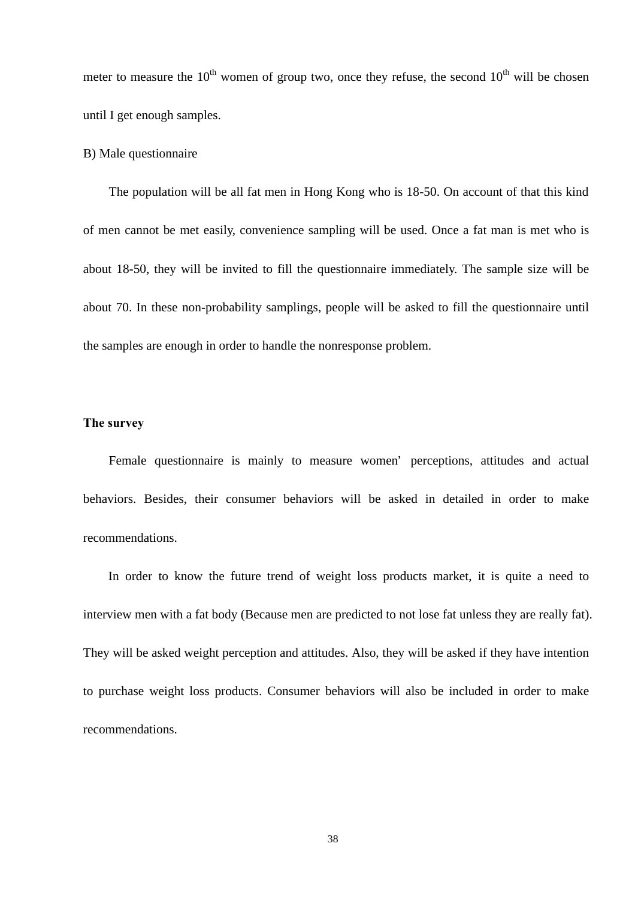meter to measure the  $10^{th}$  women of group two, once they refuse, the second  $10^{th}$  will be chosen until I get enough samples.

# B) Male questionnaire

The population will be all fat men in Hong Kong who is 18-50. On account of that this kind of men cannot be met easily, convenience sampling will be used. Once a fat man is met who is about 18-50, they will be invited to fill the questionnaire immediately. The sample size will be about 70. In these non-probability samplings, people will be asked to fill the questionnaire until the samples are enough in order to handle the nonresponse problem.

## **The survey**

Female questionnaire is mainly to measure women' perceptions, attitudes and actual behaviors. Besides, their consumer behaviors will be asked in detailed in order to make recommendations.

 In order to know the future trend of weight loss products market, it is quite a need to interview men with a fat body (Because men are predicted to not lose fat unless they are really fat). They will be asked weight perception and attitudes. Also, they will be asked if they have intention to purchase weight loss products. Consumer behaviors will also be included in order to make recommendations.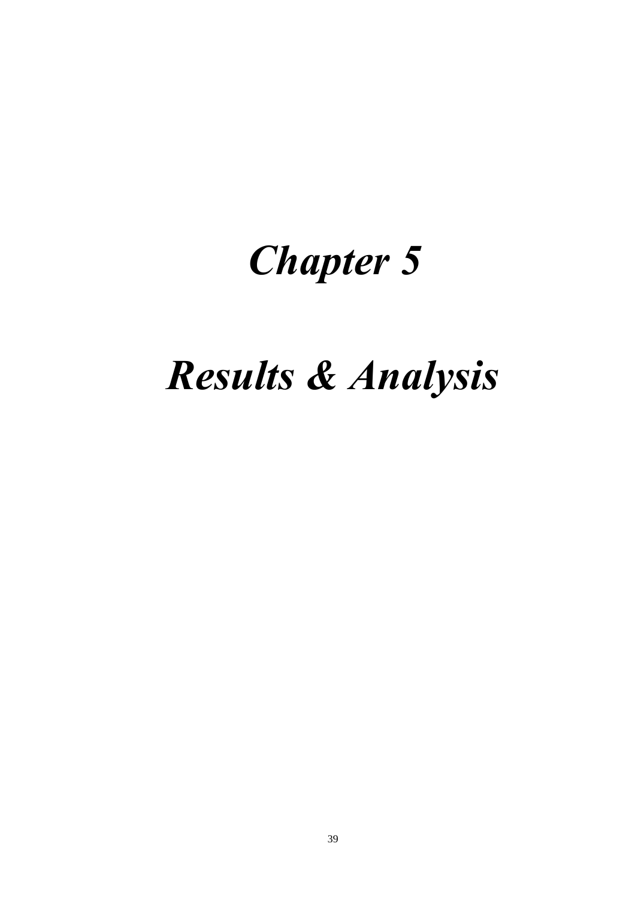# *Chapter 5*

# *Results & Analysis*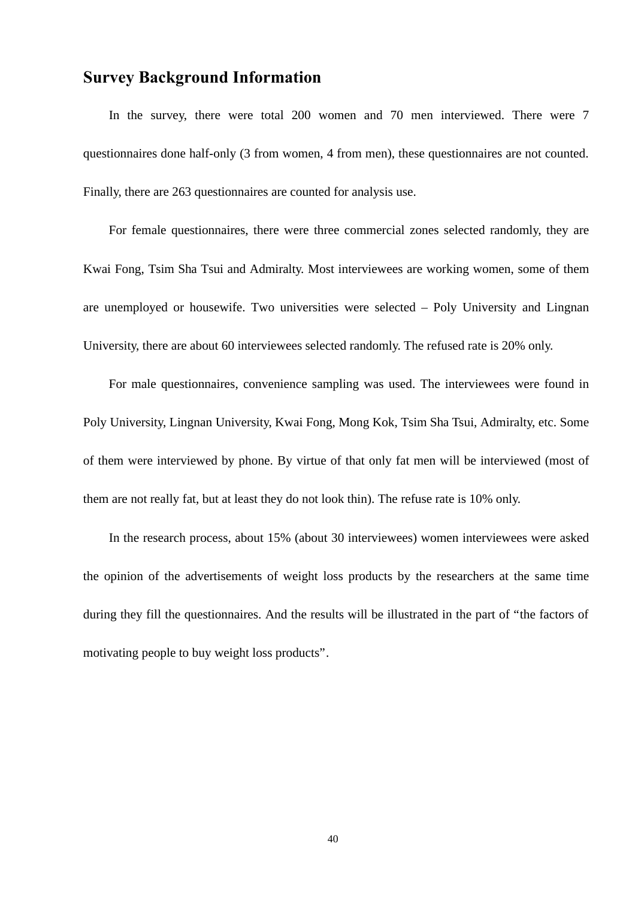# **Survey Background Information**

 In the survey, there were total 200 women and 70 men interviewed. There were 7 questionnaires done half-only (3 from women, 4 from men), these questionnaires are not counted. Finally, there are 263 questionnaires are counted for analysis use.

 For female questionnaires, there were three commercial zones selected randomly, they are Kwai Fong, Tsim Sha Tsui and Admiralty. Most interviewees are working women, some of them are unemployed or housewife. Two universities were selected – Poly University and Lingnan University, there are about 60 interviewees selected randomly. The refused rate is 20% only.

 For male questionnaires, convenience sampling was used. The interviewees were found in Poly University, Lingnan University, Kwai Fong, Mong Kok, Tsim Sha Tsui, Admiralty, etc. Some of them were interviewed by phone. By virtue of that only fat men will be interviewed (most of them are not really fat, but at least they do not look thin). The refuse rate is 10% only.

 In the research process, about 15% (about 30 interviewees) women interviewees were asked the opinion of the advertisements of weight loss products by the researchers at the same time during they fill the questionnaires. And the results will be illustrated in the part of "the factors of motivating people to buy weight loss products".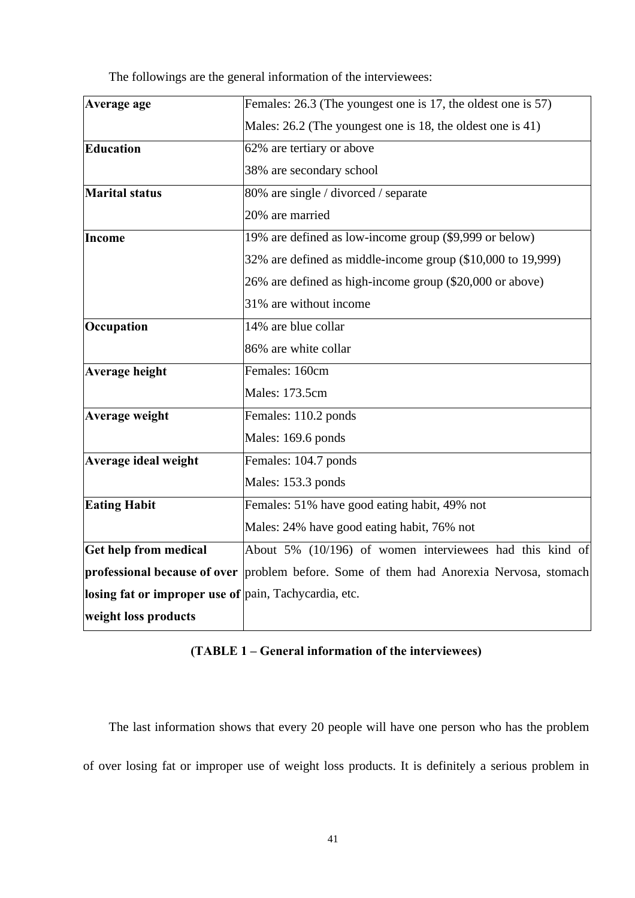| Average age                                           | Females: 26.3 (The youngest one is 17, the oldest one is 57)                            |
|-------------------------------------------------------|-----------------------------------------------------------------------------------------|
|                                                       | Males: 26.2 (The youngest one is 18, the oldest one is 41)                              |
| Education                                             | 62% are tertiary or above                                                               |
|                                                       | 38% are secondary school                                                                |
| <b>Marital status</b>                                 | 80% are single / divorced / separate                                                    |
|                                                       | 20% are married                                                                         |
| <b>Income</b>                                         | 19% are defined as low-income group (\$9,999 or below)                                  |
|                                                       | 32% are defined as middle-income group (\$10,000 to 19,999)                             |
|                                                       | 26% are defined as high-income group (\$20,000 or above)                                |
|                                                       | 31% are without income                                                                  |
| Occupation                                            | 14% are blue collar                                                                     |
|                                                       | 86% are white collar                                                                    |
| <b>Average height</b>                                 | Females: 160cm                                                                          |
|                                                       | Males: 173.5cm                                                                          |
| Average weight                                        | Females: 110.2 ponds                                                                    |
|                                                       | Males: 169.6 ponds                                                                      |
| Average ideal weight                                  | Females: 104.7 ponds                                                                    |
|                                                       | Males: 153.3 ponds                                                                      |
| <b>Eating Habit</b>                                   | Females: 51% have good eating habit, 49% not                                            |
|                                                       | Males: 24% have good eating habit, 76% not                                              |
| <b>Get help from medical</b>                          | About 5% (10/196) of women interviewees had this kind of                                |
|                                                       | professional because of over problem before. Some of them had Anorexia Nervosa, stomach |
| losing fat or improper use of pain, Tachycardia, etc. |                                                                                         |
| weight loss products                                  |                                                                                         |

The followings are the general information of the interviewees:

# **(TABLE 1 – General information of the interviewees)**

The last information shows that every 20 people will have one person who has the problem of over losing fat or improper use of weight loss products. It is definitely a serious problem in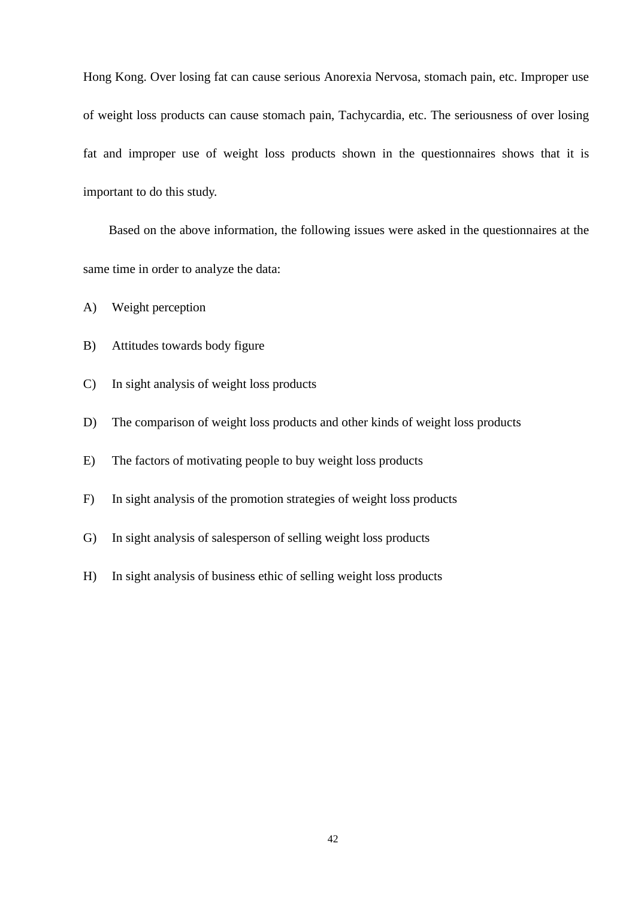Hong Kong. Over losing fat can cause serious Anorexia Nervosa, stomach pain, etc. Improper use of weight loss products can cause stomach pain, Tachycardia, etc. The seriousness of over losing fat and improper use of weight loss products shown in the questionnaires shows that it is important to do this study.

 Based on the above information, the following issues were asked in the questionnaires at the same time in order to analyze the data:

A) Weight perception

- B) Attitudes towards body figure
- C) In sight analysis of weight loss products
- D) The comparison of weight loss products and other kinds of weight loss products
- E) The factors of motivating people to buy weight loss products
- F) In sight analysis of the promotion strategies of weight loss products
- G) In sight analysis of salesperson of selling weight loss products
- H) In sight analysis of business ethic of selling weight loss products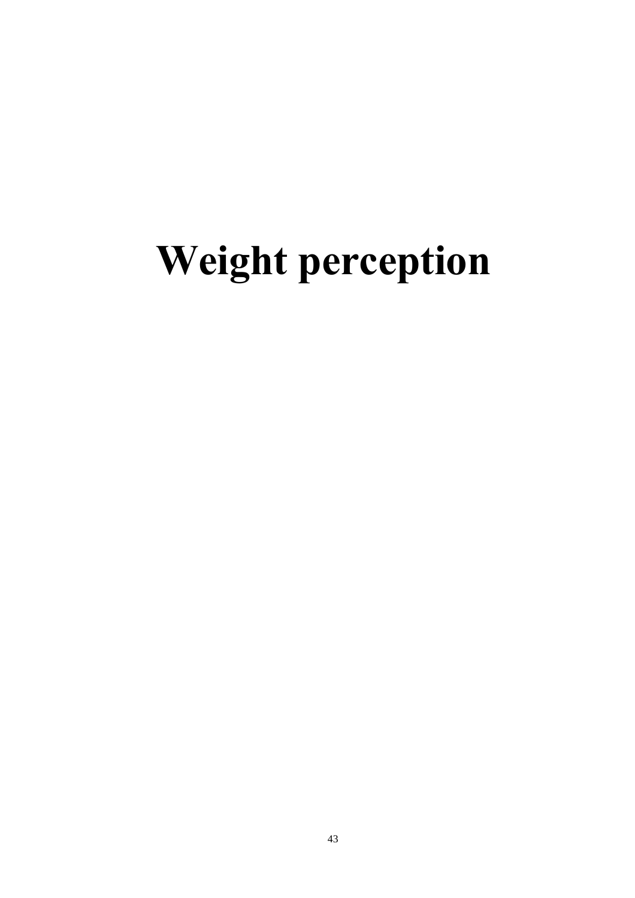# **Weight perception**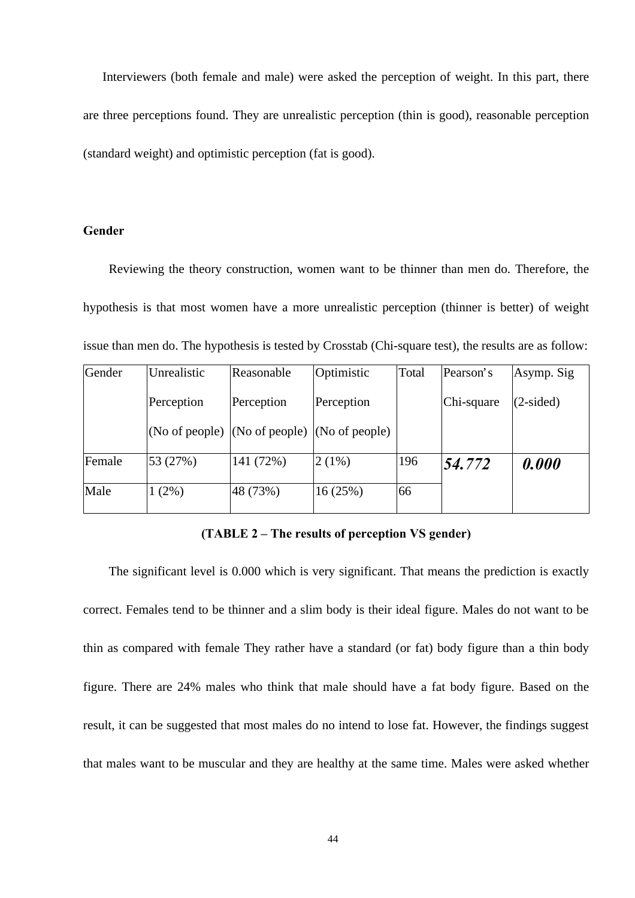Interviewers (both female and male) were asked the perception of weight. In this part, there are three perceptions found. They are unrealistic perception (thin is good), reasonable perception (standard weight) and optimistic perception (fat is good).

## **Gender**

 Reviewing the theory construction, women want to be thinner than men do. Therefore, the hypothesis is that most women have a more unrealistic perception (thinner is better) of weight issue than men do. The hypothesis is tested by Crosstab (Chi-square test), the results are as follow:

| Gender | Unrealistic    | Reasonable                      | Optimistic | Total | Pearson's  | Asymp. Sig  |
|--------|----------------|---------------------------------|------------|-------|------------|-------------|
|        | Perception     | Perception                      | Perception |       | Chi-square | $(2-sided)$ |
|        | (No of people) | (No of people) $(No of people)$ |            |       |            |             |
| Female | 53 (27%)       | 141 (72%)                       | $2(1\%)$   | 196   | 54.772     | 0.000       |
| Male   | $(2\%)$        | 48 (73%)                        | 16(25%)    | 66    |            |             |

# **(TABLE 2 – The results of perception VS gender)**

 The significant level is 0.000 which is very significant. That means the prediction is exactly correct. Females tend to be thinner and a slim body is their ideal figure. Males do not want to be thin as compared with female They rather have a standard (or fat) body figure than a thin body figure. There are 24% males who think that male should have a fat body figure. Based on the result, it can be suggested that most males do no intend to lose fat. However, the findings suggest that males want to be muscular and they are healthy at the same time. Males were asked whether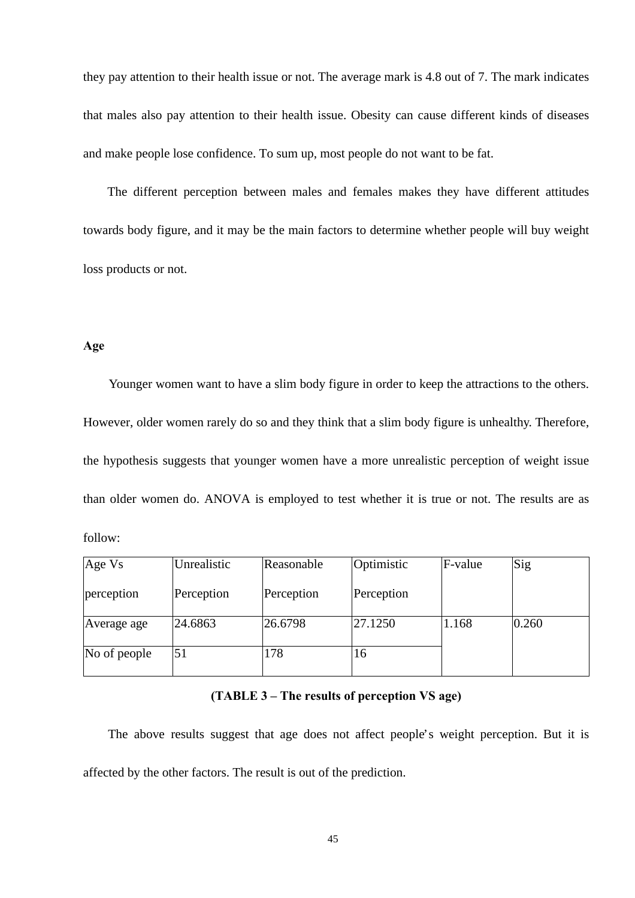they pay attention to their health issue or not. The average mark is 4.8 out of 7. The mark indicates that males also pay attention to their health issue. Obesity can cause different kinds of diseases and make people lose confidence. To sum up, most people do not want to be fat.

 The different perception between males and females makes they have different attitudes towards body figure, and it may be the main factors to determine whether people will buy weight loss products or not.

# **Age**

 Younger women want to have a slim body figure in order to keep the attractions to the others. However, older women rarely do so and they think that a slim body figure is unhealthy. Therefore, the hypothesis suggests that younger women have a more unrealistic perception of weight issue than older women do. ANOVA is employed to test whether it is true or not. The results are as follow:

| Age Vs       | Unrealistic | Reasonable | Optimistic | F-value | Sig   |
|--------------|-------------|------------|------------|---------|-------|
| perception   | Perception  | Perception | Perception |         |       |
| Average age  | 24.6863     | 26.6798    | 27.1250    | 1.168   | 0.260 |
| No of people | 51          | 178        | 16         |         |       |

# **(TABLE 3 – The results of perception VS age)**

 The above results suggest that age does not affect people's weight perception. But it is affected by the other factors. The result is out of the prediction.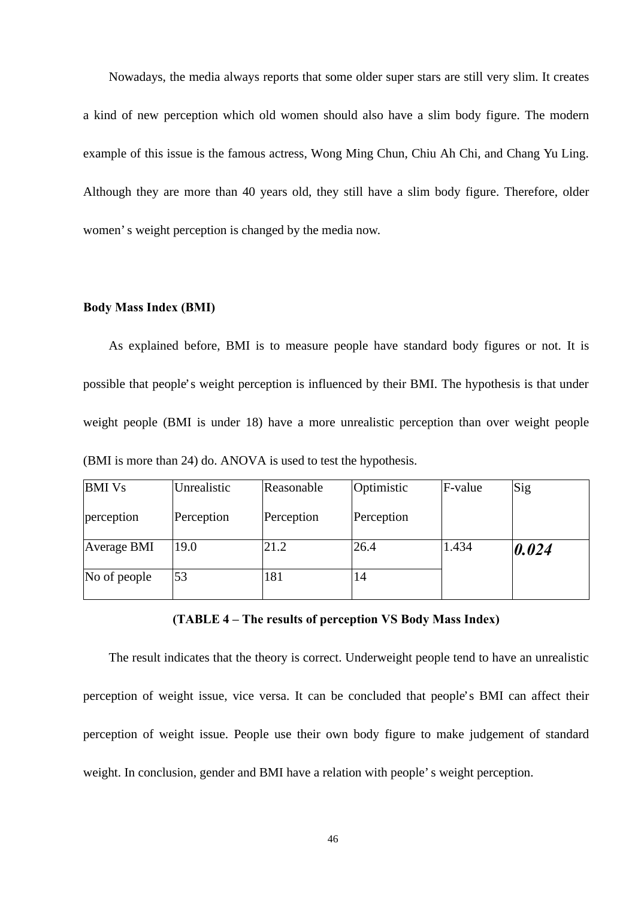Nowadays, the media always reports that some older super stars are still very slim. It creates a kind of new perception which old women should also have a slim body figure. The modern example of this issue is the famous actress, Wong Ming Chun, Chiu Ah Chi, and Chang Yu Ling. Although they are more than 40 years old, they still have a slim body figure. Therefore, older women's weight perception is changed by the media now.

#### **Body Mass Index (BMI)**

 As explained before, BMI is to measure people have standard body figures or not. It is possible that people's weight perception is influenced by their BMI. The hypothesis is that under weight people (BMI is under 18) have a more unrealistic perception than over weight people (BMI is more than 24) do. ANOVA is used to test the hypothesis.

| <b>BMI</b> Vs | Unrealistic | Reasonable | Optimistic | F-value | Sig   |
|---------------|-------------|------------|------------|---------|-------|
| perception    | Perception  | Perception | Perception |         |       |
| Average BMI   | 19.0        | 21.2       | 26.4       | 1.434   | 0.024 |
| No of people  | 53          | 181        | 14         |         |       |

## **(TABLE 4 – The results of perception VS Body Mass Index)**

 The result indicates that the theory is correct. Underweight people tend to have an unrealistic perception of weight issue, vice versa. It can be concluded that people's BMI can affect their perception of weight issue. People use their own body figure to make judgement of standard weight. In conclusion, gender and BMI have a relation with people's weight perception.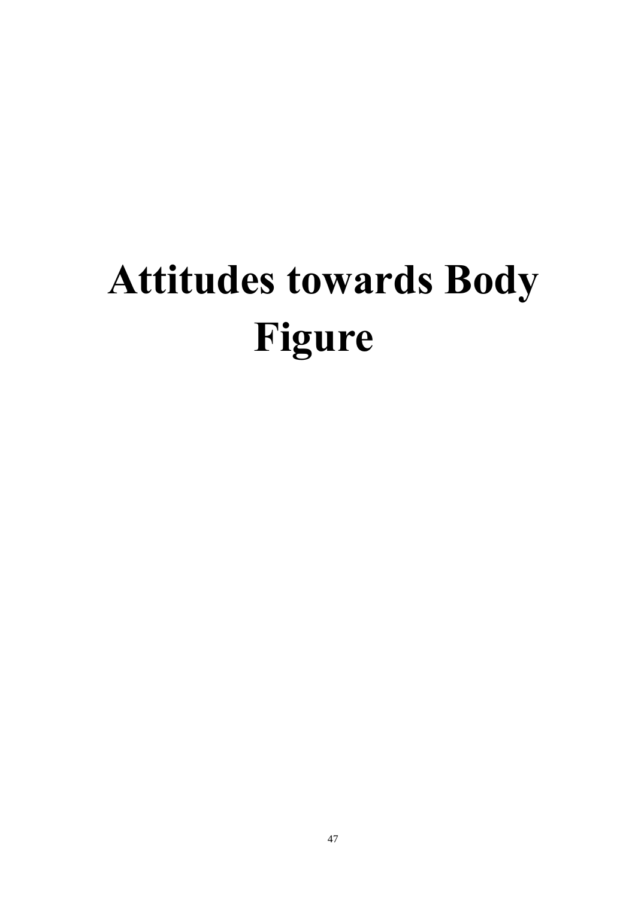# **Attitudes towards Body Figure**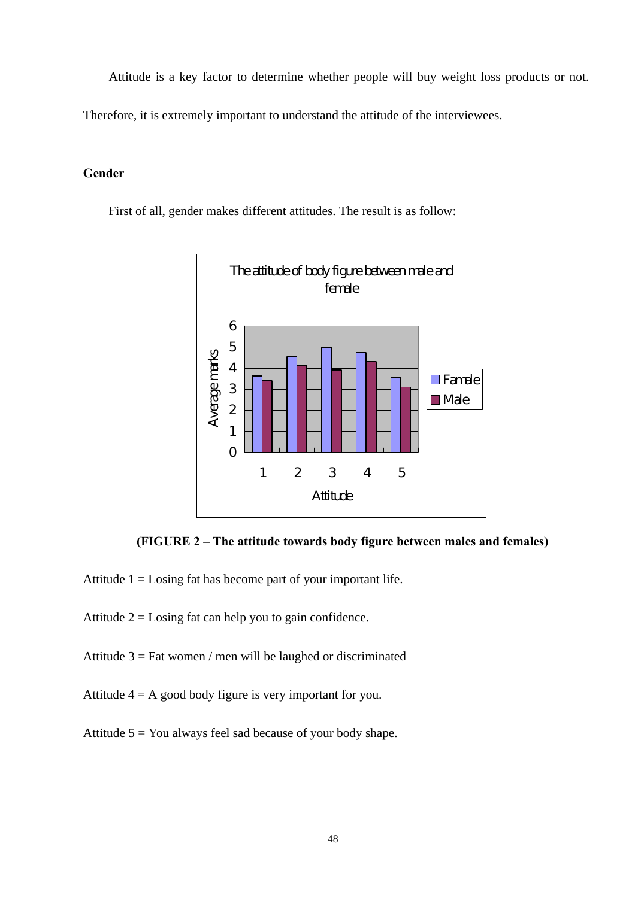Attitude is a key factor to determine whether people will buy weight loss products or not.

Therefore, it is extremely important to understand the attitude of the interviewees.

# **Gender**

First of all, gender makes different attitudes. The result is as follow:



**(FIGURE 2 – The attitude towards body figure between males and females)**

Attitude  $1 =$ Losing fat has become part of your important life.

Attitude  $2 =$  Losing fat can help you to gain confidence.

Attitude  $3 = \text{Fat women } / \text{ men will be laughed or discriminated}$ 

Attitude  $4 = A$  good body figure is very important for you.

Attitude  $5 = You$  always feel sad because of your body shape.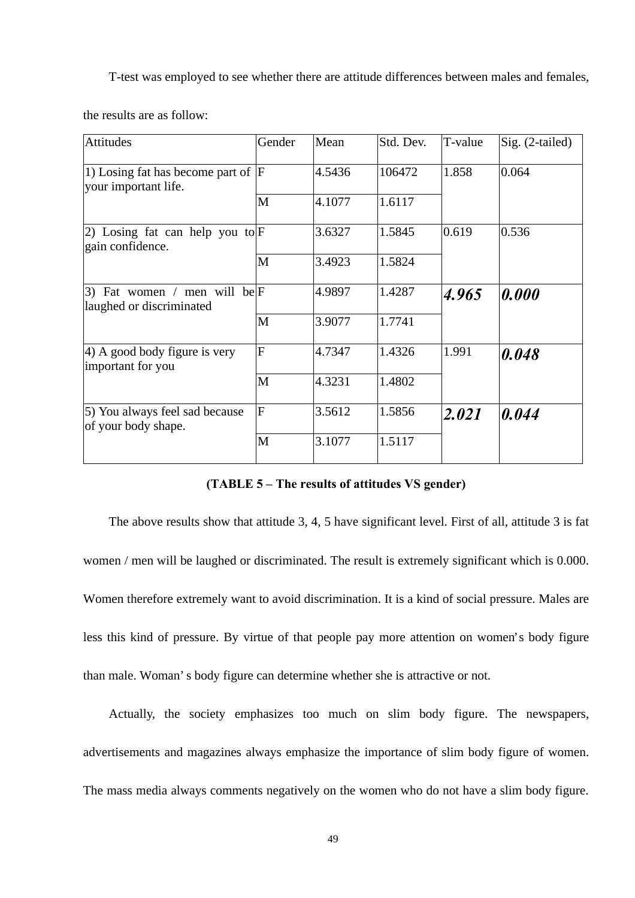T-test was employed to see whether there are attitude differences between males and females,

the results are as follow:

| <b>Attitudes</b>                                               | Gender                  | Mean   | Std. Dev. | T-value | Sig. (2-tailed) |
|----------------------------------------------------------------|-------------------------|--------|-----------|---------|-----------------|
| 1) Losing fat has become part of $ F $<br>your important life. |                         | 4.5436 | 106472    | 1.858   | 0.064           |
|                                                                | M                       | 4.1077 | 1.6117    |         |                 |
| 2) Losing fat can help you to $F$<br>gain confidence.          |                         | 3.6327 | 1.5845    | 0.619   | 0.536           |
|                                                                | M                       | 3.4923 | 1.5824    |         |                 |
| 3) Fat women / men will be $F$<br>laughed or discriminated     |                         | 4.9897 | 1.4287    | 4.965   | 0.000           |
|                                                                | M                       | 3.9077 | 1.7741    |         |                 |
| 4) A good body figure is very<br>important for you             | $\overline{F}$          | 4.7347 | 1.4326    | 1.991   | 0.048           |
|                                                                | M                       | 4.3231 | 1.4802    |         |                 |
| 5) You always feel sad because<br>of your body shape.          | $\overline{\mathrm{F}}$ | 3.5612 | 1.5856    | 2.021   | 0.044           |
|                                                                | M                       | 3.1077 | 1.5117    |         |                 |

**(TABLE 5 – The results of attitudes VS gender)**

The above results show that attitude 3, 4, 5 have significant level. First of all, attitude 3 is fat women / men will be laughed or discriminated. The result is extremely significant which is 0.000. Women therefore extremely want to avoid discrimination. It is a kind of social pressure. Males are less this kind of pressure. By virtue of that people pay more attention on women's body figure than male. Woman's body figure can determine whether she is attractive or not.

 Actually, the society emphasizes too much on slim body figure. The newspapers, advertisements and magazines always emphasize the importance of slim body figure of women. The mass media always comments negatively on the women who do not have a slim body figure.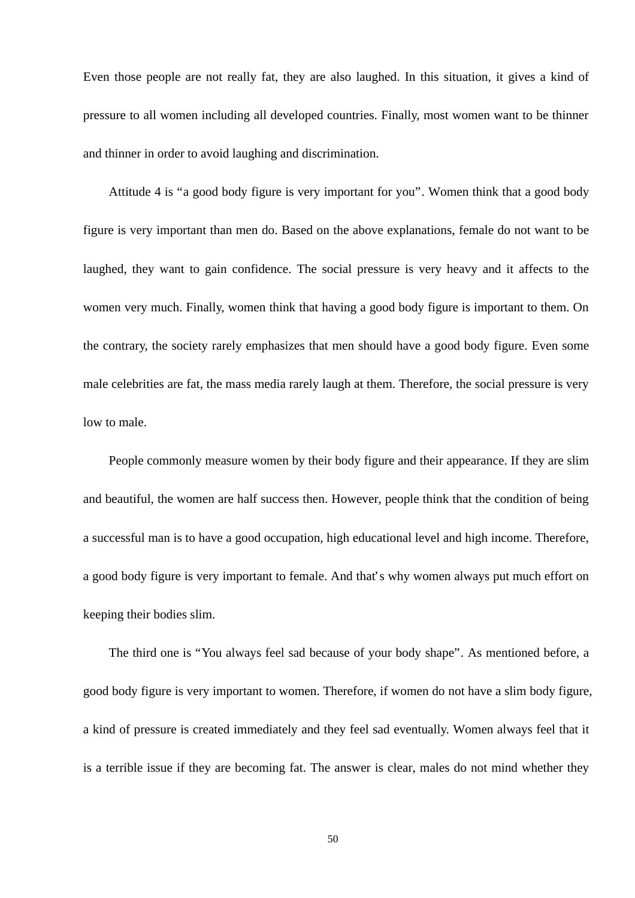Even those people are not really fat, they are also laughed. In this situation, it gives a kind of pressure to all women including all developed countries. Finally, most women want to be thinner and thinner in order to avoid laughing and discrimination.

 Attitude 4 is "a good body figure is very important for you". Women think that a good body figure is very important than men do. Based on the above explanations, female do not want to be laughed, they want to gain confidence. The social pressure is very heavy and it affects to the women very much. Finally, women think that having a good body figure is important to them. On the contrary, the society rarely emphasizes that men should have a good body figure. Even some male celebrities are fat, the mass media rarely laugh at them. Therefore, the social pressure is very low to male.

 People commonly measure women by their body figure and their appearance. If they are slim and beautiful, the women are half success then. However, people think that the condition of being a successful man is to have a good occupation, high educational level and high income. Therefore, a good body figure is very important to female. And that's why women always put much effort on keeping their bodies slim.

 The third one is "You always feel sad because of your body shape". As mentioned before, a good body figure is very important to women. Therefore, if women do not have a slim body figure, a kind of pressure is created immediately and they feel sad eventually. Women always feel that it is a terrible issue if they are becoming fat. The answer is clear, males do not mind whether they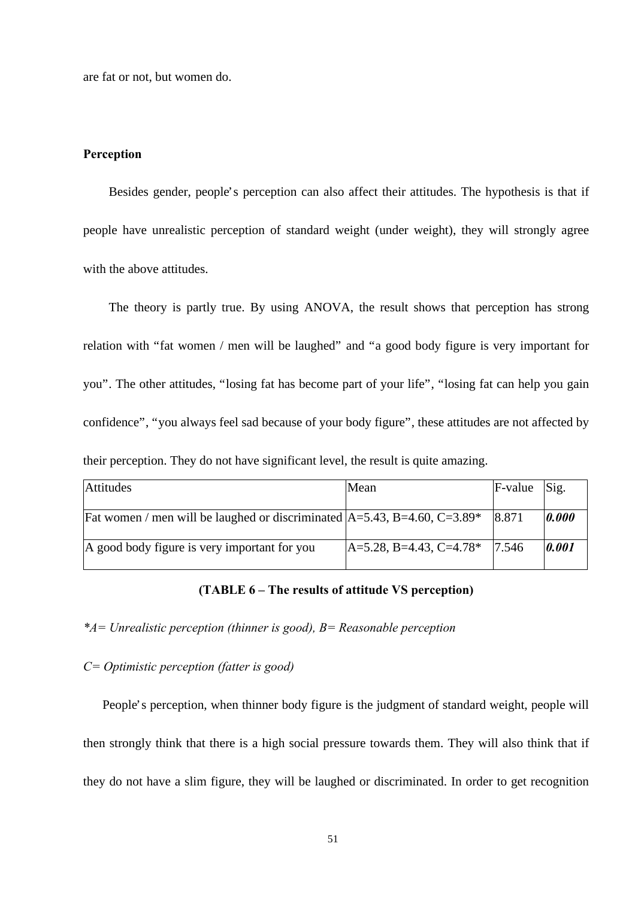are fat or not, but women do.

#### **Perception**

 Besides gender, people's perception can also affect their attitudes. The hypothesis is that if people have unrealistic perception of standard weight (under weight), they will strongly agree with the above attitudes.

 The theory is partly true. By using ANOVA, the result shows that perception has strong relation with "fat women / men will be laughed" and "a good body figure is very important for you". The other attitudes, "losing fat has become part of your life", "losing fat can help you gain confidence", "you always feel sad because of your body figure", these attitudes are not affected by their perception. They do not have significant level, the result is quite amazing.

| <b>Attitudes</b>                                                                        | Mean                             | $F-value$ | Sig.  |
|-----------------------------------------------------------------------------------------|----------------------------------|-----------|-------|
| Fat women / men will be laughed or discriminated $A=5.43$ , B=4.60, C=3.89 <sup>*</sup> |                                  | 8.871     | 0.000 |
| A good body figure is very important for you                                            | $ A=5.28, B=4.43, C=4.78*$ 7.546 |           | 0.001 |

# **(TABLE 6 – The results of attitude VS perception)**

*\*A= Unrealistic perception (thinner is good), B= Reasonable perception*

# *C= Optimistic perception (fatter is good)*

 People's perception, when thinner body figure is the judgment of standard weight, people will then strongly think that there is a high social pressure towards them. They will also think that if they do not have a slim figure, they will be laughed or discriminated. In order to get recognition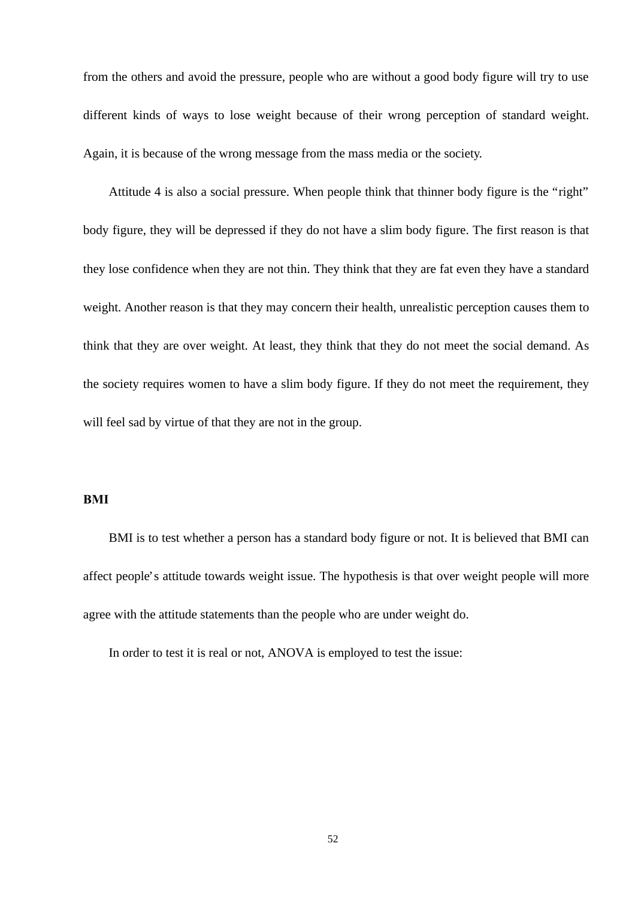from the others and avoid the pressure, people who are without a good body figure will try to use different kinds of ways to lose weight because of their wrong perception of standard weight. Again, it is because of the wrong message from the mass media or the society.

 Attitude 4 is also a social pressure. When people think that thinner body figure is the "right" body figure, they will be depressed if they do not have a slim body figure. The first reason is that they lose confidence when they are not thin. They think that they are fat even they have a standard weight. Another reason is that they may concern their health, unrealistic perception causes them to think that they are over weight. At least, they think that they do not meet the social demand. As the society requires women to have a slim body figure. If they do not meet the requirement, they will feel sad by virtue of that they are not in the group.

# **BMI**

 BMI is to test whether a person has a standard body figure or not. It is believed that BMI can affect people's attitude towards weight issue. The hypothesis is that over weight people will more agree with the attitude statements than the people who are under weight do.

In order to test it is real or not, ANOVA is employed to test the issue: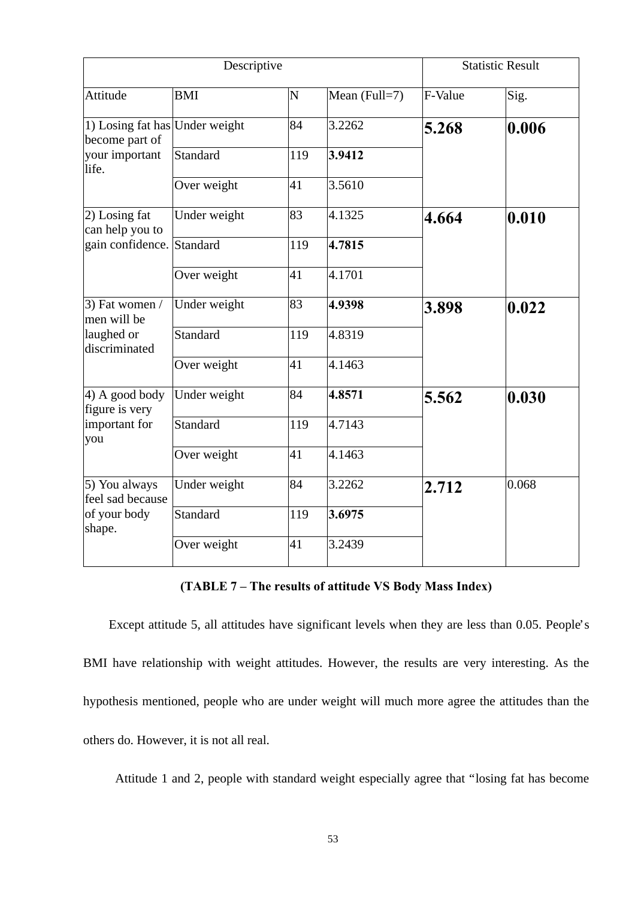|                                                                             | Descriptive     |     |               |         | <b>Statistic Result</b> |
|-----------------------------------------------------------------------------|-----------------|-----|---------------|---------|-------------------------|
| Attitude                                                                    | <b>BMI</b>      | N   | Mean (Full=7) | F-Value | Sig.                    |
| 1) Losing fat has Under weight<br>become part of<br>your important<br>life. |                 | 84  | 3.2262        | 5.268   | 0.006                   |
|                                                                             | Standard        | 119 | 3.9412        |         |                         |
|                                                                             | Over weight     | 41  | 3.5610        |         |                         |
| $\vert$ 2) Losing fat<br>can help you to                                    | Under weight    | 83  | 4.1325        | 4.664   | 0.010                   |
| gain confidence.                                                            | Standard        | 119 | 4.7815        |         |                         |
|                                                                             | Over weight     | 41  | 4.1701        |         |                         |
| $(3)$ Fat women /<br>men will be                                            | Under weight    | 83  | 4.9398        | 3.898   | 0.022                   |
| laughed or<br>discriminated                                                 | <b>Standard</b> | 119 | 4.8319        |         |                         |
|                                                                             | Over weight     | 41  | 4.1463        |         |                         |
| 4) A good body<br>figure is very                                            | Under weight    | 84  | 4.8571        | 5.562   | 0.030                   |
| important for<br>you                                                        | <b>Standard</b> | 119 | 4.7143        |         |                         |
|                                                                             | Over weight     | 41  | 4.1463        |         |                         |
| 5) You always<br>feel sad because                                           | Under weight    | 84  | 3.2262        | 2.712   | 0.068                   |
| of your body<br>shape.                                                      | <b>Standard</b> | 119 | 3.6975        |         |                         |
|                                                                             | Over weight     | 41  | 3.2439        |         |                         |

# **(TABLE 7 – The results of attitude VS Body Mass Index)**

 Except attitude 5, all attitudes have significant levels when they are less than 0.05. People's BMI have relationship with weight attitudes. However, the results are very interesting. As the hypothesis mentioned, people who are under weight will much more agree the attitudes than the others do. However, it is not all real.

Attitude 1 and 2, people with standard weight especially agree that "losing fat has become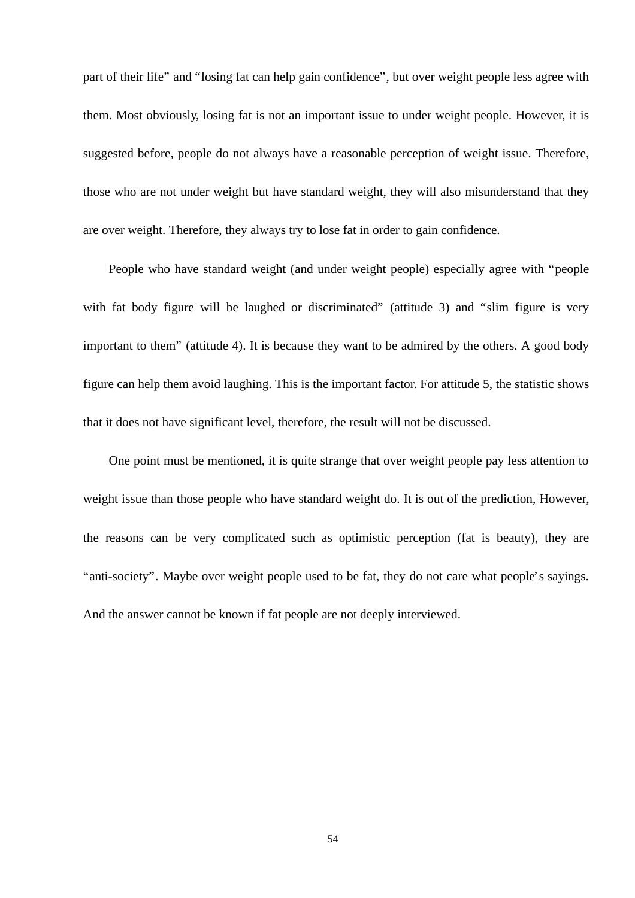part of their life" and "losing fat can help gain confidence", but over weight people less agree with them. Most obviously, losing fat is not an important issue to under weight people. However, it is suggested before, people do not always have a reasonable perception of weight issue. Therefore, those who are not under weight but have standard weight, they will also misunderstand that they are over weight. Therefore, they always try to lose fat in order to gain confidence.

 People who have standard weight (and under weight people) especially agree with "people with fat body figure will be laughed or discriminated" (attitude 3) and "slim figure is very important to them" (attitude 4). It is because they want to be admired by the others. A good body figure can help them avoid laughing. This is the important factor. For attitude 5, the statistic shows that it does not have significant level, therefore, the result will not be discussed.

 One point must be mentioned, it is quite strange that over weight people pay less attention to weight issue than those people who have standard weight do. It is out of the prediction, However, the reasons can be very complicated such as optimistic perception (fat is beauty), they are "anti-society". Maybe over weight people used to be fat, they do not care what people's sayings. And the answer cannot be known if fat people are not deeply interviewed.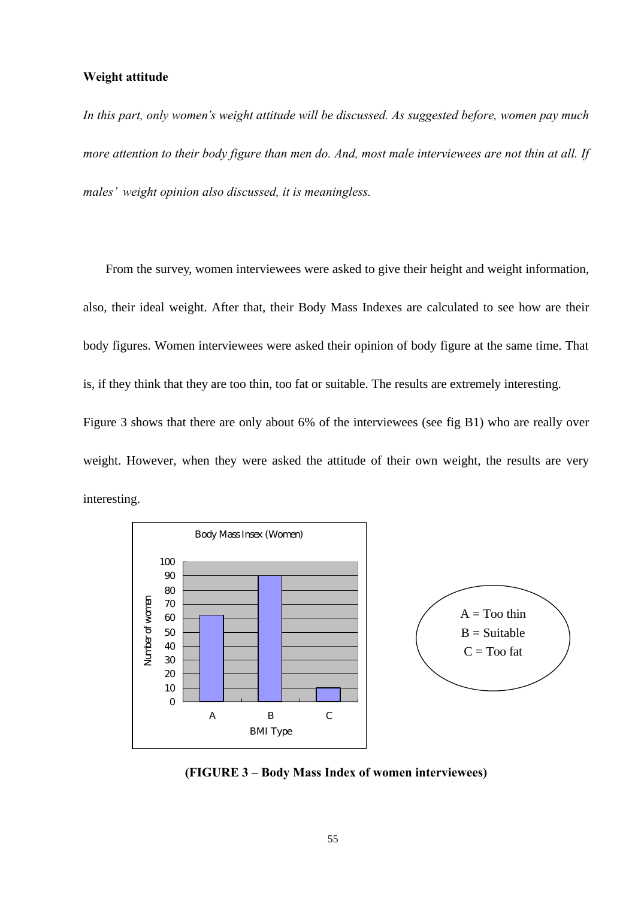# **Weight attitude**

interesting.

*In this part, only women's weight attitude will be discussed. As suggested before, women pay much more attention to their body figure than men do. And, most male interviewees are not thin at all. If males' weight opinion also discussed, it is meaningless.* 

 From the survey, women interviewees were asked to give their height and weight information, also, their ideal weight. After that, their Body Mass Indexes are calculated to see how are their body figures. Women interviewees were asked their opinion of body figure at the same time. That is, if they think that they are too thin, too fat or suitable. The results are extremely interesting. Figure 3 shows that there are only about 6% of the interviewees (see fig B1) who are really over weight. However, when they were asked the attitude of their own weight, the results are very



**(FIGURE 3 – Body Mass Index of women interviewees)**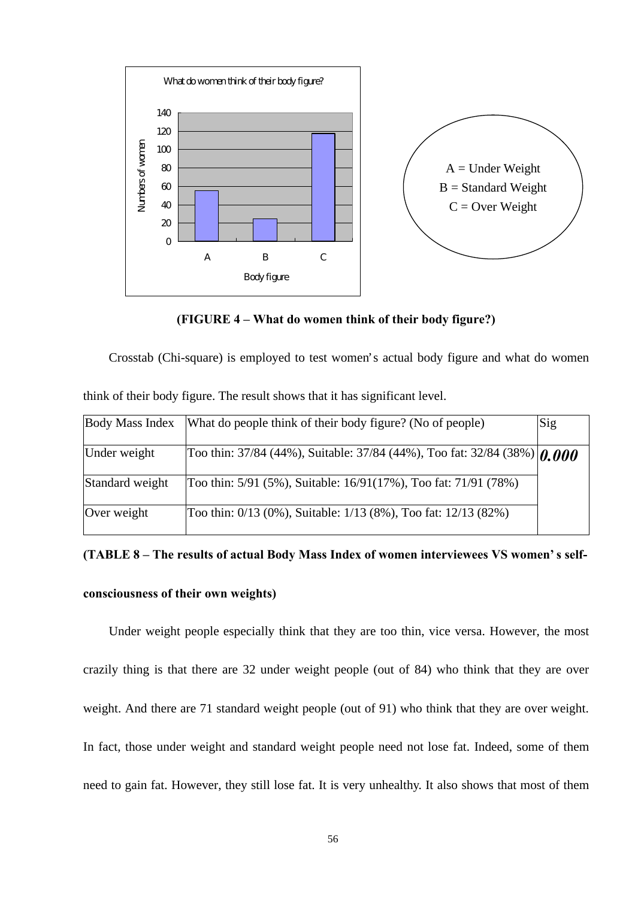

**(FIGURE 4 – What do women think of their body figure?)**

Crosstab (Chi-square) is employed to test women's actual body figure and what do women

| <b>Body Mass Index</b> | What do people think of their body figure? (No of people)                       | Sig |
|------------------------|---------------------------------------------------------------------------------|-----|
| Under weight           | Too thin: 37/84 (44%), Suitable: 37/84 (44%), Too fat: 32/84 (38%) $\eta$ , 000 |     |
| Standard weight        | Too thin: 5/91 (5%), Suitable: 16/91(17%), Too fat: 71/91 (78%)                 |     |
| Over weight            | Too thin: 0/13 (0%), Suitable: 1/13 (8%), Too fat: 12/13 (82%)                  |     |

think of their body figure. The result shows that it has significant level.

# **(TABLE 8 – The results of actual Body Mass Index of women interviewees VS women's self-**

# **consciousness of their own weights)**

Under weight people especially think that they are too thin, vice versa. However, the most crazily thing is that there are 32 under weight people (out of 84) who think that they are over weight. And there are 71 standard weight people (out of 91) who think that they are over weight. In fact, those under weight and standard weight people need not lose fat. Indeed, some of them need to gain fat. However, they still lose fat. It is very unhealthy. It also shows that most of them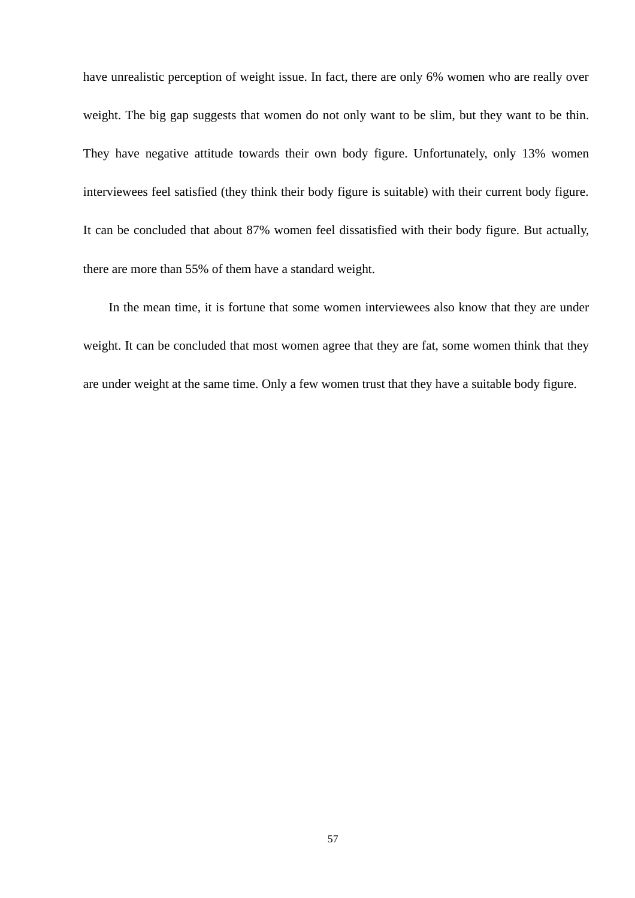have unrealistic perception of weight issue. In fact, there are only 6% women who are really over weight. The big gap suggests that women do not only want to be slim, but they want to be thin. They have negative attitude towards their own body figure. Unfortunately, only 13% women interviewees feel satisfied (they think their body figure is suitable) with their current body figure. It can be concluded that about 87% women feel dissatisfied with their body figure. But actually, there are more than 55% of them have a standard weight.

In the mean time, it is fortune that some women interviewees also know that they are under weight. It can be concluded that most women agree that they are fat, some women think that they are under weight at the same time. Only a few women trust that they have a suitable body figure.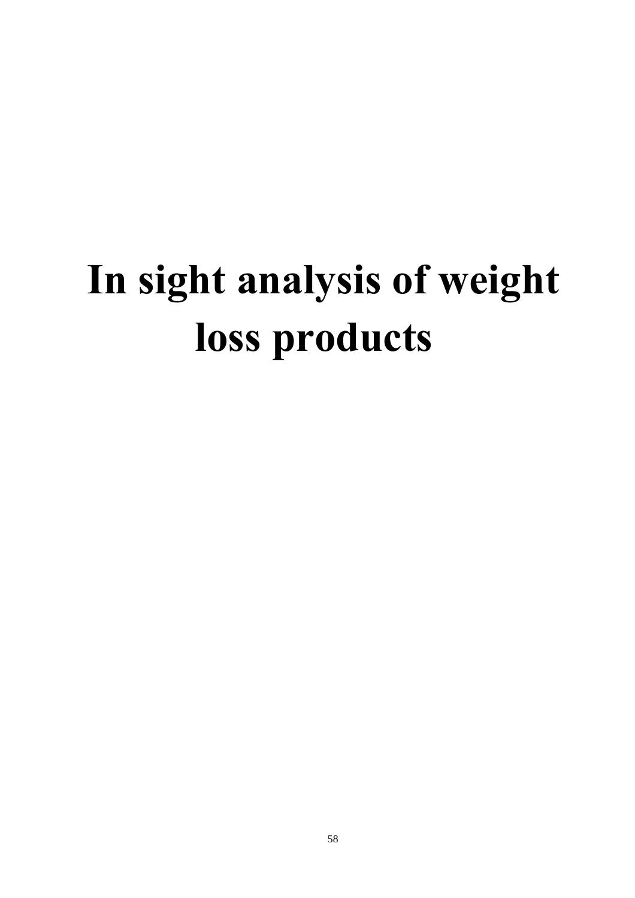# **In sight analysis of weight loss products**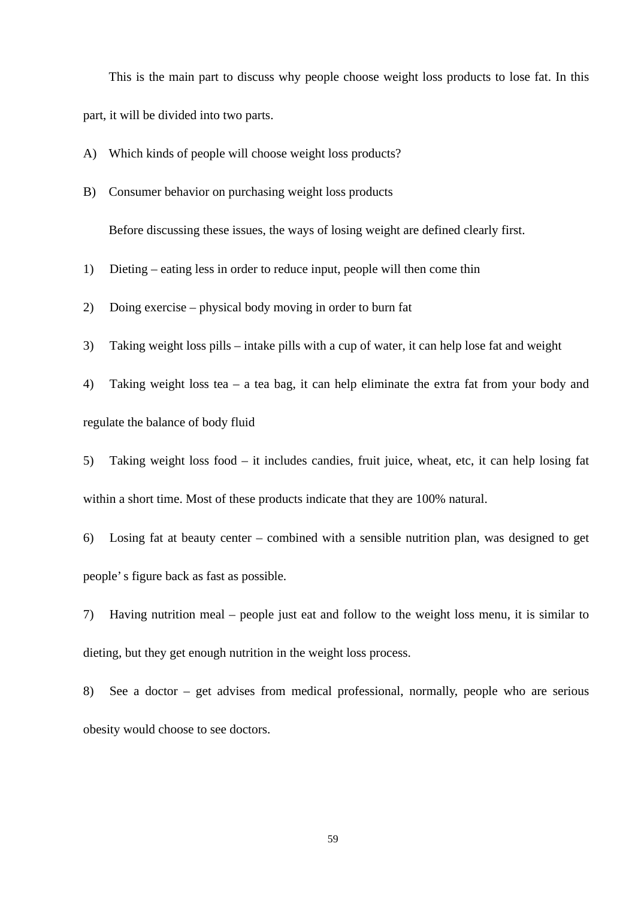This is the main part to discuss why people choose weight loss products to lose fat. In this part, it will be divided into two parts.

A) Which kinds of people will choose weight loss products?

B) Consumer behavior on purchasing weight loss products

Before discussing these issues, the ways of losing weight are defined clearly first.

1) Dieting – eating less in order to reduce input, people will then come thin

2) Doing exercise – physical body moving in order to burn fat

3) Taking weight loss pills – intake pills with a cup of water, it can help lose fat and weight

4) Taking weight loss tea – a tea bag, it can help eliminate the extra fat from your body and regulate the balance of body fluid

5) Taking weight loss food – it includes candies, fruit juice, wheat, etc, it can help losing fat within a short time. Most of these products indicate that they are 100% natural.

6) Losing fat at beauty center – combined with a sensible nutrition plan, was designed to get people's figure back as fast as possible.

7) Having nutrition meal – people just eat and follow to the weight loss menu, it is similar to dieting, but they get enough nutrition in the weight loss process.

8) See a doctor – get advises from medical professional, normally, people who are serious obesity would choose to see doctors.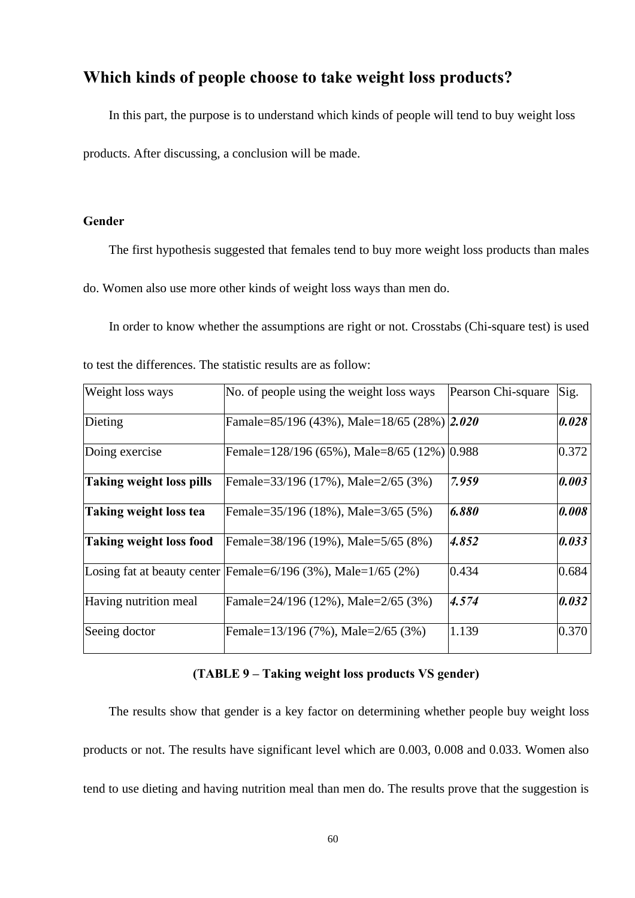# **Which kinds of people choose to take weight loss products?**

 In this part, the purpose is to understand which kinds of people will tend to buy weight loss products. After discussing, a conclusion will be made.

# **Gender**

The first hypothesis suggested that females tend to buy more weight loss products than males

do. Women also use more other kinds of weight loss ways than men do.

In order to know whether the assumptions are right or not. Crosstabs (Chi-square test) is used

| Weight loss ways         | No. of people using the weight loss ways                            | Pearson Chi-square | Sig.  |
|--------------------------|---------------------------------------------------------------------|--------------------|-------|
| Dieting                  | Famale=85/196 (43%), Male=18/65 (28%) 2.020                         |                    | 0.028 |
| Doing exercise           | Female=128/196 (65%), Male=8/65 (12%) 0.988                         |                    | 0.372 |
| Taking weight loss pills | Female=33/196 (17%), Male=2/65 (3%)                                 | 7.959              | 0.003 |
| Taking weight loss tea   | Female=35/196 (18%), Male=3/65 (5%)                                 | 6.880              | 0.008 |
| Taking weight loss food  | Female=38/196 (19%), Male=5/65 (8%)                                 | 4.852              | 0.033 |
|                          | Losing fat at beauty center Female= $6/196$ (3%), Male= $1/65$ (2%) | 0.434              | 0.684 |
| Having nutrition meal    | Famale=24/196 (12%), Male=2/65 (3%)                                 | 4.574              | 0.032 |
| Seeing doctor            | Female=13/196 (7%), Male=2/65 (3%)                                  | 1.139              | 0.370 |

to test the differences. The statistic results are as follow:

# **(TABLE 9 – Taking weight loss products VS gender)**

 The results show that gender is a key factor on determining whether people buy weight loss products or not. The results have significant level which are 0.003, 0.008 and 0.033. Women also tend to use dieting and having nutrition meal than men do. The results prove that the suggestion is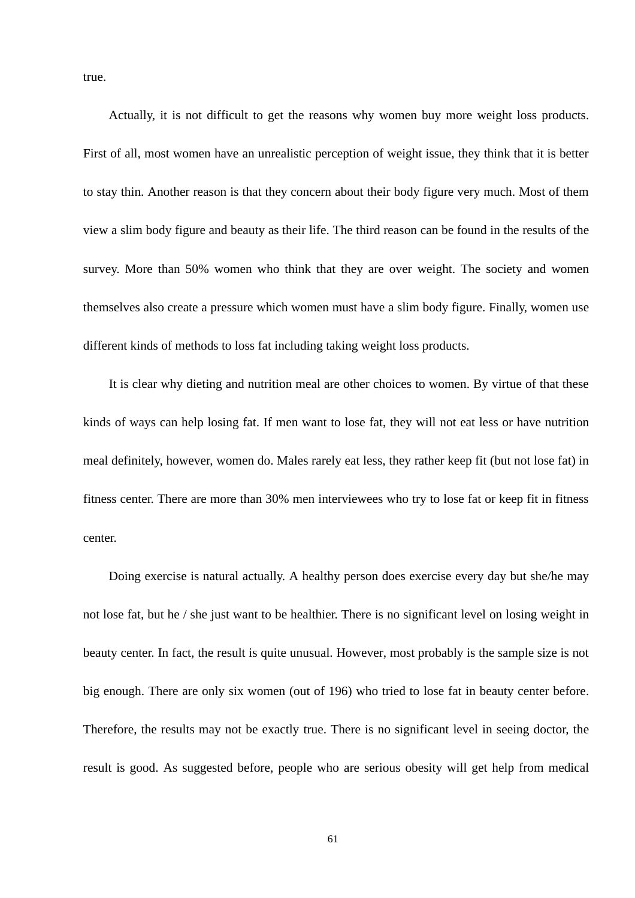true.

 Actually, it is not difficult to get the reasons why women buy more weight loss products. First of all, most women have an unrealistic perception of weight issue, they think that it is better to stay thin. Another reason is that they concern about their body figure very much. Most of them view a slim body figure and beauty as their life. The third reason can be found in the results of the survey. More than 50% women who think that they are over weight. The society and women themselves also create a pressure which women must have a slim body figure. Finally, women use different kinds of methods to loss fat including taking weight loss products.

 It is clear why dieting and nutrition meal are other choices to women. By virtue of that these kinds of ways can help losing fat. If men want to lose fat, they will not eat less or have nutrition meal definitely, however, women do. Males rarely eat less, they rather keep fit (but not lose fat) in fitness center. There are more than 30% men interviewees who try to lose fat or keep fit in fitness center.

 Doing exercise is natural actually. A healthy person does exercise every day but she/he may not lose fat, but he / she just want to be healthier. There is no significant level on losing weight in beauty center. In fact, the result is quite unusual. However, most probably is the sample size is not big enough. There are only six women (out of 196) who tried to lose fat in beauty center before. Therefore, the results may not be exactly true. There is no significant level in seeing doctor, the result is good. As suggested before, people who are serious obesity will get help from medical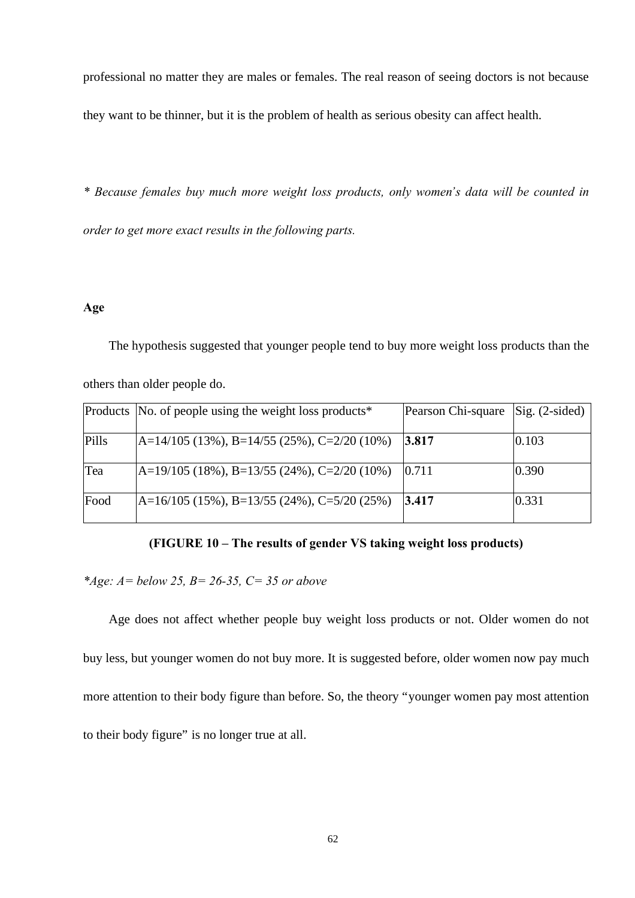professional no matter they are males or females. The real reason of seeing doctors is not because they want to be thinner, but it is the problem of health as serious obesity can affect health.

*\* Because females buy much more weight loss products, only women's data will be counted in order to get more exact results in the following parts.*

## **Age**

 The hypothesis suggested that younger people tend to buy more weight loss products than the others than older people do.

|       | Products No. of people using the weight loss products <sup>*</sup> | Pearson Chi-square Sig. (2-sided) |       |
|-------|--------------------------------------------------------------------|-----------------------------------|-------|
| Pills | $A=14/105$ (13%), B=14/55 (25%), C=2/20 (10%)                      | 3.817                             | 0.103 |
| Tea   | $[A=19/105 (18\%), B=13/55 (24\%), C=2/20 (10\%)$                  | 10.711                            | 0.390 |
| Food  | $A=16/105$ (15%), B=13/55 (24%), C=5/20 (25%)                      | 3.417                             | 0.331 |

# **(FIGURE 10 – The results of gender VS taking weight loss products)**

*\*Age: A= below 25, B= 26-35, C= 35 or above*

 Age does not affect whether people buy weight loss products or not. Older women do not buy less, but younger women do not buy more. It is suggested before, older women now pay much more attention to their body figure than before. So, the theory "younger women pay most attention to their body figure" is no longer true at all.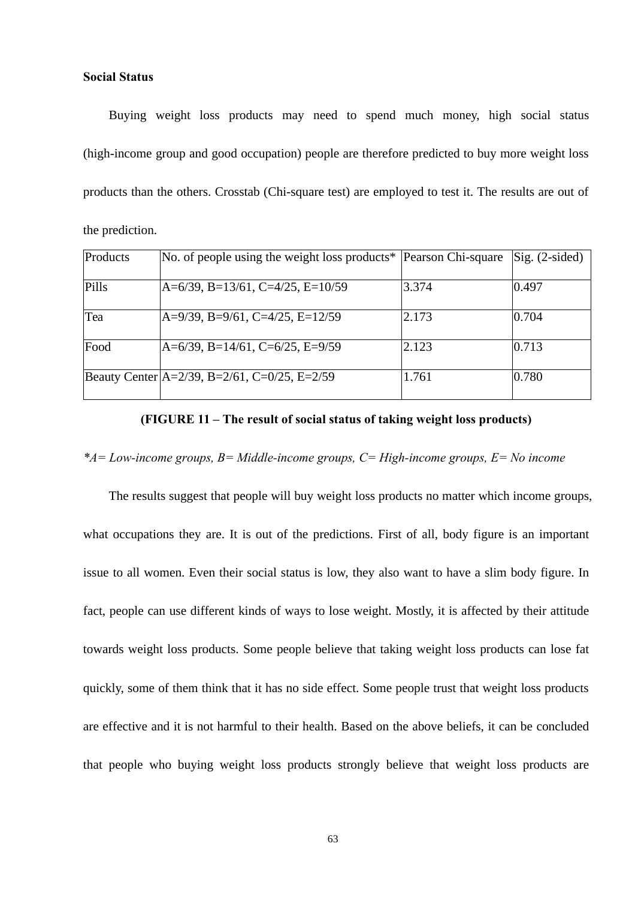**Social Status**

 Buying weight loss products may need to spend much money, high social status (high-income group and good occupation) people are therefore predicted to buy more weight loss products than the others. Crosstab (Chi-square test) are employed to test it. The results are out of the prediction.

| Products | No. of people using the weight loss products* Pearson Chi-square |       | $\text{Sig.}$ (2-sided) |
|----------|------------------------------------------------------------------|-------|-------------------------|
| Pills    | $A=6/39$ , B=13/61, C=4/25, E=10/59                              | 3.374 | 0.497                   |
| Tea      | $A=9/39$ , B=9/61, C=4/25, E=12/59                               | 2.173 | 0.704                   |
| Food     | $A=6/39$ , B=14/61, C=6/25, E=9/59                               | 2.123 | 0.713                   |
|          | Beauty Center $A=2/39$ , B=2/61, C=0/25, E=2/59                  | 1.761 | 0.780                   |

# **(FIGURE 11 – The result of social status of taking weight loss products)**

*\*A= Low-income groups, B= Middle-income groups, C= High-income groups, E= No income*

 The results suggest that people will buy weight loss products no matter which income groups, what occupations they are. It is out of the predictions. First of all, body figure is an important issue to all women. Even their social status is low, they also want to have a slim body figure. In fact, people can use different kinds of ways to lose weight. Mostly, it is affected by their attitude towards weight loss products. Some people believe that taking weight loss products can lose fat quickly, some of them think that it has no side effect. Some people trust that weight loss products are effective and it is not harmful to their health. Based on the above beliefs, it can be concluded that people who buying weight loss products strongly believe that weight loss products are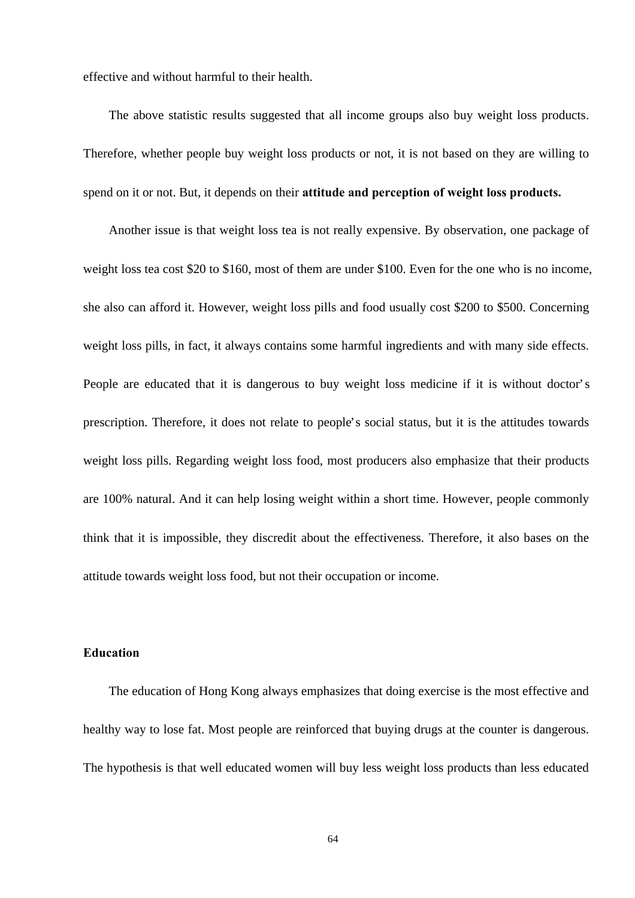effective and without harmful to their health.

 The above statistic results suggested that all income groups also buy weight loss products. Therefore, whether people buy weight loss products or not, it is not based on they are willing to spend on it or not. But, it depends on their **attitude and perception of weight loss products.** 

Another issue is that weight loss tea is not really expensive. By observation, one package of weight loss tea cost \$20 to \$160, most of them are under \$100. Even for the one who is no income, she also can afford it. However, weight loss pills and food usually cost \$200 to \$500. Concerning weight loss pills, in fact, it always contains some harmful ingredients and with many side effects. People are educated that it is dangerous to buy weight loss medicine if it is without doctor's prescription. Therefore, it does not relate to people's social status, but it is the attitudes towards weight loss pills. Regarding weight loss food, most producers also emphasize that their products are 100% natural. And it can help losing weight within a short time. However, people commonly think that it is impossible, they discredit about the effectiveness. Therefore, it also bases on the attitude towards weight loss food, but not their occupation or income.

## **Education**

 The education of Hong Kong always emphasizes that doing exercise is the most effective and healthy way to lose fat. Most people are reinforced that buying drugs at the counter is dangerous. The hypothesis is that well educated women will buy less weight loss products than less educated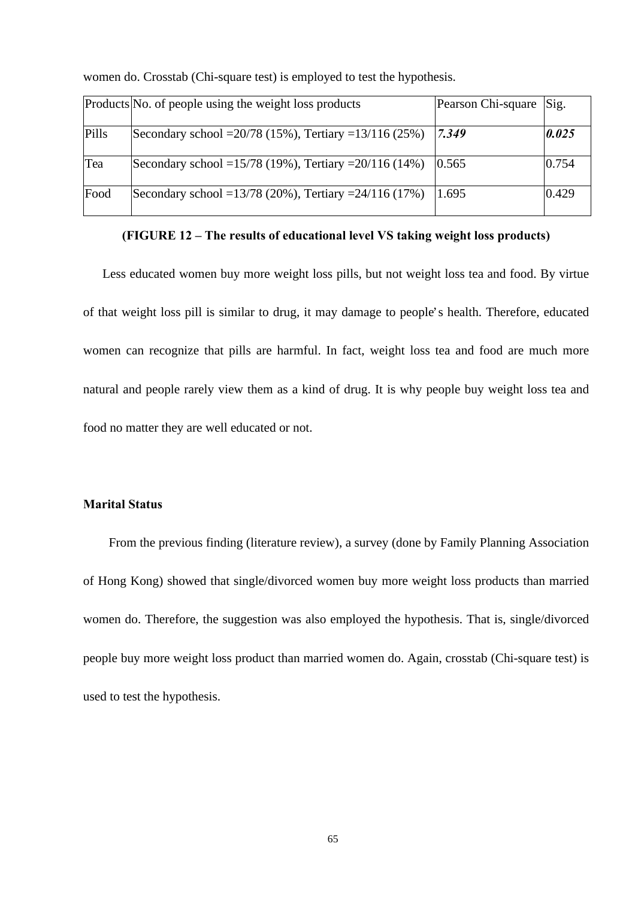|       | Products No. of people using the weight loss products       | Pearson Chi-square | Sig.  |
|-------|-------------------------------------------------------------|--------------------|-------|
| Pills | Secondary school = $20/78$ (15%), Tertiary = $13/116$ (25%) | 7.349              | 0.025 |
| Tea   | Secondary school = $15/78$ (19%), Tertiary = $20/116$ (14%) | 0.565              | 0.754 |
| Food  | Secondary school = $13/78$ (20%), Tertiary = $24/116$ (17%) | 1.695              | 0.429 |

women do. Crosstab (Chi-square test) is employed to test the hypothesis.

**(FIGURE 12 – The results of educational level VS taking weight loss products)**

 Less educated women buy more weight loss pills, but not weight loss tea and food. By virtue of that weight loss pill is similar to drug, it may damage to people's health. Therefore, educated women can recognize that pills are harmful. In fact, weight loss tea and food are much more natural and people rarely view them as a kind of drug. It is why people buy weight loss tea and food no matter they are well educated or not.

# **Marital Status**

 From the previous finding (literature review), a survey (done by Family Planning Association of Hong Kong) showed that single/divorced women buy more weight loss products than married women do. Therefore, the suggestion was also employed the hypothesis. That is, single/divorced people buy more weight loss product than married women do. Again, crosstab (Chi-square test) is used to test the hypothesis.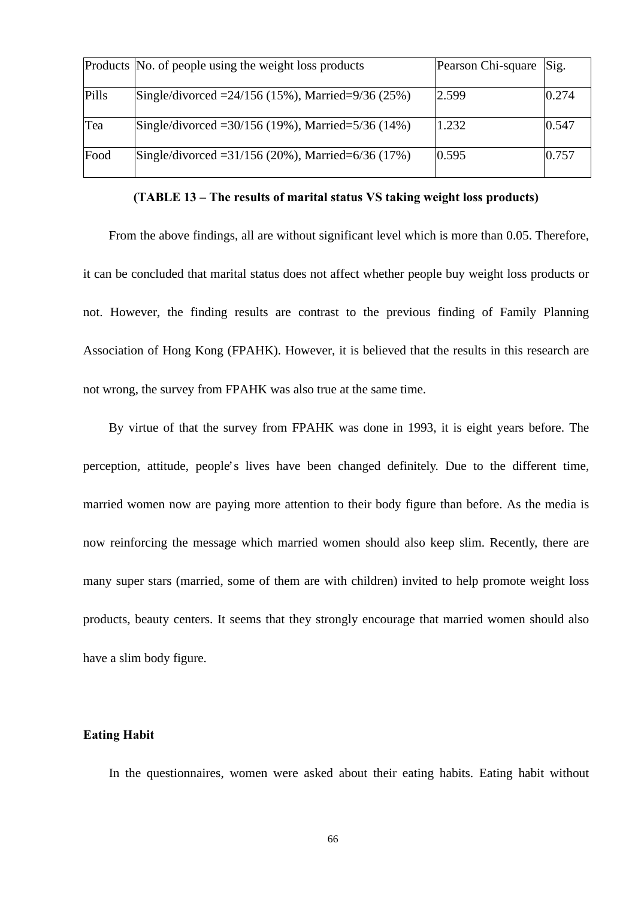|       | Products No. of people using the weight loss products   | Pearson Chi-square | Sig.  |
|-------|---------------------------------------------------------|--------------------|-------|
| Pills | Single/divorced = $24/156$ (15%), Married= $9/36$ (25%) | 2.599              | 0.274 |
| Tea   | Single/divorced = 30/156 (19%), Married=5/36 (14%)      | 1.232              | 0.547 |
| Food  | Single/divorced = $31/156$ (20%), Married= $6/36$ (17%) | 0.595              | 0.757 |

**(TABLE 13 – The results of marital status VS taking weight loss products)**

From the above findings, all are without significant level which is more than 0.05. Therefore, it can be concluded that marital status does not affect whether people buy weight loss products or not. However, the finding results are contrast to the previous finding of Family Planning Association of Hong Kong (FPAHK). However, it is believed that the results in this research are not wrong, the survey from FPAHK was also true at the same time.

 By virtue of that the survey from FPAHK was done in 1993, it is eight years before. The perception, attitude, people's lives have been changed definitely. Due to the different time, married women now are paying more attention to their body figure than before. As the media is now reinforcing the message which married women should also keep slim. Recently, there are many super stars (married, some of them are with children) invited to help promote weight loss products, beauty centers. It seems that they strongly encourage that married women should also have a slim body figure.

### **Eating Habit**

In the questionnaires, women were asked about their eating habits. Eating habit without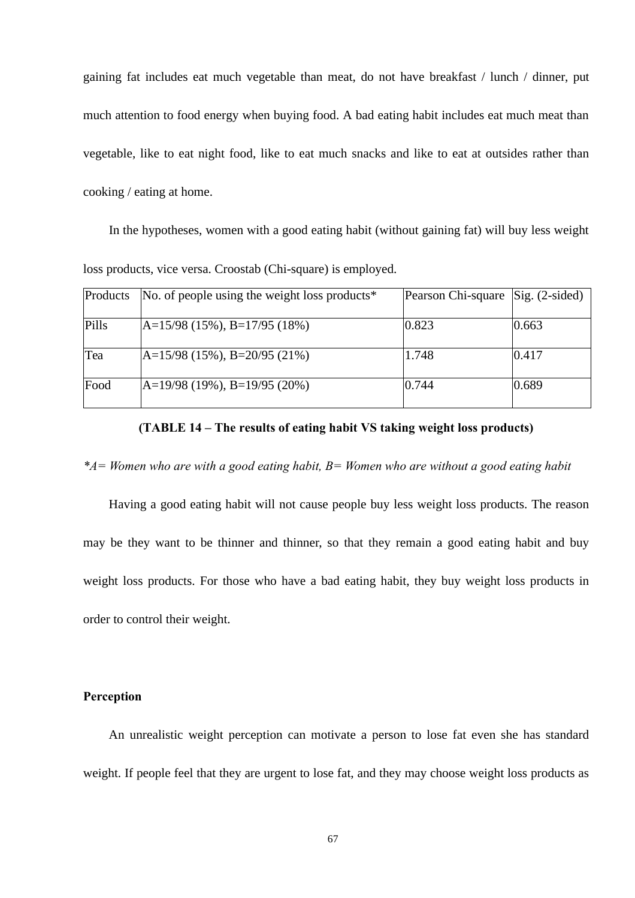gaining fat includes eat much vegetable than meat, do not have breakfast / lunch / dinner, put much attention to food energy when buying food. A bad eating habit includes eat much meat than vegetable, like to eat night food, like to eat much snacks and like to eat at outsides rather than cooking / eating at home.

In the hypotheses, women with a good eating habit (without gaining fat) will buy less weight loss products, vice versa. Croostab (Chi-square) is employed.

| Products | No. of people using the weight loss products <sup>*</sup> | Pearson Chi-square Sig. (2-sided) |       |
|----------|-----------------------------------------------------------|-----------------------------------|-------|
| Pills    | $A=15/98$ (15%), B=17/95 (18%)                            | 0.823                             | 0.663 |
| Tea      | $A=15/98$ (15%), B=20/95 (21%)                            | 1.748                             | 0.417 |
| Food     | $A=19/98$ (19%), B=19/95 (20%)                            | 0.744                             | 0.689 |

**(TABLE 14 – The results of eating habit VS taking weight loss products)**

*\*A= Women who are with a good eating habit, B= Women who are without a good eating habit*

 Having a good eating habit will not cause people buy less weight loss products. The reason may be they want to be thinner and thinner, so that they remain a good eating habit and buy weight loss products. For those who have a bad eating habit, they buy weight loss products in order to control their weight.

# **Perception**

 An unrealistic weight perception can motivate a person to lose fat even she has standard weight. If people feel that they are urgent to lose fat, and they may choose weight loss products as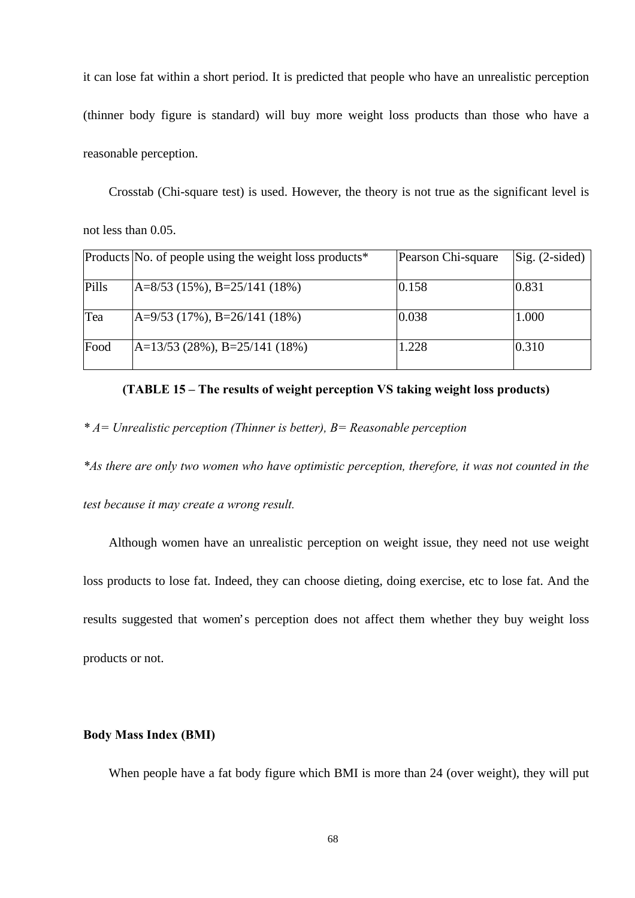it can lose fat within a short period. It is predicted that people who have an unrealistic perception (thinner body figure is standard) will buy more weight loss products than those who have a reasonable perception.

Crosstab (Chi-square test) is used. However, the theory is not true as the significant level is

not less than 0.05.

|       | Products No. of people using the weight loss products <sup>*</sup> | Pearson Chi-square | $\text{Sig.}$ (2-sided) |
|-------|--------------------------------------------------------------------|--------------------|-------------------------|
| Pills | $A=8/53$ (15%), B=25/141 (18%)                                     | 0.158              | 0.831                   |
| Tea   | $A=9/53$ (17%), B=26/141 (18%)                                     | 0.038              | 1.000                   |
| Food  | $A=13/53$ (28%), B=25/141 (18%)                                    | 1.228              | 0.310                   |

## **(TABLE 15 – The results of weight perception VS taking weight loss products)**

*\* A= Unrealistic perception (Thinner is better), B= Reasonable perception*

*\*As there are only two women who have optimistic perception, therefore, it was not counted in the* 

*test because it may create a wrong result.* 

 Although women have an unrealistic perception on weight issue, they need not use weight loss products to lose fat. Indeed, they can choose dieting, doing exercise, etc to lose fat. And the results suggested that women's perception does not affect them whether they buy weight loss products or not.

# **Body Mass Index (BMI)**

When people have a fat body figure which BMI is more than 24 (over weight), they will put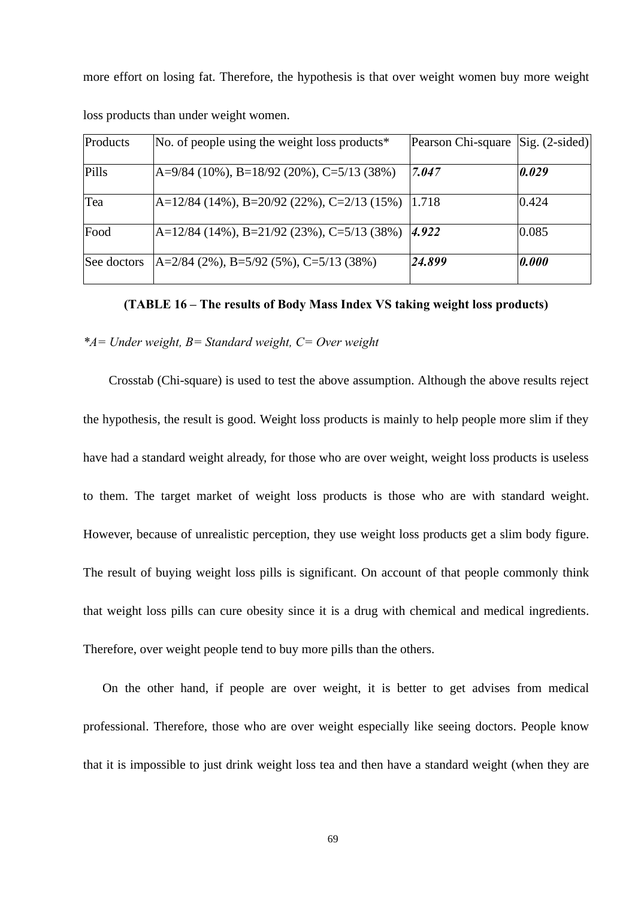more effort on losing fat. Therefore, the hypothesis is that over weight women buy more weight

| Products    | No. of people using the weight loss products <sup>*</sup> | Pearson Chi-square | $\text{Sig.}$ (2-sided) |
|-------------|-----------------------------------------------------------|--------------------|-------------------------|
|             |                                                           |                    |                         |
| Pills       | $A=9/84$ (10%), B=18/92 (20%), C=5/13 (38%)               | 7.047              | 0.029                   |
|             |                                                           |                    |                         |
| Tea         | $A=12/84$ (14%), B=20/92 (22%), C=2/13 (15%)              | 1.718              | 0.424                   |
| Food        | $A=12/84$ (14%), B=21/92 (23%), C=5/13 (38%)              | 4.922              | 0.085                   |
| See doctors | $A=2/84$ (2%), B=5/92 (5%), C=5/13 (38%)                  | 24.899             | 0.000                   |

loss products than under weight women.

**(TABLE 16 – The results of Body Mass Index VS taking weight loss products)**

## *\*A= Under weight, B= Standard weight, C= Over weight*

 Crosstab (Chi-square) is used to test the above assumption. Although the above results reject the hypothesis, the result is good. Weight loss products is mainly to help people more slim if they have had a standard weight already, for those who are over weight, weight loss products is useless to them. The target market of weight loss products is those who are with standard weight. However, because of unrealistic perception, they use weight loss products get a slim body figure. The result of buying weight loss pills is significant. On account of that people commonly think that weight loss pills can cure obesity since it is a drug with chemical and medical ingredients. Therefore, over weight people tend to buy more pills than the others.

On the other hand, if people are over weight, it is better to get advises from medical professional. Therefore, those who are over weight especially like seeing doctors. People know that it is impossible to just drink weight loss tea and then have a standard weight (when they are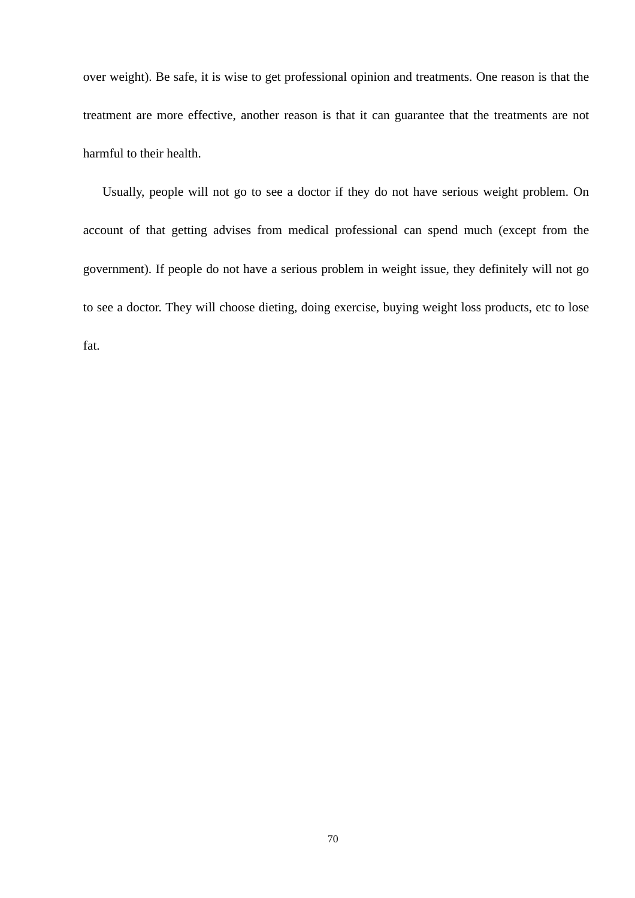over weight). Be safe, it is wise to get professional opinion and treatments. One reason is that the treatment are more effective, another reason is that it can guarantee that the treatments are not harmful to their health.

Usually, people will not go to see a doctor if they do not have serious weight problem. On account of that getting advises from medical professional can spend much (except from the government). If people do not have a serious problem in weight issue, they definitely will not go to see a doctor. They will choose dieting, doing exercise, buying weight loss products, etc to lose fat.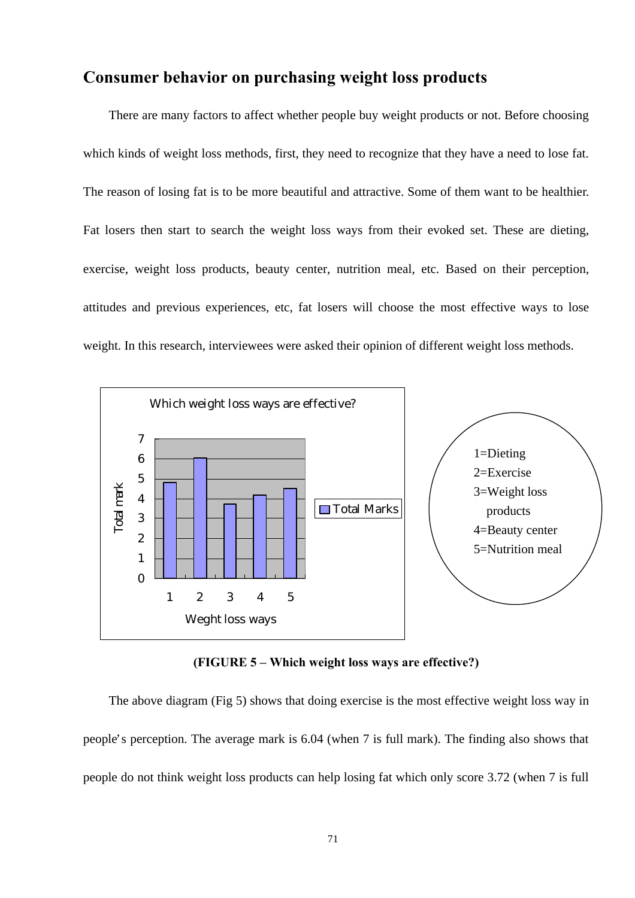# **Consumer behavior on purchasing weight loss products**

 There are many factors to affect whether people buy weight products or not. Before choosing which kinds of weight loss methods, first, they need to recognize that they have a need to lose fat. The reason of losing fat is to be more beautiful and attractive. Some of them want to be healthier. Fat losers then start to search the weight loss ways from their evoked set. These are dieting, exercise, weight loss products, beauty center, nutrition meal, etc. Based on their perception, attitudes and previous experiences, etc, fat losers will choose the most effective ways to lose weight. In this research, interviewees were asked their opinion of different weight loss methods.



**(FIGURE 5 – Which weight loss ways are effective?)**

 The above diagram (Fig 5) shows that doing exercise is the most effective weight loss way in people's perception. The average mark is 6.04 (when 7 is full mark). The finding also shows that people do not think weight loss products can help losing fat which only score 3.72 (when 7 is full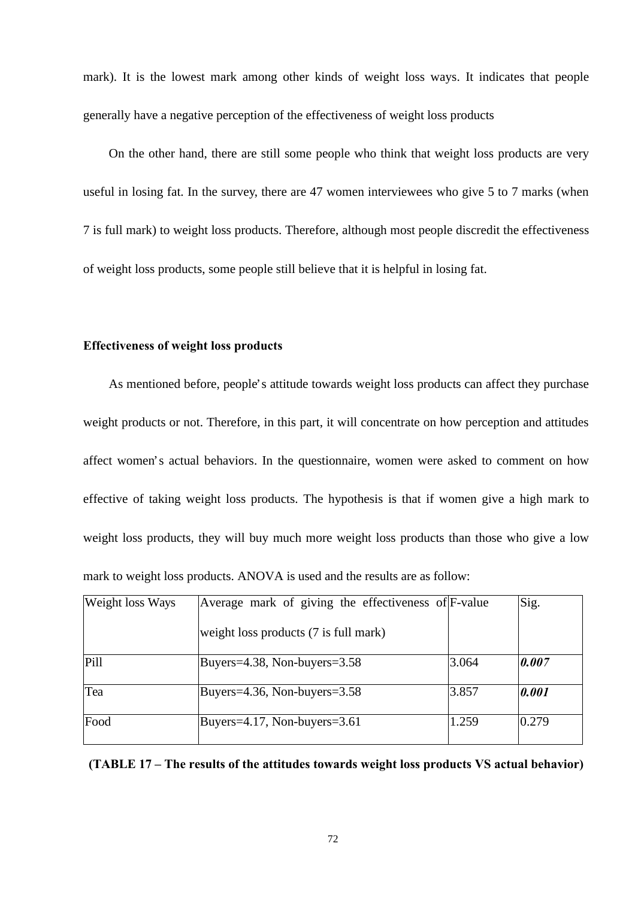mark). It is the lowest mark among other kinds of weight loss ways. It indicates that people generally have a negative perception of the effectiveness of weight loss products

 On the other hand, there are still some people who think that weight loss products are very useful in losing fat. In the survey, there are 47 women interviewees who give 5 to 7 marks (when 7 is full mark) to weight loss products. Therefore, although most people discredit the effectiveness of weight loss products, some people still believe that it is helpful in losing fat.

### **Effectiveness of weight loss products**

 As mentioned before, people's attitude towards weight loss products can affect they purchase weight products or not. Therefore, in this part, it will concentrate on how perception and attitudes affect women's actual behaviors. In the questionnaire, women were asked to comment on how effective of taking weight loss products. The hypothesis is that if women give a high mark to weight loss products, they will buy much more weight loss products than those who give a low mark to weight loss products. ANOVA is used and the results are as follow:

| Weight loss Ways | Average mark of giving the effectiveness of F-value |       | Sig.  |
|------------------|-----------------------------------------------------|-------|-------|
|                  | weight loss products (7 is full mark)               |       |       |
| Pill             | Buyers= $4.38$ , Non-buyers= $3.58$                 | 3.064 | 0.007 |
| Tea              | Buyers= $4.36$ , Non-buyers= $3.58$                 | 3.857 | 0.001 |
| Food             | Buyers=4.17, Non-buyers= $3.61$                     | 1.259 | 0.279 |

**(TABLE 17 – The results of the attitudes towards weight loss products VS actual behavior)**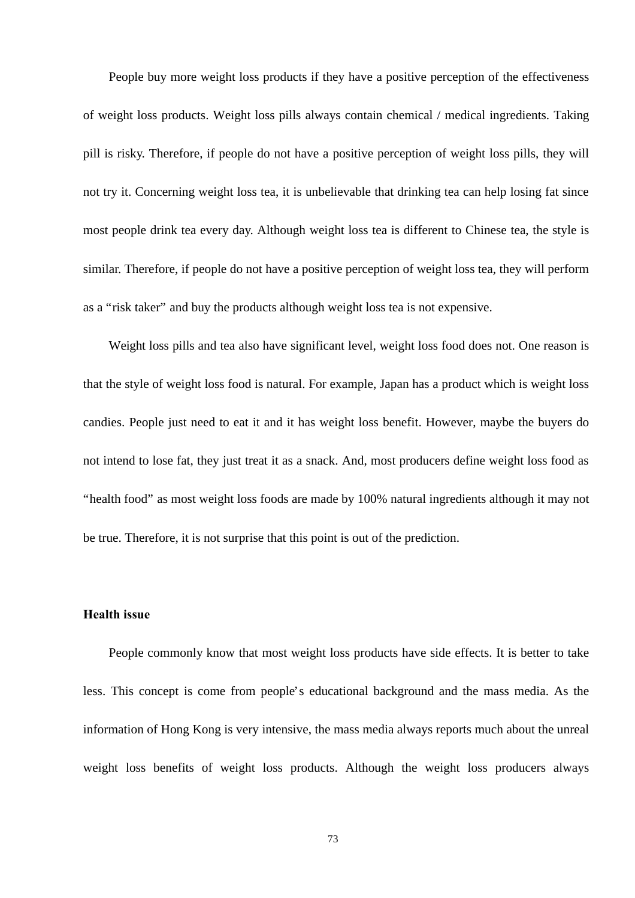People buy more weight loss products if they have a positive perception of the effectiveness of weight loss products. Weight loss pills always contain chemical / medical ingredients. Taking pill is risky. Therefore, if people do not have a positive perception of weight loss pills, they will not try it. Concerning weight loss tea, it is unbelievable that drinking tea can help losing fat since most people drink tea every day. Although weight loss tea is different to Chinese tea, the style is similar. Therefore, if people do not have a positive perception of weight loss tea, they will perform as a "risk taker" and buy the products although weight loss tea is not expensive.

 Weight loss pills and tea also have significant level, weight loss food does not. One reason is that the style of weight loss food is natural. For example, Japan has a product which is weight loss candies. People just need to eat it and it has weight loss benefit. However, maybe the buyers do not intend to lose fat, they just treat it as a snack. And, most producers define weight loss food as "health food" as most weight loss foods are made by 100% natural ingredients although it may not be true. Therefore, it is not surprise that this point is out of the prediction.

### **Health issue**

 People commonly know that most weight loss products have side effects. It is better to take less. This concept is come from people's educational background and the mass media. As the information of Hong Kong is very intensive, the mass media always reports much about the unreal weight loss benefits of weight loss products. Although the weight loss producers always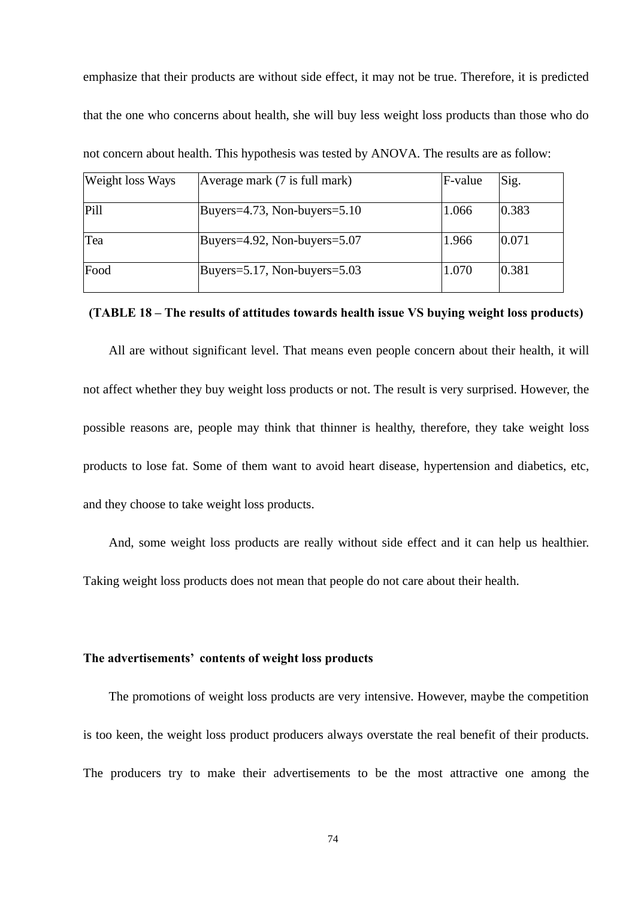emphasize that their products are without side effect, it may not be true. Therefore, it is predicted that the one who concerns about health, she will buy less weight loss products than those who do not concern about health. This hypothesis was tested by ANOVA. The results are as follow:

| Weight loss Ways | Average mark (7 is full mark)       | F-value | Sig.            |
|------------------|-------------------------------------|---------|-----------------|
| Pill             | Buyers=4.73, Non-buyers=5.10        | 1.066   | $ 0.383\rangle$ |
| Tea              | Buyers=4.92, Non-buyers= $5.07$     | 1.966   | 0.071           |
| Food             | Buyers= $5.17$ , Non-buyers= $5.03$ | 1.070   | 0.381           |

### **(TABLE 18 – The results of attitudes towards health issue VS buying weight loss products)**

 All are without significant level. That means even people concern about their health, it will not affect whether they buy weight loss products or not. The result is very surprised. However, the possible reasons are, people may think that thinner is healthy, therefore, they take weight loss products to lose fat. Some of them want to avoid heart disease, hypertension and diabetics, etc, and they choose to take weight loss products.

And, some weight loss products are really without side effect and it can help us healthier.

Taking weight loss products does not mean that people do not care about their health.

#### **The advertisements' contents of weight loss products**

 The promotions of weight loss products are very intensive. However, maybe the competition is too keen, the weight loss product producers always overstate the real benefit of their products. The producers try to make their advertisements to be the most attractive one among the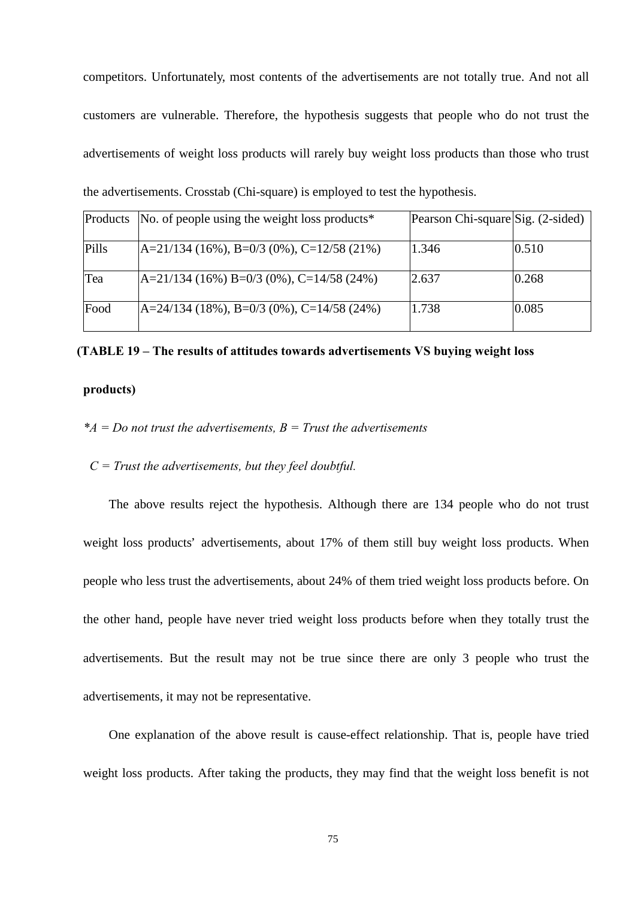competitors. Unfortunately, most contents of the advertisements are not totally true. And not all customers are vulnerable. Therefore, the hypothesis suggests that people who do not trust the advertisements of weight loss products will rarely buy weight loss products than those who trust the advertisements. Crosstab (Chi-square) is employed to test the hypothesis.

|       | Products No. of people using the weight loss products <sup>*</sup> | Pearson Chi-square Sig. (2-sided) |       |
|-------|--------------------------------------------------------------------|-----------------------------------|-------|
| Pills | $ A=21/134 (16\%)$ , B=0/3 (0%), C=12/58 (21%)                     | 1.346                             | 0.510 |
| Tea   | $A=21/134(16\%) B=0/3(0\%)$ , C=14/58(24%)                         | 2.637                             | 0.268 |
| Food  | $A=24/134$ (18%), B=0/3 (0%), C=14/58 (24%)                        | 1.738                             | 0.085 |

### **(TABLE 19 – The results of attitudes towards advertisements VS buying weight loss**

### **products)**

- *\*A = Do not trust the advertisements, B = Trust the advertisements*
- *C = Trust the advertisements, but they feel doubtful.*

 The above results reject the hypothesis. Although there are 134 people who do not trust weight loss products' advertisements, about 17% of them still buy weight loss products. When people who less trust the advertisements, about 24% of them tried weight loss products before. On the other hand, people have never tried weight loss products before when they totally trust the advertisements. But the result may not be true since there are only 3 people who trust the advertisements, it may not be representative.

 One explanation of the above result is cause-effect relationship. That is, people have tried weight loss products. After taking the products, they may find that the weight loss benefit is not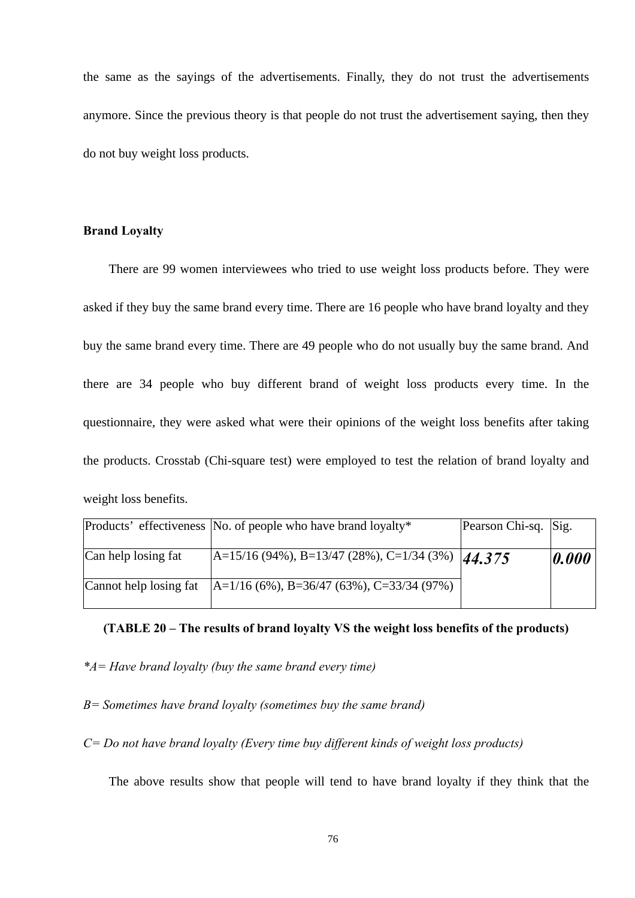the same as the sayings of the advertisements. Finally, they do not trust the advertisements anymore. Since the previous theory is that people do not trust the advertisement saying, then they do not buy weight loss products.

### **Brand Loyalty**

 There are 99 women interviewees who tried to use weight loss products before. They were asked if they buy the same brand every time. There are 16 people who have brand loyalty and they buy the same brand every time. There are 49 people who do not usually buy the same brand. And there are 34 people who buy different brand of weight loss products every time. In the questionnaire, they were asked what were their opinions of the weight loss benefits after taking the products. Crosstab (Chi-square test) were employed to test the relation of brand loyalty and weight loss benefits.

|                     | Products' effectiveness No. of people who have brand loyalty*         | Pearson Chi-sq. Sig. |       |
|---------------------|-----------------------------------------------------------------------|----------------------|-------|
| Can help losing fat | $\overline{A=15/16(94\%)}$ , B=13/47 (28%), C=1/34 (3%)  44.375       |                      | 0.000 |
|                     | Cannot help losing fat $ A=1/16 (6\%)$ , B=36/47 (63%), C=33/34 (97%) |                      |       |

### **(TABLE 20 – The results of brand loyalty VS the weight loss benefits of the products)**

*\*A= Have brand loyalty (buy the same brand every time)*

*B= Sometimes have brand loyalty (sometimes buy the same brand)*

*C= Do not have brand loyalty (Every time buy different kinds of weight loss products)*

The above results show that people will tend to have brand loyalty if they think that the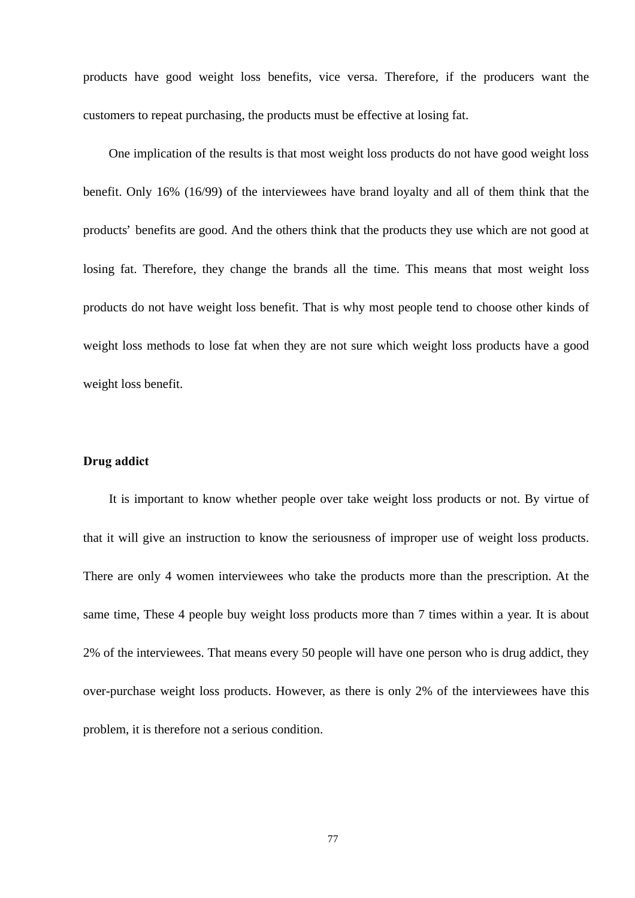products have good weight loss benefits, vice versa. Therefore, if the producers want the customers to repeat purchasing, the products must be effective at losing fat.

 One implication of the results is that most weight loss products do not have good weight loss benefit. Only 16% (16/99) of the interviewees have brand loyalty and all of them think that the products' benefits are good. And the others think that the products they use which are not good at losing fat. Therefore, they change the brands all the time. This means that most weight loss products do not have weight loss benefit. That is why most people tend to choose other kinds of weight loss methods to lose fat when they are not sure which weight loss products have a good weight loss benefit.

### **Drug addict**

 It is important to know whether people over take weight loss products or not. By virtue of that it will give an instruction to know the seriousness of improper use of weight loss products. There are only 4 women interviewees who take the products more than the prescription. At the same time, These 4 people buy weight loss products more than 7 times within a year. It is about 2% of the interviewees. That means every 50 people will have one person who is drug addict, they over-purchase weight loss products. However, as there is only 2% of the interviewees have this problem, it is therefore not a serious condition.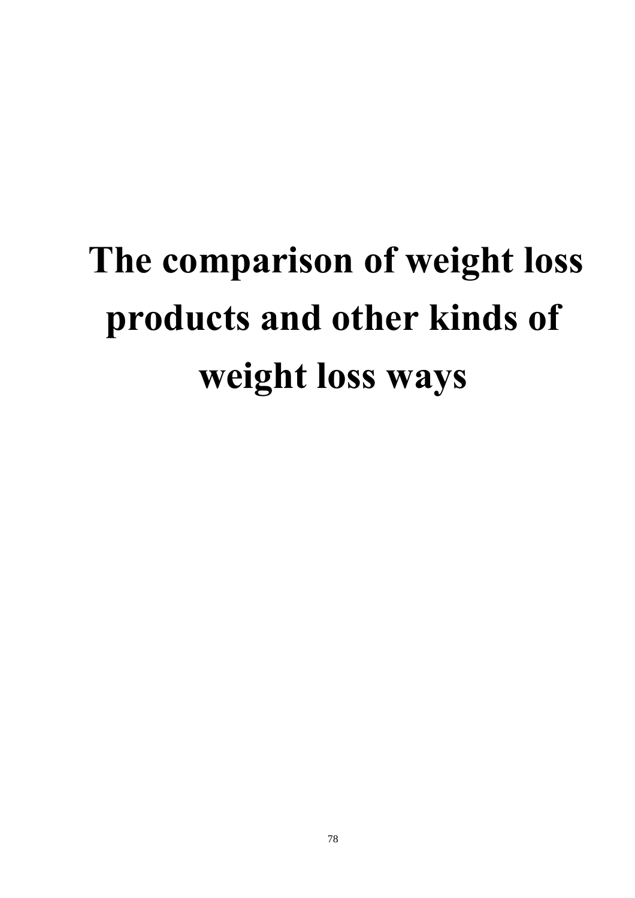# **The comparison of weight loss products and other kinds of weight loss ways**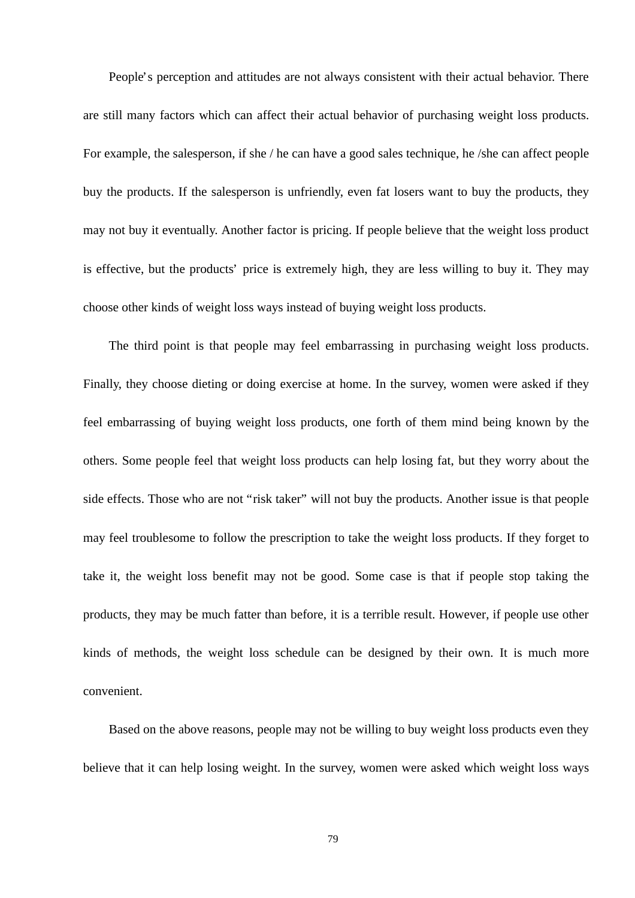People's perception and attitudes are not always consistent with their actual behavior. There are still many factors which can affect their actual behavior of purchasing weight loss products. For example, the salesperson, if she / he can have a good sales technique, he /she can affect people buy the products. If the salesperson is unfriendly, even fat losers want to buy the products, they may not buy it eventually. Another factor is pricing. If people believe that the weight loss product is effective, but the products' price is extremely high, they are less willing to buy it. They may choose other kinds of weight loss ways instead of buying weight loss products.

 The third point is that people may feel embarrassing in purchasing weight loss products. Finally, they choose dieting or doing exercise at home. In the survey, women were asked if they feel embarrassing of buying weight loss products, one forth of them mind being known by the others. Some people feel that weight loss products can help losing fat, but they worry about the side effects. Those who are not "risk taker" will not buy the products. Another issue is that people may feel troublesome to follow the prescription to take the weight loss products. If they forget to take it, the weight loss benefit may not be good. Some case is that if people stop taking the products, they may be much fatter than before, it is a terrible result. However, if people use other kinds of methods, the weight loss schedule can be designed by their own. It is much more convenient.

 Based on the above reasons, people may not be willing to buy weight loss products even they believe that it can help losing weight. In the survey, women were asked which weight loss ways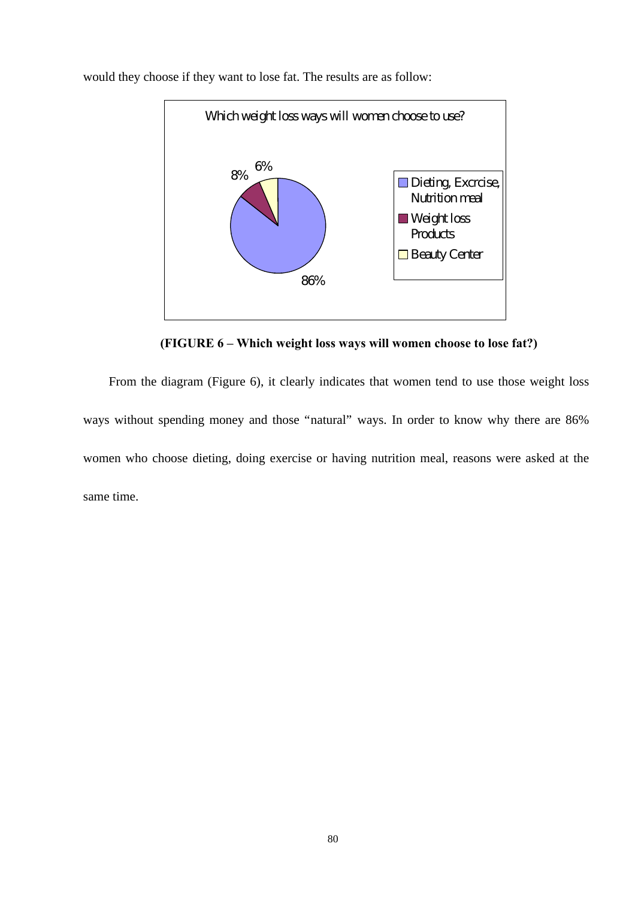

would they choose if they want to lose fat. The results are as follow:

**(FIGURE 6 – Which weight loss ways will women choose to lose fat?)**

 From the diagram (Figure 6), it clearly indicates that women tend to use those weight loss ways without spending money and those "natural" ways. In order to know why there are 86% women who choose dieting, doing exercise or having nutrition meal, reasons were asked at the same time.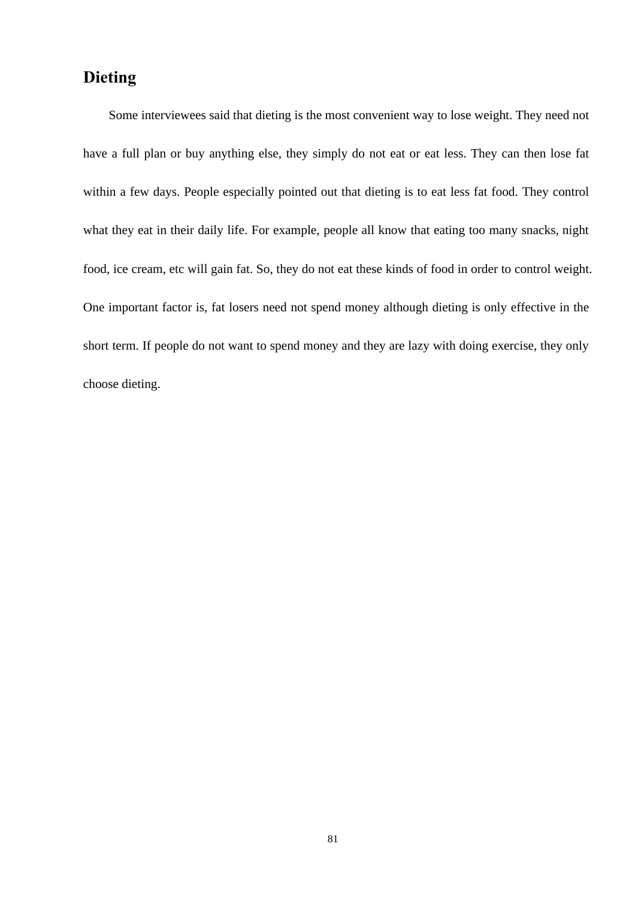# **Dieting**

 Some interviewees said that dieting is the most convenient way to lose weight. They need not have a full plan or buy anything else, they simply do not eat or eat less. They can then lose fat within a few days. People especially pointed out that dieting is to eat less fat food. They control what they eat in their daily life. For example, people all know that eating too many snacks, night food, ice cream, etc will gain fat. So, they do not eat these kinds of food in order to control weight. One important factor is, fat losers need not spend money although dieting is only effective in the short term. If people do not want to spend money and they are lazy with doing exercise, they only choose dieting.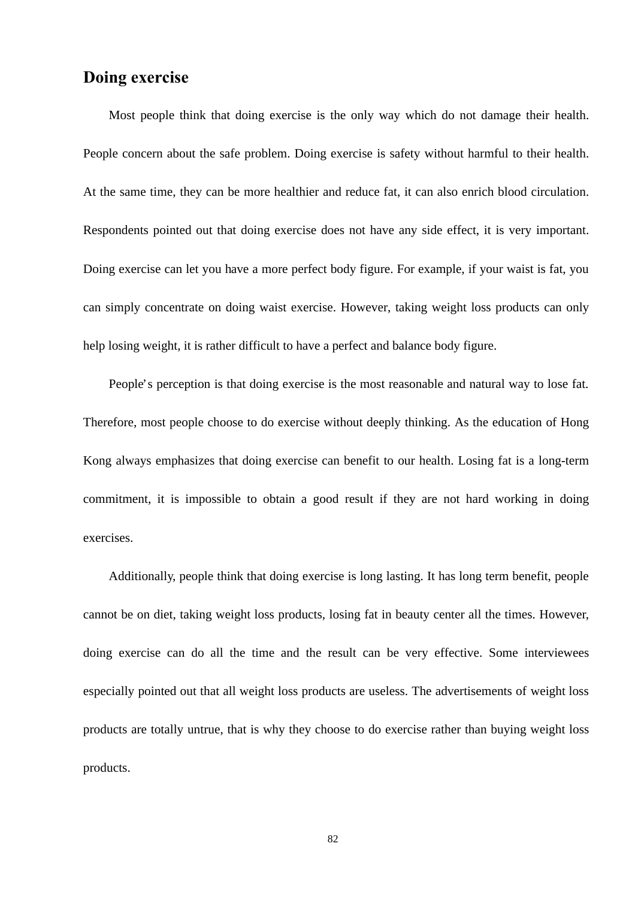# **Doing exercise**

 Most people think that doing exercise is the only way which do not damage their health. People concern about the safe problem. Doing exercise is safety without harmful to their health. At the same time, they can be more healthier and reduce fat, it can also enrich blood circulation. Respondents pointed out that doing exercise does not have any side effect, it is very important. Doing exercise can let you have a more perfect body figure. For example, if your waist is fat, you can simply concentrate on doing waist exercise. However, taking weight loss products can only help losing weight, it is rather difficult to have a perfect and balance body figure.

 People's perception is that doing exercise is the most reasonable and natural way to lose fat. Therefore, most people choose to do exercise without deeply thinking. As the education of Hong Kong always emphasizes that doing exercise can benefit to our health. Losing fat is a long-term commitment, it is impossible to obtain a good result if they are not hard working in doing exercises.

 Additionally, people think that doing exercise is long lasting. It has long term benefit, people cannot be on diet, taking weight loss products, losing fat in beauty center all the times. However, doing exercise can do all the time and the result can be very effective. Some interviewees especially pointed out that all weight loss products are useless. The advertisements of weight loss products are totally untrue, that is why they choose to do exercise rather than buying weight loss products.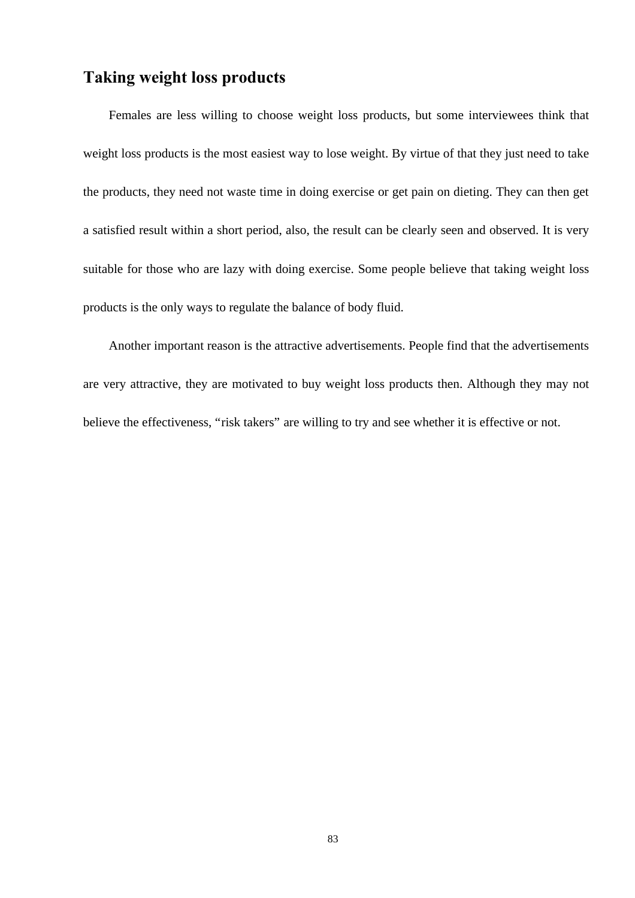# **Taking weight loss products**

 Females are less willing to choose weight loss products, but some interviewees think that weight loss products is the most easiest way to lose weight. By virtue of that they just need to take the products, they need not waste time in doing exercise or get pain on dieting. They can then get a satisfied result within a short period, also, the result can be clearly seen and observed. It is very suitable for those who are lazy with doing exercise. Some people believe that taking weight loss products is the only ways to regulate the balance of body fluid.

 Another important reason is the attractive advertisements. People find that the advertisements are very attractive, they are motivated to buy weight loss products then. Although they may not believe the effectiveness, "risk takers" are willing to try and see whether it is effective or not.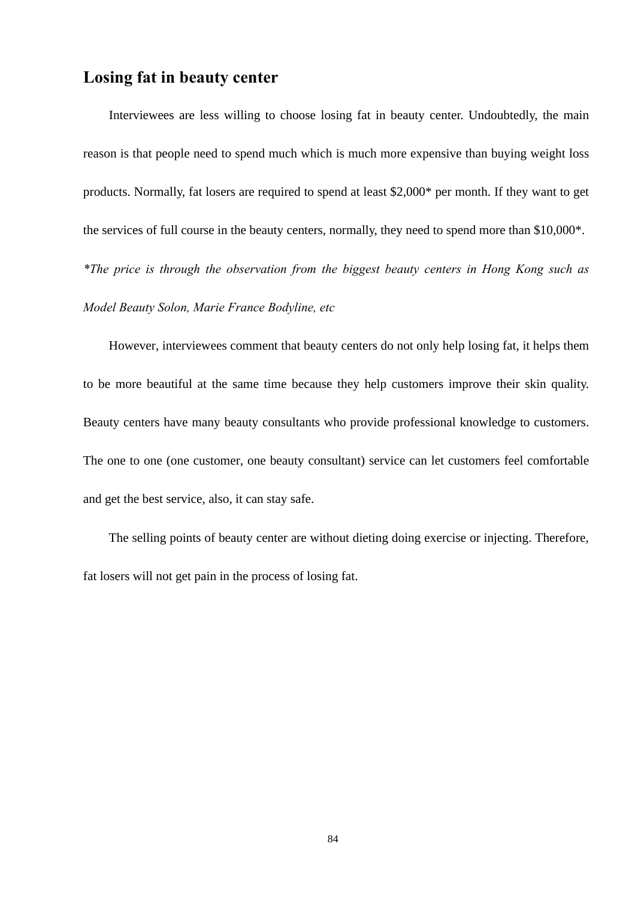### **Losing fat in beauty center**

 Interviewees are less willing to choose losing fat in beauty center. Undoubtedly, the main reason is that people need to spend much which is much more expensive than buying weight loss products. Normally, fat losers are required to spend at least \$2,000\* per month. If they want to get the services of full course in the beauty centers, normally, they need to spend more than \$10,000\*. *\*The price is through the observation from the biggest beauty centers in Hong Kong such as Model Beauty Solon, Marie France Bodyline, etc*

However, interviewees comment that beauty centers do not only help losing fat, it helps them to be more beautiful at the same time because they help customers improve their skin quality. Beauty centers have many beauty consultants who provide professional knowledge to customers. The one to one (one customer, one beauty consultant) service can let customers feel comfortable and get the best service, also, it can stay safe.

 The selling points of beauty center are without dieting doing exercise or injecting. Therefore, fat losers will not get pain in the process of losing fat.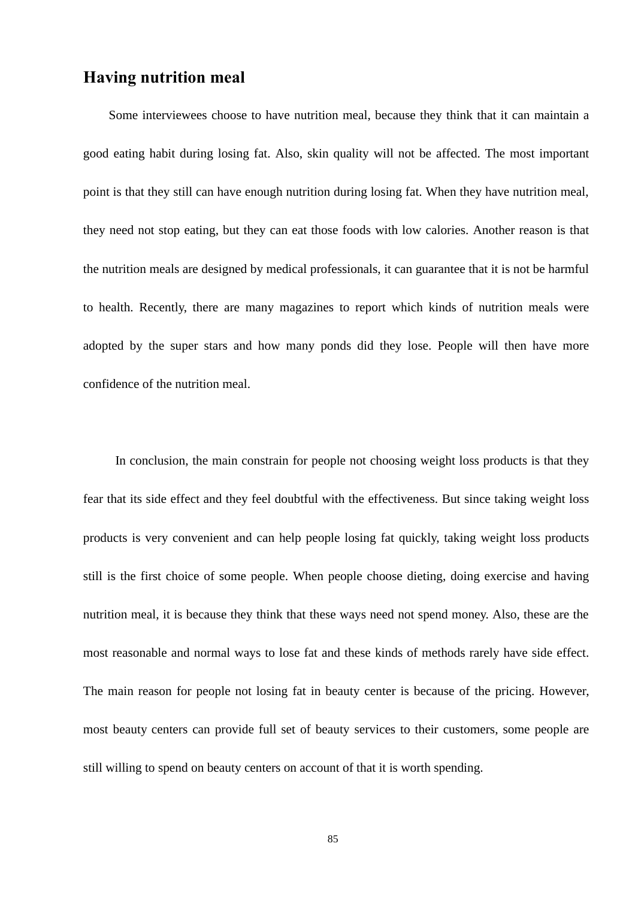# **Having nutrition meal**

 Some interviewees choose to have nutrition meal, because they think that it can maintain a good eating habit during losing fat. Also, skin quality will not be affected. The most important point is that they still can have enough nutrition during losing fat. When they have nutrition meal, they need not stop eating, but they can eat those foods with low calories. Another reason is that the nutrition meals are designed by medical professionals, it can guarantee that it is not be harmful to health. Recently, there are many magazines to report which kinds of nutrition meals were adopted by the super stars and how many ponds did they lose. People will then have more confidence of the nutrition meal.

 In conclusion, the main constrain for people not choosing weight loss products is that they fear that its side effect and they feel doubtful with the effectiveness. But since taking weight loss products is very convenient and can help people losing fat quickly, taking weight loss products still is the first choice of some people. When people choose dieting, doing exercise and having nutrition meal, it is because they think that these ways need not spend money. Also, these are the most reasonable and normal ways to lose fat and these kinds of methods rarely have side effect. The main reason for people not losing fat in beauty center is because of the pricing. However, most beauty centers can provide full set of beauty services to their customers, some people are still willing to spend on beauty centers on account of that it is worth spending.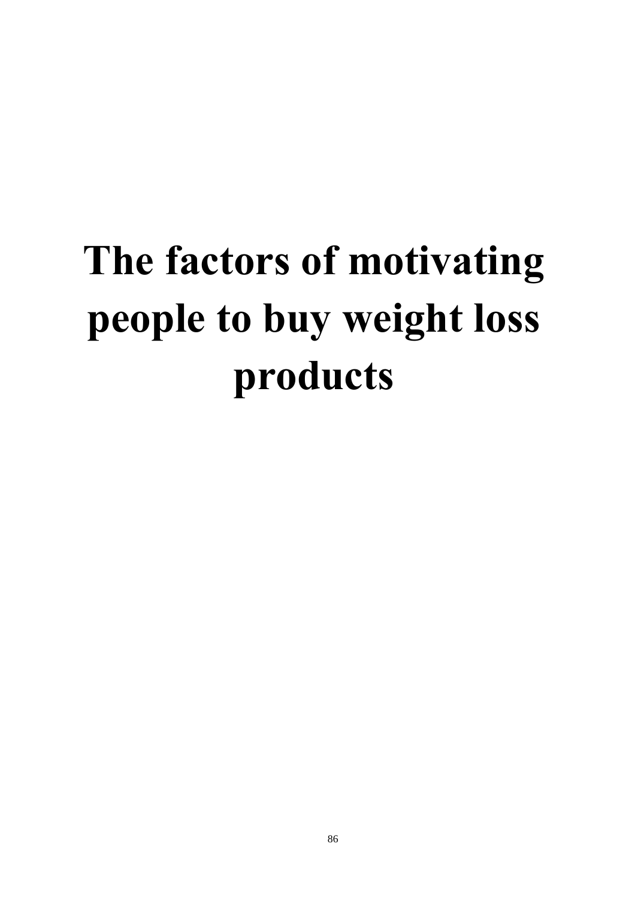# **The factors of motivating people to buy weight loss products**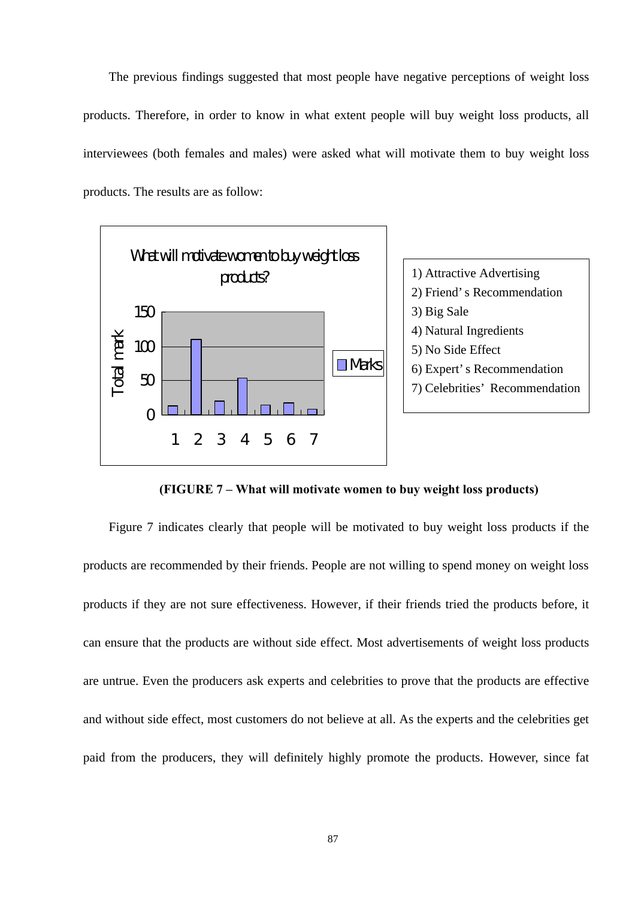The previous findings suggested that most people have negative perceptions of weight loss products. Therefore, in order to know in what extent people will buy weight loss products, all interviewees (both females and males) were asked what will motivate them to buy weight loss products. The results are as follow:



**(FIGURE 7 – What will motivate women to buy weight loss products)**

 Figure 7 indicates clearly that people will be motivated to buy weight loss products if the products are recommended by their friends. People are not willing to spend money on weight loss products if they are not sure effectiveness. However, if their friends tried the products before, it can ensure that the products are without side effect. Most advertisements of weight loss products are untrue. Even the producers ask experts and celebrities to prove that the products are effective and without side effect, most customers do not believe at all. As the experts and the celebrities get paid from the producers, they will definitely highly promote the products. However, since fat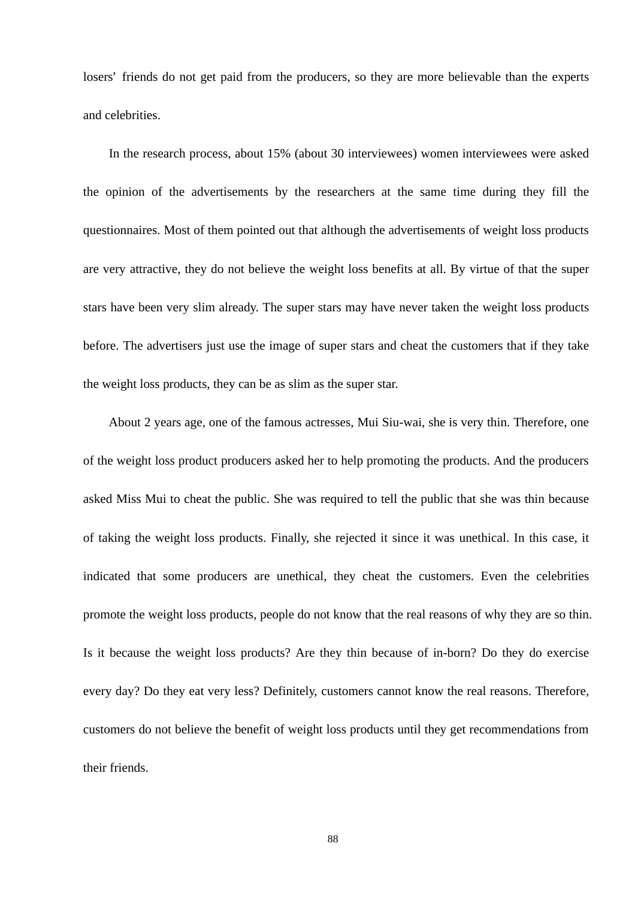losers' friends do not get paid from the producers, so they are more believable than the experts and celebrities.

 In the research process, about 15% (about 30 interviewees) women interviewees were asked the opinion of the advertisements by the researchers at the same time during they fill the questionnaires. Most of them pointed out that although the advertisements of weight loss products are very attractive, they do not believe the weight loss benefits at all. By virtue of that the super stars have been very slim already. The super stars may have never taken the weight loss products before. The advertisers just use the image of super stars and cheat the customers that if they take the weight loss products, they can be as slim as the super star.

 About 2 years age, one of the famous actresses, Mui Siu-wai, she is very thin. Therefore, one of the weight loss product producers asked her to help promoting the products. And the producers asked Miss Mui to cheat the public. She was required to tell the public that she was thin because of taking the weight loss products. Finally, she rejected it since it was unethical. In this case, it indicated that some producers are unethical, they cheat the customers. Even the celebrities promote the weight loss products, people do not know that the real reasons of why they are so thin. Is it because the weight loss products? Are they thin because of in-born? Do they do exercise every day? Do they eat very less? Definitely, customers cannot know the real reasons. Therefore, customers do not believe the benefit of weight loss products until they get recommendations from their friends.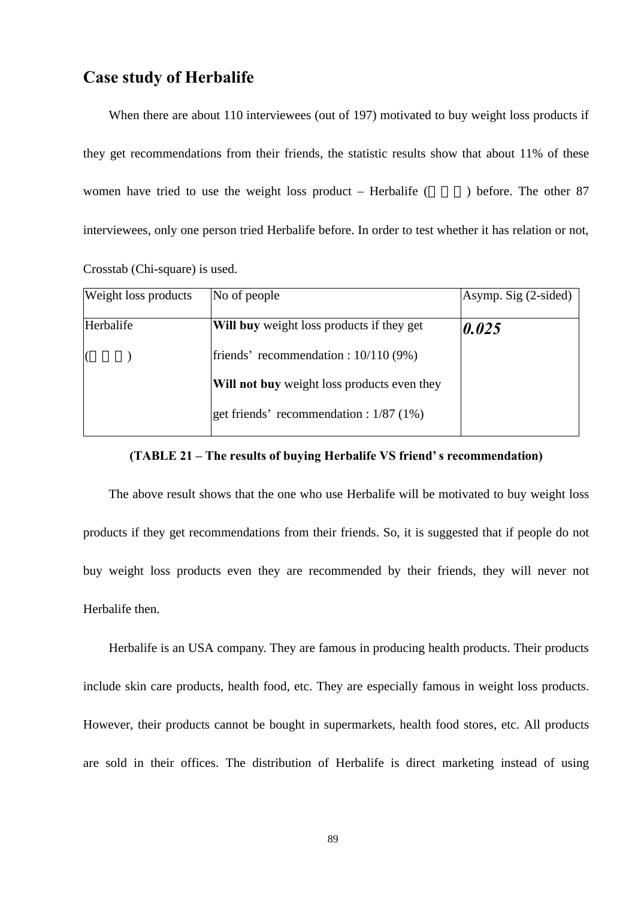# **Case study of Herbalife**

 When there are about 110 interviewees (out of 197) motivated to buy weight loss products if they get recommendations from their friends, the statistic results show that about 11% of these women have tried to use the weight loss product – Herbalife  $($  ) before. The other 87 interviewees, only one person tried Herbalife before. In order to test whether it has relation or not, Crosstab (Chi-square) is used.

| <b>Weight loss products</b> | No of people                                       | Asymp. Sig (2-sided) |
|-----------------------------|----------------------------------------------------|----------------------|
| Herbalife                   | <b>Will buy</b> weight loss products if they get   | $\boldsymbol{0.025}$ |
|                             | friends' recommendation : $10/110(9%)$             |                      |
|                             | <b>Will not buy</b> weight loss products even they |                      |
|                             | get friends' recommendation : $1/87$ (1%)          |                      |

#### **(TABLE 21 – The results of buying Herbalife VS friend's recommendation)**

 The above result shows that the one who use Herbalife will be motivated to buy weight loss products if they get recommendations from their friends. So, it is suggested that if people do not buy weight loss products even they are recommended by their friends, they will never not Herbalife then.

 Herbalife is an USA company. They are famous in producing health products. Their products include skin care products, health food, etc. They are especially famous in weight loss products. However, their products cannot be bought in supermarkets, health food stores, etc. All products are sold in their offices. The distribution of Herbalife is direct marketing instead of using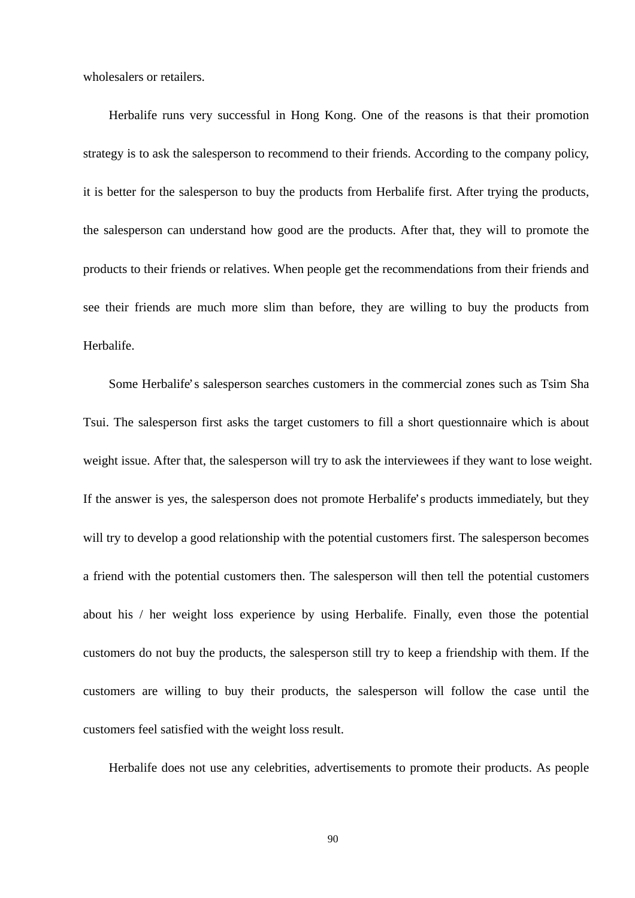wholesalers or retailers.

 Herbalife runs very successful in Hong Kong. One of the reasons is that their promotion strategy is to ask the salesperson to recommend to their friends. According to the company policy, it is better for the salesperson to buy the products from Herbalife first. After trying the products, the salesperson can understand how good are the products. After that, they will to promote the products to their friends or relatives. When people get the recommendations from their friends and see their friends are much more slim than before, they are willing to buy the products from Herbalife.

 Some Herbalife's salesperson searches customers in the commercial zones such as Tsim Sha Tsui. The salesperson first asks the target customers to fill a short questionnaire which is about weight issue. After that, the salesperson will try to ask the interviewees if they want to lose weight. If the answer is yes, the salesperson does not promote Herbalife's products immediately, but they will try to develop a good relationship with the potential customers first. The salesperson becomes a friend with the potential customers then. The salesperson will then tell the potential customers about his / her weight loss experience by using Herbalife. Finally, even those the potential customers do not buy the products, the salesperson still try to keep a friendship with them. If the customers are willing to buy their products, the salesperson will follow the case until the customers feel satisfied with the weight loss result.

Herbalife does not use any celebrities, advertisements to promote their products. As people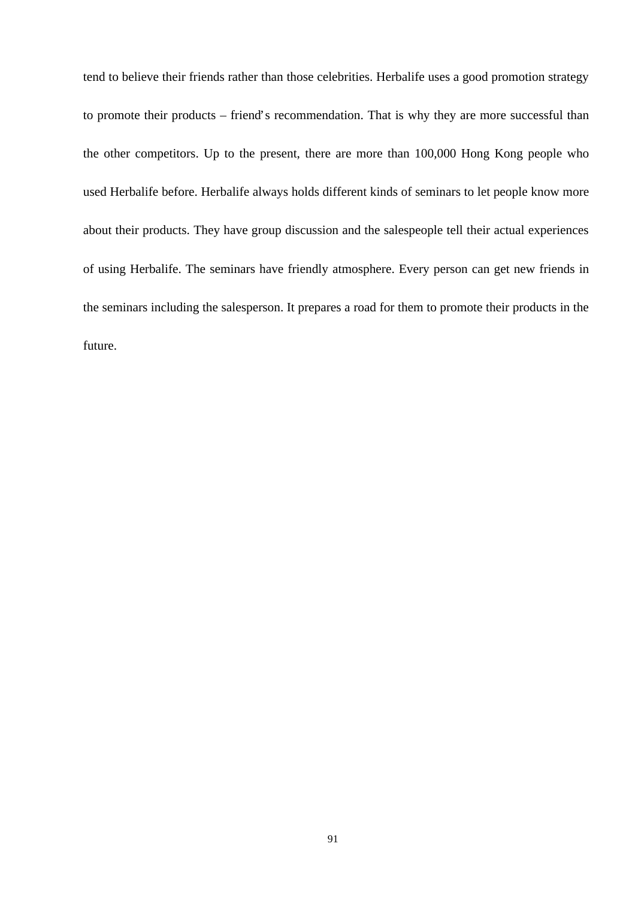tend to believe their friends rather than those celebrities. Herbalife uses a good promotion strategy to promote their products – friend's recommendation. That is why they are more successful than the other competitors. Up to the present, there are more than 100,000 Hong Kong people who used Herbalife before. Herbalife always holds different kinds of seminars to let people know more about their products. They have group discussion and the salespeople tell their actual experiences of using Herbalife. The seminars have friendly atmosphere. Every person can get new friends in the seminars including the salesperson. It prepares a road for them to promote their products in the future.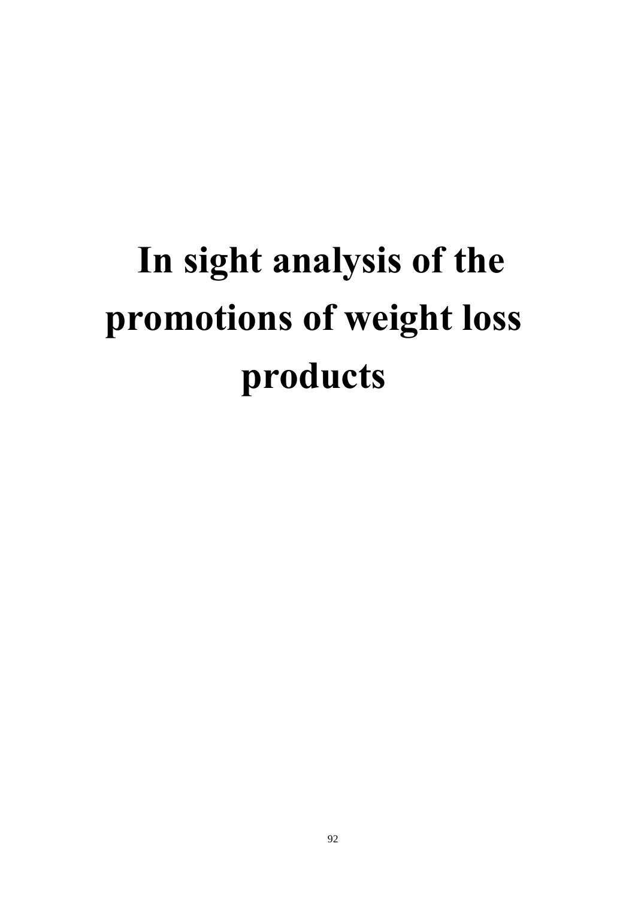# **In sight analysis of the promotions of weight loss products**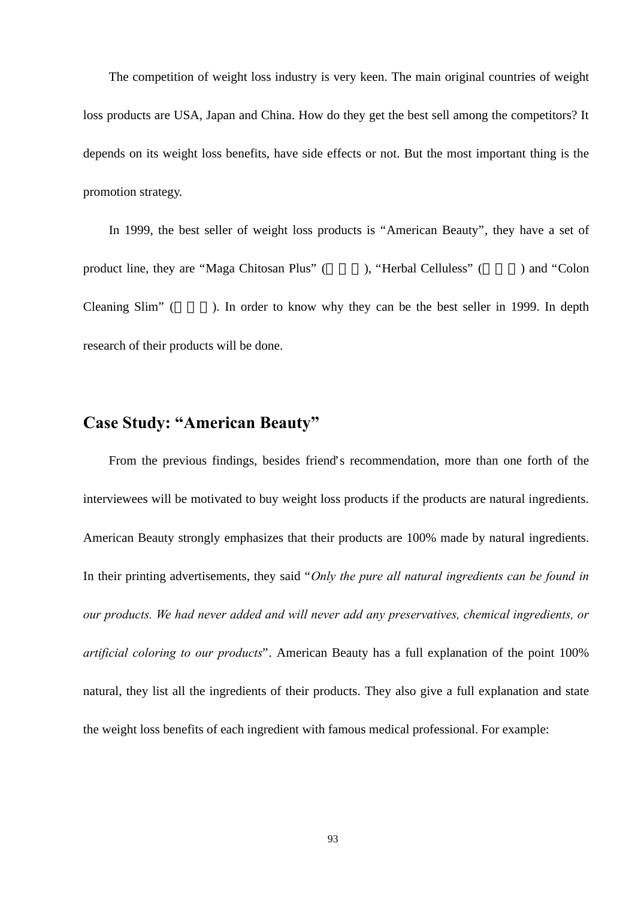The competition of weight loss industry is very keen. The main original countries of weight loss products are USA, Japan and China. How do they get the best sell among the competitors? It depends on its weight loss benefits, have side effects or not. But the most important thing is the promotion strategy.

 In 1999, the best seller of weight loss products is "American Beauty", they have a set of product line, they are "Maga Chitosan Plus" (  $\blacksquare$  ), "Herbal Celluless" (  $\blacksquare$  ) and "Colon Cleaning Slim" (  $\blacksquare$  ). In order to know why they can be the best seller in 1999. In depth research of their products will be done.

# **Case Study: "American Beauty"**

 From the previous findings, besides friend's recommendation, more than one forth of the interviewees will be motivated to buy weight loss products if the products are natural ingredients. American Beauty strongly emphasizes that their products are 100% made by natural ingredients. In their printing advertisements, they said "*Only the pure all natural ingredients can be found in our products. We had never added and will never add any preservatives, chemical ingredients, or artificial coloring to our products*". American Beauty has a full explanation of the point 100% natural, they list all the ingredients of their products. They also give a full explanation and state the weight loss benefits of each ingredient with famous medical professional. For example: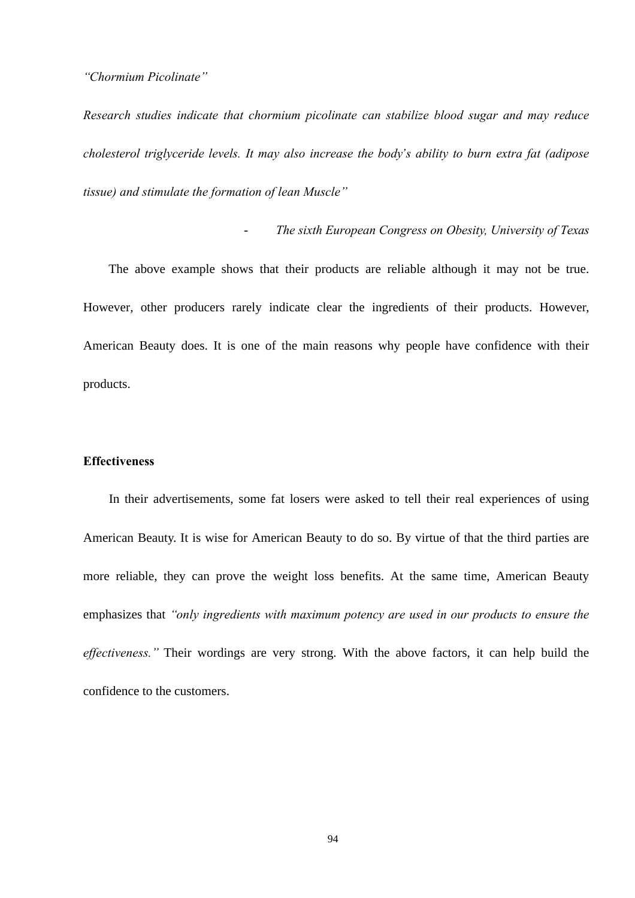### *"Chormium Picolinate"*

*Research studies indicate that chormium picolinate can stabilize blood sugar and may reduce cholesterol triglyceride levels. It may also increase the body's ability to burn extra fat (adipose tissue) and stimulate the formation of lean Muscle"*

### - *The sixth European Congress on Obesity, University of Texas*

 The above example shows that their products are reliable although it may not be true. However, other producers rarely indicate clear the ingredients of their products. However, American Beauty does. It is one of the main reasons why people have confidence with their products.

### **Effectiveness**

 In their advertisements, some fat losers were asked to tell their real experiences of using American Beauty. It is wise for American Beauty to do so. By virtue of that the third parties are more reliable, they can prove the weight loss benefits. At the same time, American Beauty emphasizes that *"only ingredients with maximum potency are used in our products to ensure the effectiveness."* Their wordings are very strong. With the above factors, it can help build the confidence to the customers.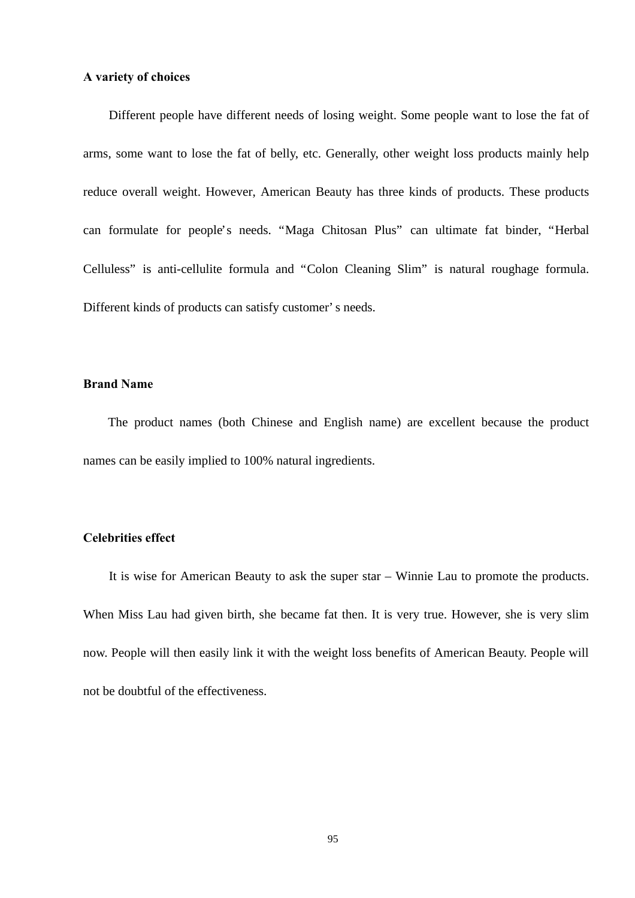### **A variety of choices**

 Different people have different needs of losing weight. Some people want to lose the fat of arms, some want to lose the fat of belly, etc. Generally, other weight loss products mainly help reduce overall weight. However, American Beauty has three kinds of products. These products can formulate for people's needs. "Maga Chitosan Plus" can ultimate fat binder, "Herbal Celluless" is anti-cellulite formula and "Colon Cleaning Slim" is natural roughage formula. Different kinds of products can satisfy customer's needs.

### **Brand Name**

 The product names (both Chinese and English name) are excellent because the product names can be easily implied to 100% natural ingredients.

### **Celebrities effect**

 It is wise for American Beauty to ask the super star – Winnie Lau to promote the products. When Miss Lau had given birth, she became fat then. It is very true. However, she is very slim now. People will then easily link it with the weight loss benefits of American Beauty. People will not be doubtful of the effectiveness.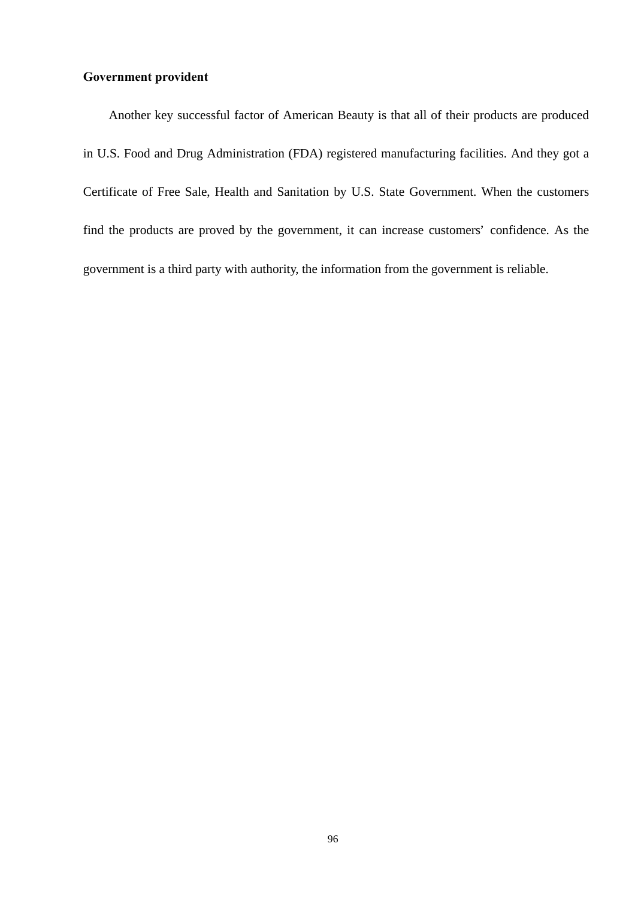### **Government provident**

 Another key successful factor of American Beauty is that all of their products are produced in U.S. Food and Drug Administration (FDA) registered manufacturing facilities. And they got a Certificate of Free Sale, Health and Sanitation by U.S. State Government. When the customers find the products are proved by the government, it can increase customers' confidence. As the government is a third party with authority, the information from the government is reliable.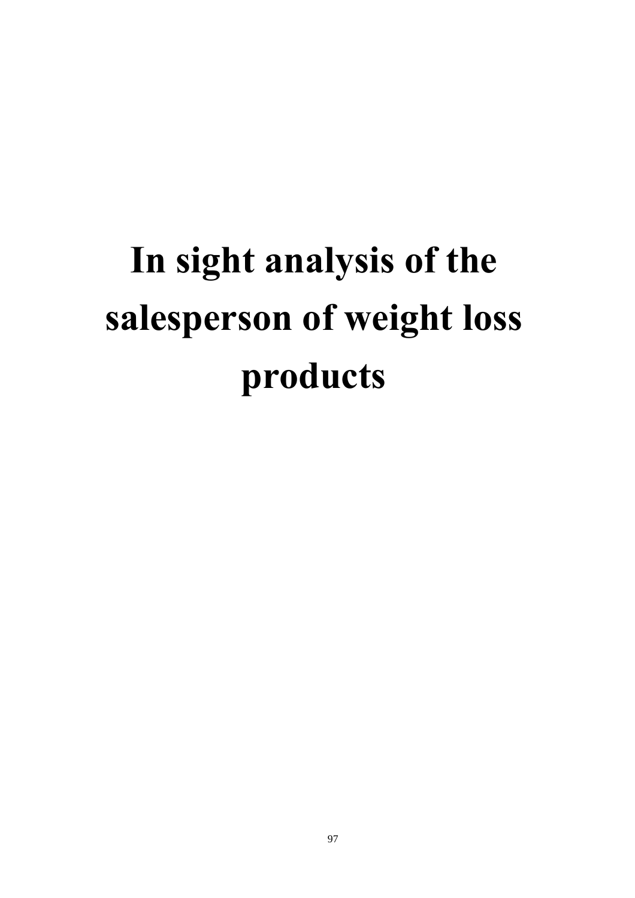# **In sight analysis of the salesperson of weight loss products**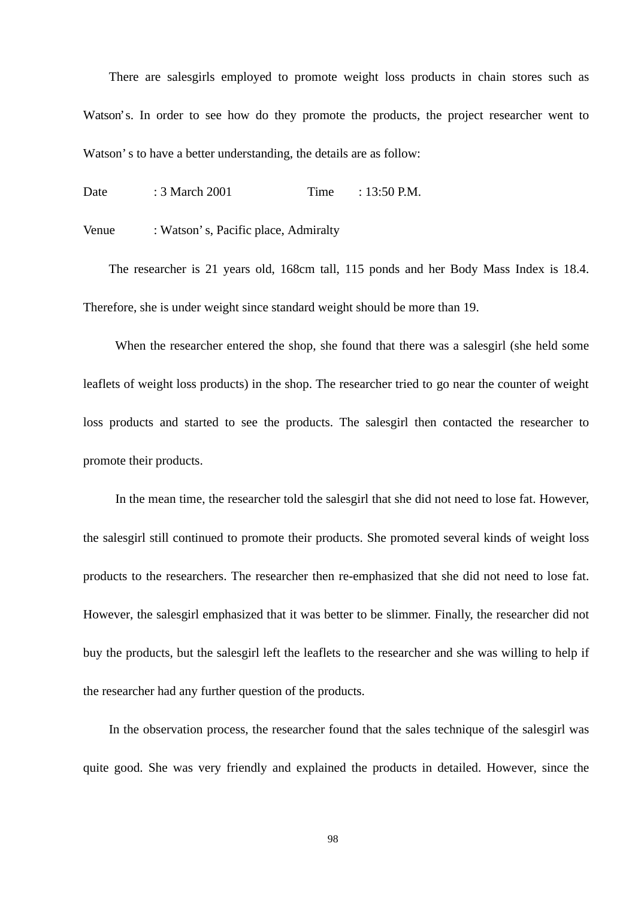There are salesgirls employed to promote weight loss products in chain stores such as Watson's. In order to see how do they promote the products, the project researcher went to Watson's to have a better understanding, the details are as follow:

Date : 3 March 2001 Time : 13:50 P.M.

Venue : Watson's, Pacific place, Admiralty

 The researcher is 21 years old, 168cm tall, 115 ponds and her Body Mass Index is 18.4. Therefore, she is under weight since standard weight should be more than 19.

 When the researcher entered the shop, she found that there was a salesgirl (she held some leaflets of weight loss products) in the shop. The researcher tried to go near the counter of weight loss products and started to see the products. The salesgirl then contacted the researcher to promote their products.

 In the mean time, the researcher told the salesgirl that she did not need to lose fat. However, the salesgirl still continued to promote their products. She promoted several kinds of weight loss products to the researchers. The researcher then re-emphasized that she did not need to lose fat. However, the salesgirl emphasized that it was better to be slimmer. Finally, the researcher did not buy the products, but the salesgirl left the leaflets to the researcher and she was willing to help if the researcher had any further question of the products.

 In the observation process, the researcher found that the sales technique of the salesgirl was quite good. She was very friendly and explained the products in detailed. However, since the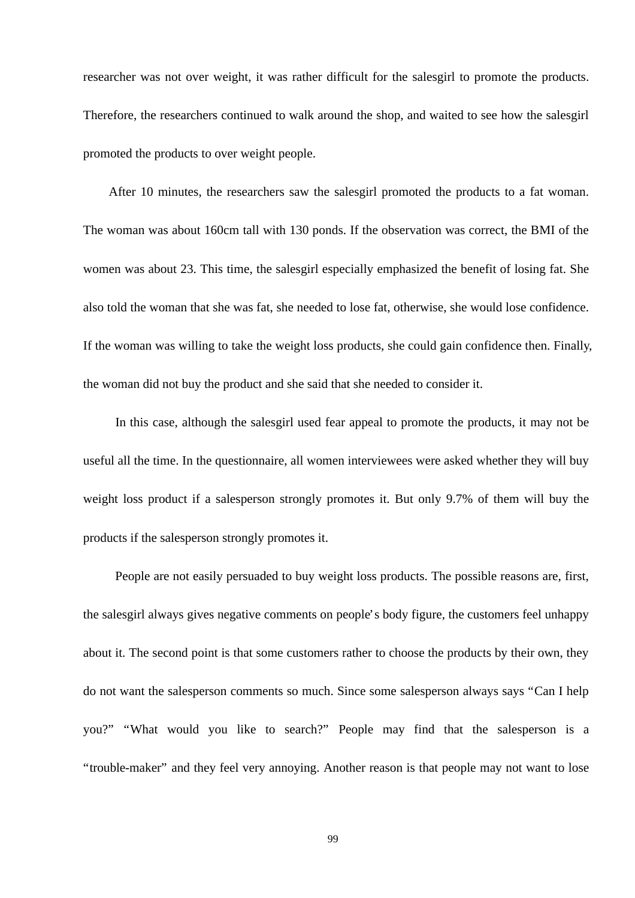researcher was not over weight, it was rather difficult for the salesgirl to promote the products. Therefore, the researchers continued to walk around the shop, and waited to see how the salesgirl promoted the products to over weight people.

 After 10 minutes, the researchers saw the salesgirl promoted the products to a fat woman. The woman was about 160cm tall with 130 ponds. If the observation was correct, the BMI of the women was about 23. This time, the salesgirl especially emphasized the benefit of losing fat. She also told the woman that she was fat, she needed to lose fat, otherwise, she would lose confidence. If the woman was willing to take the weight loss products, she could gain confidence then. Finally, the woman did not buy the product and she said that she needed to consider it.

 In this case, although the salesgirl used fear appeal to promote the products, it may not be useful all the time. In the questionnaire, all women interviewees were asked whether they will buy weight loss product if a salesperson strongly promotes it. But only 9.7% of them will buy the products if the salesperson strongly promotes it.

 People are not easily persuaded to buy weight loss products. The possible reasons are, first, the salesgirl always gives negative comments on people's body figure, the customers feel unhappy about it. The second point is that some customers rather to choose the products by their own, they do not want the salesperson comments so much. Since some salesperson always says "Can I help you?" "What would you like to search?" People may find that the salesperson is a "trouble-maker" and they feel very annoying. Another reason is that people may not want to lose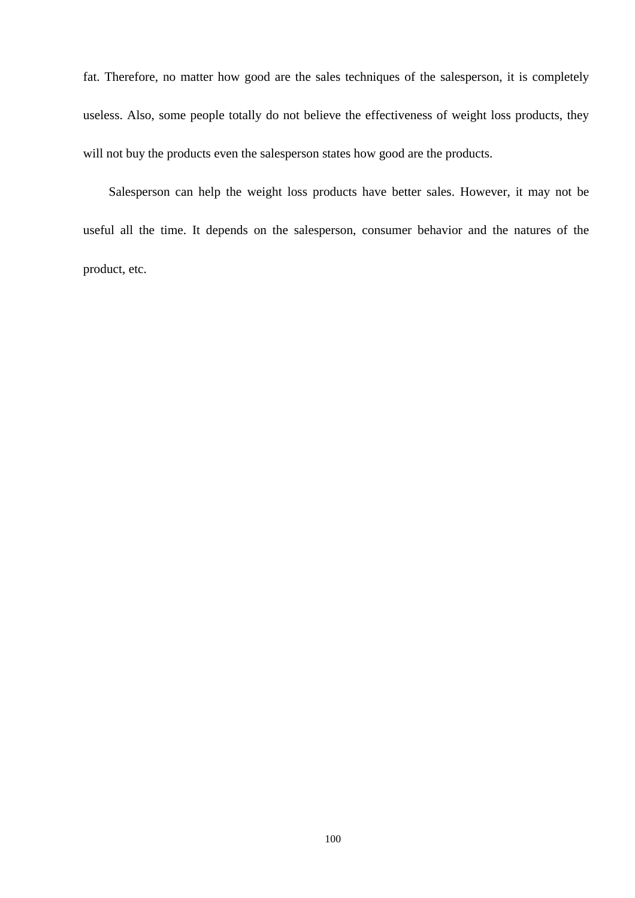fat. Therefore, no matter how good are the sales techniques of the salesperson, it is completely useless. Also, some people totally do not believe the effectiveness of weight loss products, they will not buy the products even the salesperson states how good are the products.

 Salesperson can help the weight loss products have better sales. However, it may not be useful all the time. It depends on the salesperson, consumer behavior and the natures of the product, etc.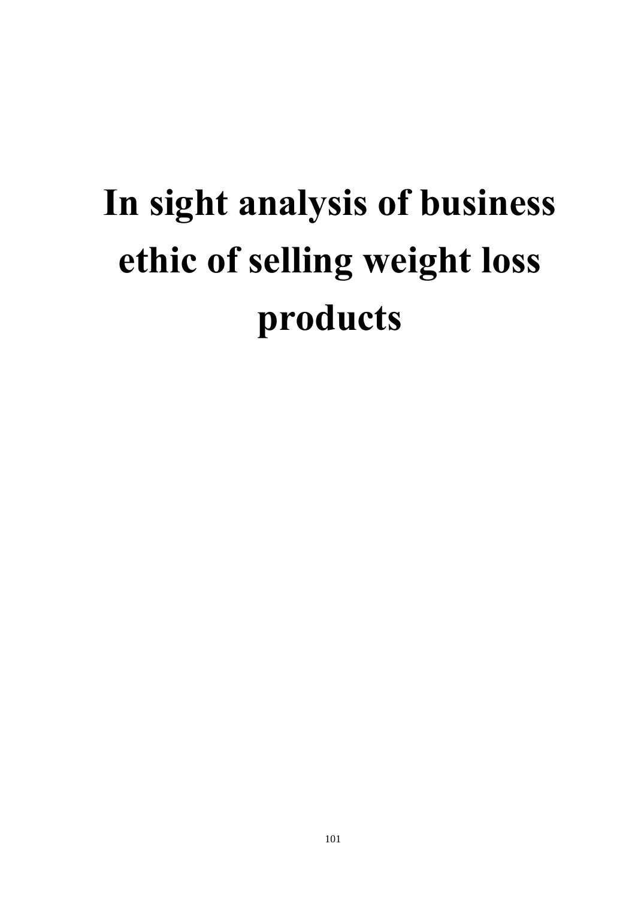# **In sight analysis of business ethic of selling weight loss products**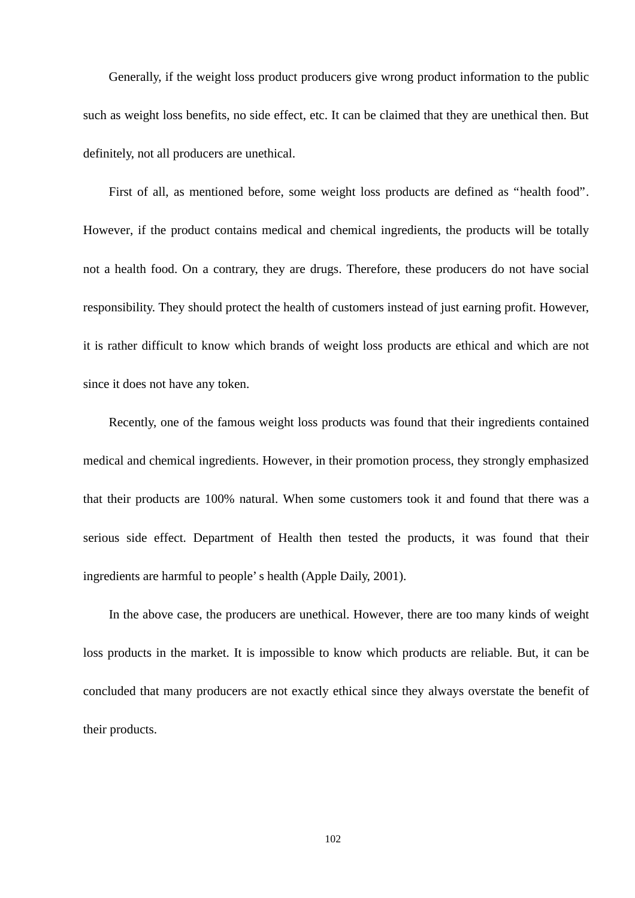Generally, if the weight loss product producers give wrong product information to the public such as weight loss benefits, no side effect, etc. It can be claimed that they are unethical then. But definitely, not all producers are unethical.

 First of all, as mentioned before, some weight loss products are defined as "health food". However, if the product contains medical and chemical ingredients, the products will be totally not a health food. On a contrary, they are drugs. Therefore, these producers do not have social responsibility. They should protect the health of customers instead of just earning profit. However, it is rather difficult to know which brands of weight loss products are ethical and which are not since it does not have any token.

 Recently, one of the famous weight loss products was found that their ingredients contained medical and chemical ingredients. However, in their promotion process, they strongly emphasized that their products are 100% natural. When some customers took it and found that there was a serious side effect. Department of Health then tested the products, it was found that their ingredients are harmful to people's health (Apple Daily, 2001).

 In the above case, the producers are unethical. However, there are too many kinds of weight loss products in the market. It is impossible to know which products are reliable. But, it can be concluded that many producers are not exactly ethical since they always overstate the benefit of their products.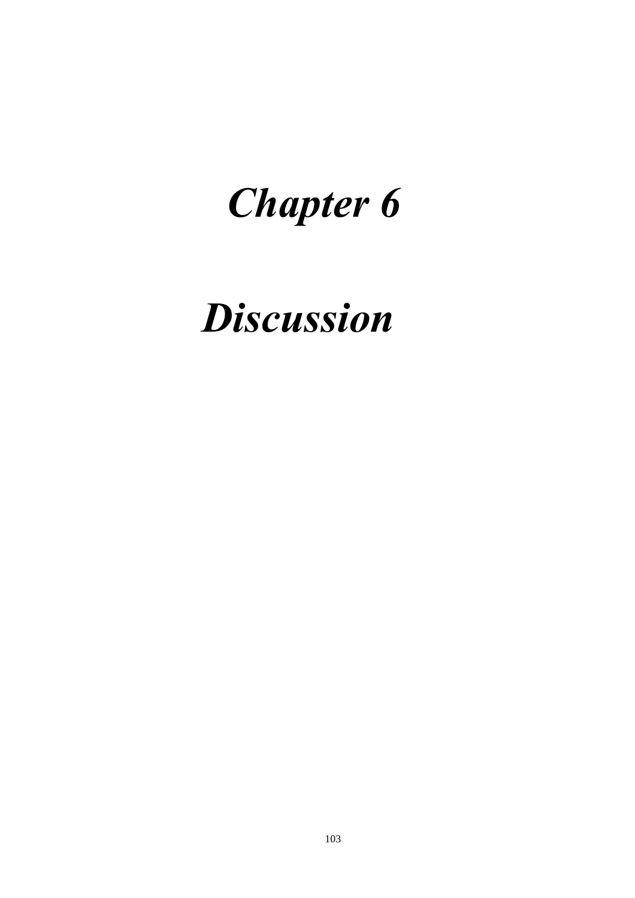# *Chapter 6*

# *Discussion*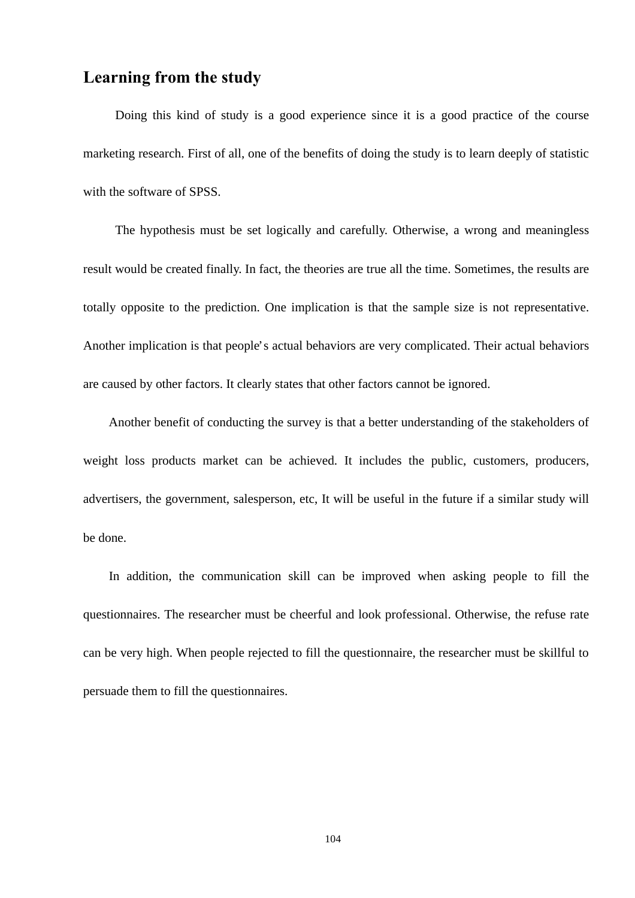# **Learning from the study**

 Doing this kind of study is a good experience since it is a good practice of the course marketing research. First of all, one of the benefits of doing the study is to learn deeply of statistic with the software of SPSS.

 The hypothesis must be set logically and carefully. Otherwise, a wrong and meaningless result would be created finally. In fact, the theories are true all the time. Sometimes, the results are totally opposite to the prediction. One implication is that the sample size is not representative. Another implication is that people's actual behaviors are very complicated. Their actual behaviors are caused by other factors. It clearly states that other factors cannot be ignored.

 Another benefit of conducting the survey is that a better understanding of the stakeholders of weight loss products market can be achieved. It includes the public, customers, producers, advertisers, the government, salesperson, etc, It will be useful in the future if a similar study will be done.

 In addition, the communication skill can be improved when asking people to fill the questionnaires. The researcher must be cheerful and look professional. Otherwise, the refuse rate can be very high. When people rejected to fill the questionnaire, the researcher must be skillful to persuade them to fill the questionnaires.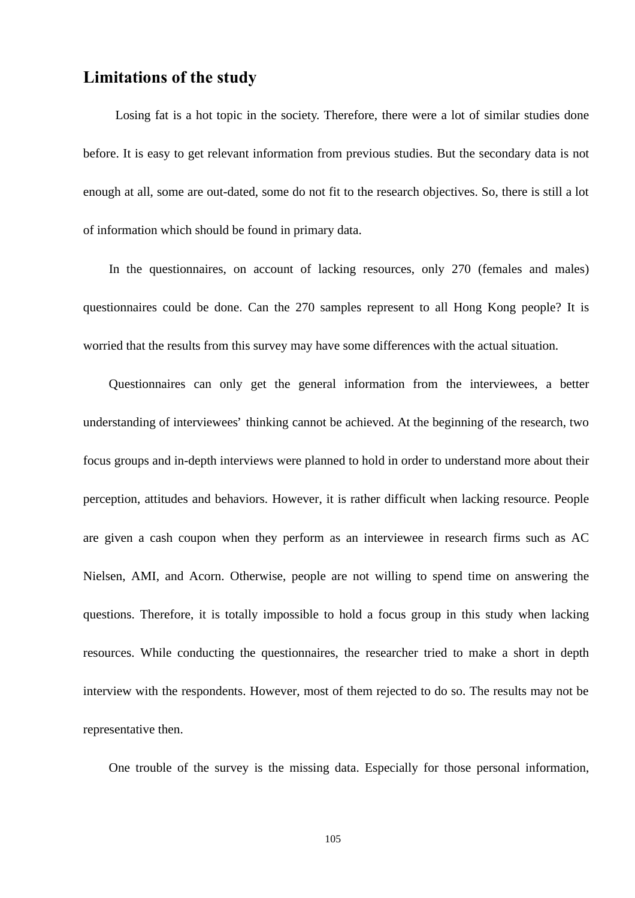## **Limitations of the study**

 Losing fat is a hot topic in the society. Therefore, there were a lot of similar studies done before. It is easy to get relevant information from previous studies. But the secondary data is not enough at all, some are out-dated, some do not fit to the research objectives. So, there is still a lot of information which should be found in primary data.

 In the questionnaires, on account of lacking resources, only 270 (females and males) questionnaires could be done. Can the 270 samples represent to all Hong Kong people? It is worried that the results from this survey may have some differences with the actual situation.

 Questionnaires can only get the general information from the interviewees, a better understanding of interviewees' thinking cannot be achieved. At the beginning of the research, two focus groups and in-depth interviews were planned to hold in order to understand more about their perception, attitudes and behaviors. However, it is rather difficult when lacking resource. People are given a cash coupon when they perform as an interviewee in research firms such as AC Nielsen, AMI, and Acorn. Otherwise, people are not willing to spend time on answering the questions. Therefore, it is totally impossible to hold a focus group in this study when lacking resources. While conducting the questionnaires, the researcher tried to make a short in depth interview with the respondents. However, most of them rejected to do so. The results may not be representative then.

One trouble of the survey is the missing data. Especially for those personal information,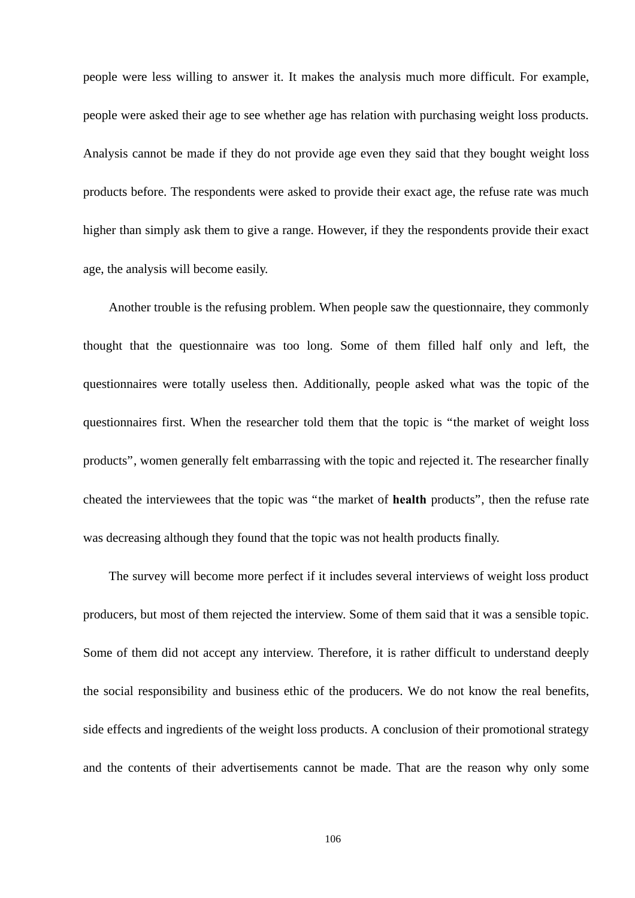people were less willing to answer it. It makes the analysis much more difficult. For example, people were asked their age to see whether age has relation with purchasing weight loss products. Analysis cannot be made if they do not provide age even they said that they bought weight loss products before. The respondents were asked to provide their exact age, the refuse rate was much higher than simply ask them to give a range. However, if they the respondents provide their exact age, the analysis will become easily.

 Another trouble is the refusing problem. When people saw the questionnaire, they commonly thought that the questionnaire was too long. Some of them filled half only and left, the questionnaires were totally useless then. Additionally, people asked what was the topic of the questionnaires first. When the researcher told them that the topic is "the market of weight loss products", women generally felt embarrassing with the topic and rejected it. The researcher finally cheated the interviewees that the topic was "the market of **health** products", then the refuse rate was decreasing although they found that the topic was not health products finally.

 The survey will become more perfect if it includes several interviews of weight loss product producers, but most of them rejected the interview. Some of them said that it was a sensible topic. Some of them did not accept any interview. Therefore, it is rather difficult to understand deeply the social responsibility and business ethic of the producers. We do not know the real benefits, side effects and ingredients of the weight loss products. A conclusion of their promotional strategy and the contents of their advertisements cannot be made. That are the reason why only some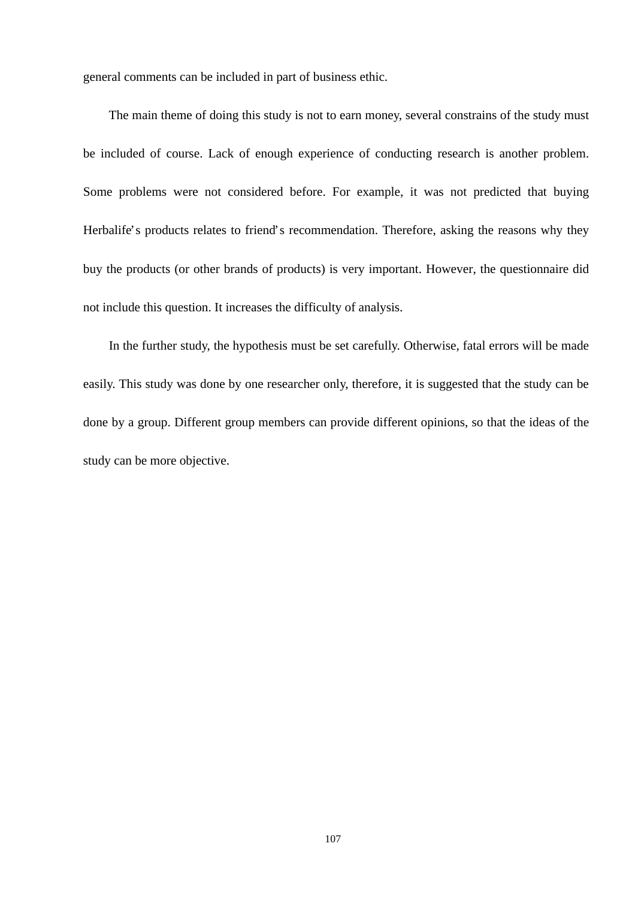general comments can be included in part of business ethic.

 The main theme of doing this study is not to earn money, several constrains of the study must be included of course. Lack of enough experience of conducting research is another problem. Some problems were not considered before. For example, it was not predicted that buying Herbalife's products relates to friend's recommendation. Therefore, asking the reasons why they buy the products (or other brands of products) is very important. However, the questionnaire did not include this question. It increases the difficulty of analysis.

 In the further study, the hypothesis must be set carefully. Otherwise, fatal errors will be made easily. This study was done by one researcher only, therefore, it is suggested that the study can be done by a group. Different group members can provide different opinions, so that the ideas of the study can be more objective.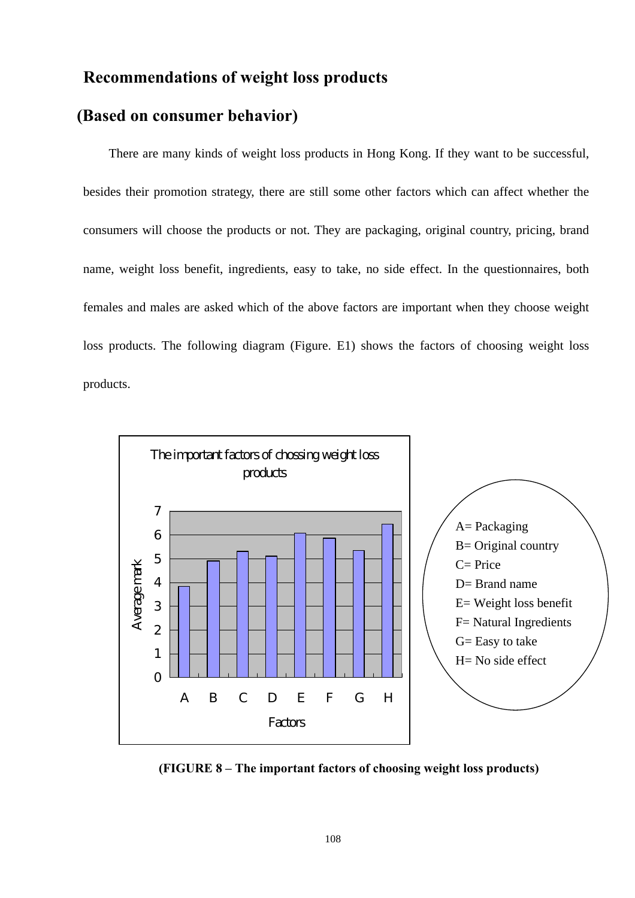## **Recommendations of weight loss products**

#### **(Based on consumer behavior)**

 There are many kinds of weight loss products in Hong Kong. If they want to be successful, besides their promotion strategy, there are still some other factors which can affect whether the consumers will choose the products or not. They are packaging, original country, pricing, brand name, weight loss benefit, ingredients, easy to take, no side effect. In the questionnaires, both females and males are asked which of the above factors are important when they choose weight loss products. The following diagram (Figure. E1) shows the factors of choosing weight loss products.



**(FIGURE 8 – The important factors of choosing weight loss products)**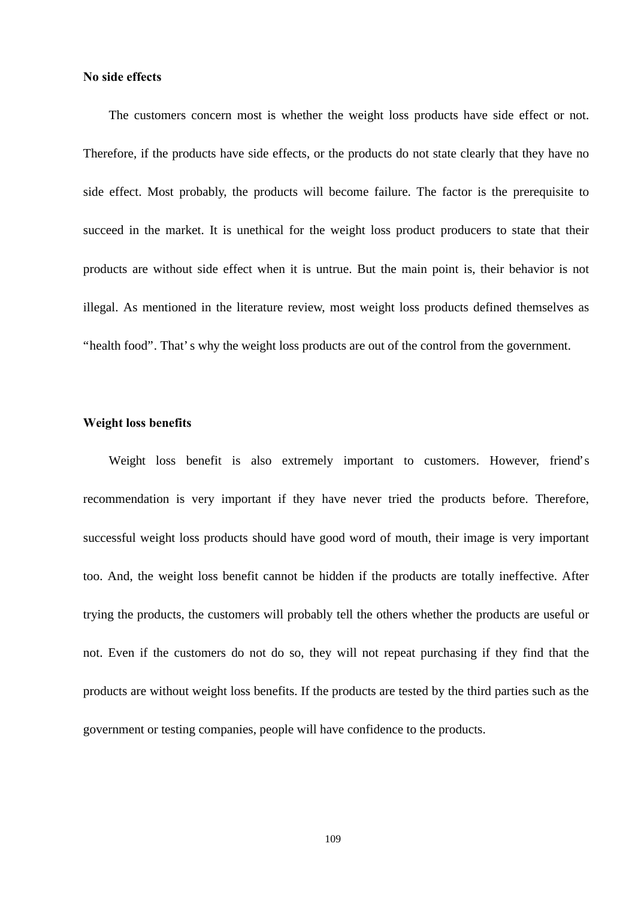#### **No side effects**

 The customers concern most is whether the weight loss products have side effect or not. Therefore, if the products have side effects, or the products do not state clearly that they have no side effect. Most probably, the products will become failure. The factor is the prerequisite to succeed in the market. It is unethical for the weight loss product producers to state that their products are without side effect when it is untrue. But the main point is, their behavior is not illegal. As mentioned in the literature review, most weight loss products defined themselves as "health food". That's why the weight loss products are out of the control from the government.

#### **Weight loss benefits**

 Weight loss benefit is also extremely important to customers. However, friend's recommendation is very important if they have never tried the products before. Therefore, successful weight loss products should have good word of mouth, their image is very important too. And, the weight loss benefit cannot be hidden if the products are totally ineffective. After trying the products, the customers will probably tell the others whether the products are useful or not. Even if the customers do not do so, they will not repeat purchasing if they find that the products are without weight loss benefits. If the products are tested by the third parties such as the government or testing companies, people will have confidence to the products.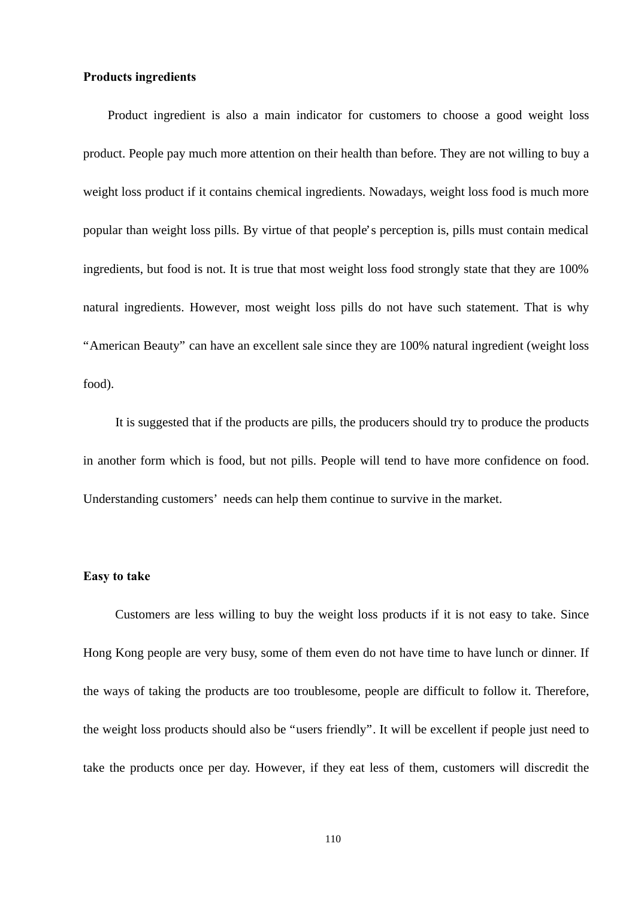#### **Products ingredients**

 Product ingredient is also a main indicator for customers to choose a good weight loss product. People pay much more attention on their health than before. They are not willing to buy a weight loss product if it contains chemical ingredients. Nowadays, weight loss food is much more popular than weight loss pills. By virtue of that people's perception is, pills must contain medical ingredients, but food is not. It is true that most weight loss food strongly state that they are 100% natural ingredients. However, most weight loss pills do not have such statement. That is why "American Beauty" can have an excellent sale since they are 100% natural ingredient (weight loss food).

 It is suggested that if the products are pills, the producers should try to produce the products in another form which is food, but not pills. People will tend to have more confidence on food. Understanding customers' needs can help them continue to survive in the market.

#### **Easy to take**

 Customers are less willing to buy the weight loss products if it is not easy to take. Since Hong Kong people are very busy, some of them even do not have time to have lunch or dinner. If the ways of taking the products are too troublesome, people are difficult to follow it. Therefore, the weight loss products should also be "users friendly". It will be excellent if people just need to take the products once per day. However, if they eat less of them, customers will discredit the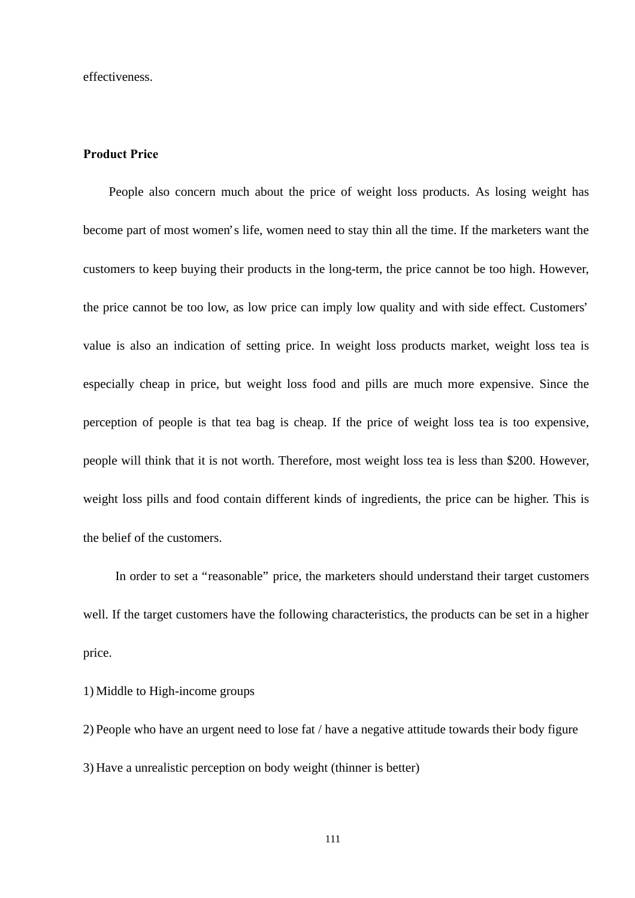effectiveness.

#### **Product Price**

 People also concern much about the price of weight loss products. As losing weight has become part of most women's life, women need to stay thin all the time. If the marketers want the customers to keep buying their products in the long-term, the price cannot be too high. However, the price cannot be too low, as low price can imply low quality and with side effect. Customers' value is also an indication of setting price. In weight loss products market, weight loss tea is especially cheap in price, but weight loss food and pills are much more expensive. Since the perception of people is that tea bag is cheap. If the price of weight loss tea is too expensive, people will think that it is not worth. Therefore, most weight loss tea is less than \$200. However, weight loss pills and food contain different kinds of ingredients, the price can be higher. This is the belief of the customers.

 In order to set a "reasonable" price, the marketers should understand their target customers well. If the target customers have the following characteristics, the products can be set in a higher price.

1) Middle to High-income groups

2) People who have an urgent need to lose fat / have a negative attitude towards their body figure 3) Have a unrealistic perception on body weight (thinner is better)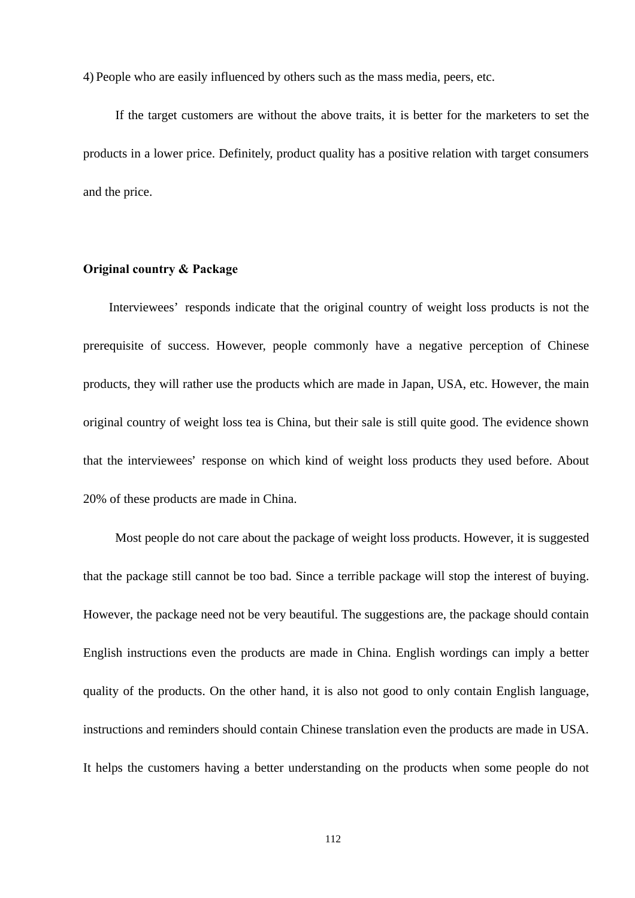4) People who are easily influenced by others such as the mass media, peers, etc.

 If the target customers are without the above traits, it is better for the marketers to set the products in a lower price. Definitely, product quality has a positive relation with target consumers and the price.

#### **Original country & Package**

 Interviewees' responds indicate that the original country of weight loss products is not the prerequisite of success. However, people commonly have a negative perception of Chinese products, they will rather use the products which are made in Japan, USA, etc. However, the main original country of weight loss tea is China, but their sale is still quite good. The evidence shown that the interviewees' response on which kind of weight loss products they used before. About 20% of these products are made in China.

 Most people do not care about the package of weight loss products. However, it is suggested that the package still cannot be too bad. Since a terrible package will stop the interest of buying. However, the package need not be very beautiful. The suggestions are, the package should contain English instructions even the products are made in China. English wordings can imply a better quality of the products. On the other hand, it is also not good to only contain English language, instructions and reminders should contain Chinese translation even the products are made in USA. It helps the customers having a better understanding on the products when some people do not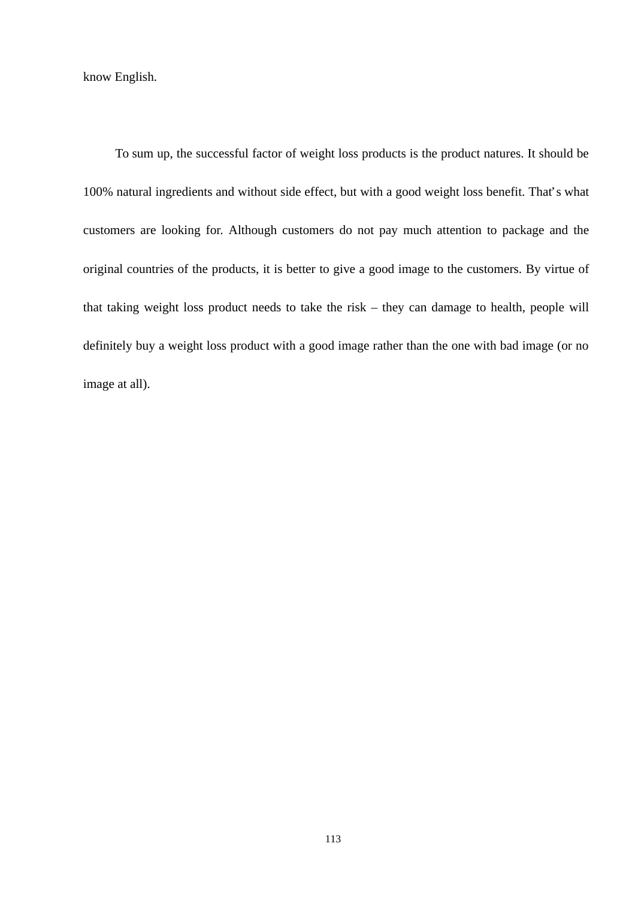know English.

 To sum up, the successful factor of weight loss products is the product natures. It should be 100% natural ingredients and without side effect, but with a good weight loss benefit. That's what customers are looking for. Although customers do not pay much attention to package and the original countries of the products, it is better to give a good image to the customers. By virtue of that taking weight loss product needs to take the risk – they can damage to health, people will definitely buy a weight loss product with a good image rather than the one with bad image (or no image at all).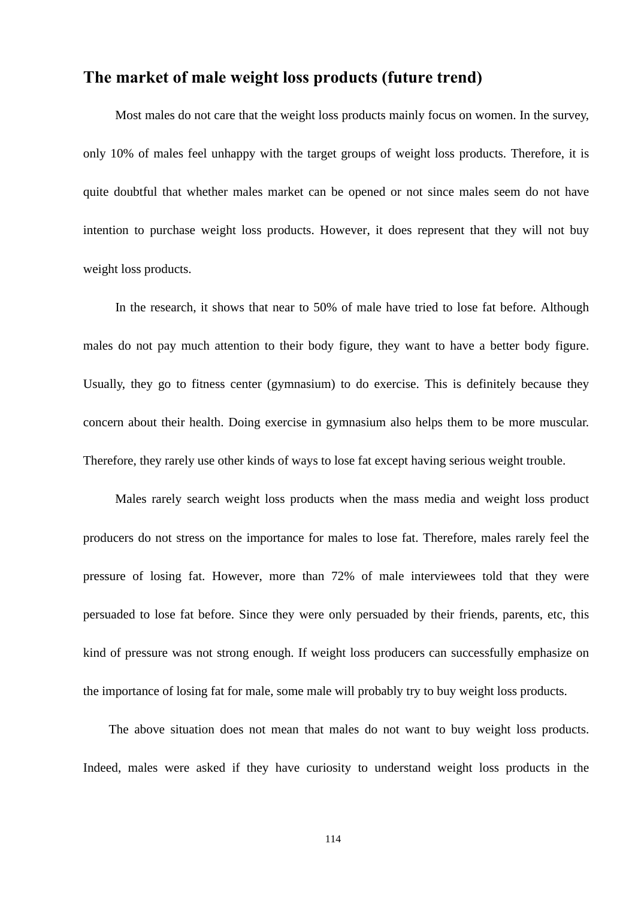## **The market of male weight loss products (future trend)**

 Most males do not care that the weight loss products mainly focus on women. In the survey, only 10% of males feel unhappy with the target groups of weight loss products. Therefore, it is quite doubtful that whether males market can be opened or not since males seem do not have intention to purchase weight loss products. However, it does represent that they will not buy weight loss products.

 In the research, it shows that near to 50% of male have tried to lose fat before. Although males do not pay much attention to their body figure, they want to have a better body figure. Usually, they go to fitness center (gymnasium) to do exercise. This is definitely because they concern about their health. Doing exercise in gymnasium also helps them to be more muscular. Therefore, they rarely use other kinds of ways to lose fat except having serious weight trouble.

 Males rarely search weight loss products when the mass media and weight loss product producers do not stress on the importance for males to lose fat. Therefore, males rarely feel the pressure of losing fat. However, more than 72% of male interviewees told that they were persuaded to lose fat before. Since they were only persuaded by their friends, parents, etc, this kind of pressure was not strong enough. If weight loss producers can successfully emphasize on the importance of losing fat for male, some male will probably try to buy weight loss products.

 The above situation does not mean that males do not want to buy weight loss products. Indeed, males were asked if they have curiosity to understand weight loss products in the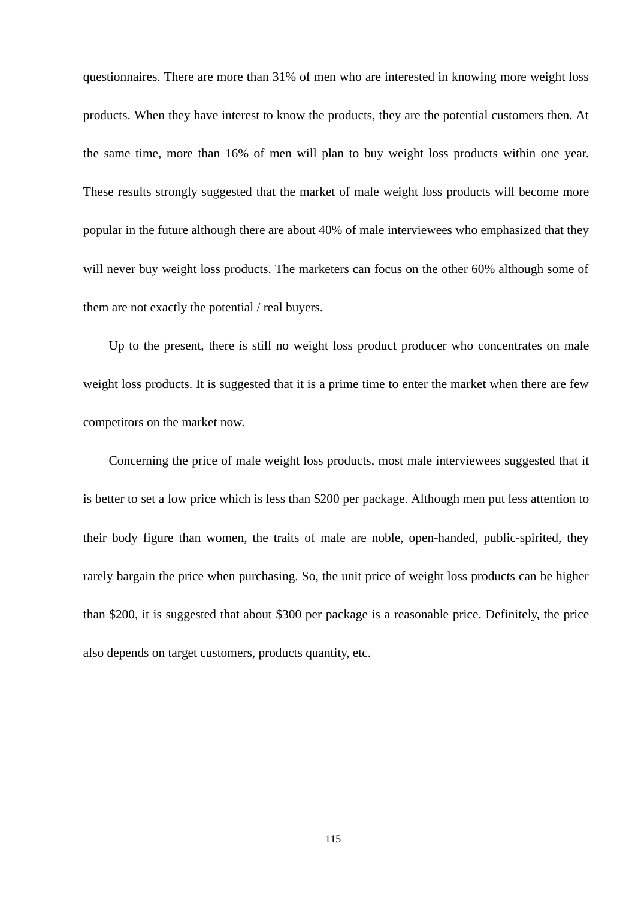questionnaires. There are more than 31% of men who are interested in knowing more weight loss products. When they have interest to know the products, they are the potential customers then. At the same time, more than 16% of men will plan to buy weight loss products within one year. These results strongly suggested that the market of male weight loss products will become more popular in the future although there are about 40% of male interviewees who emphasized that they will never buy weight loss products. The marketers can focus on the other 60% although some of them are not exactly the potential / real buyers.

 Up to the present, there is still no weight loss product producer who concentrates on male weight loss products. It is suggested that it is a prime time to enter the market when there are few competitors on the market now.

 Concerning the price of male weight loss products, most male interviewees suggested that it is better to set a low price which is less than \$200 per package. Although men put less attention to their body figure than women, the traits of male are noble, open-handed, public-spirited, they rarely bargain the price when purchasing. So, the unit price of weight loss products can be higher than \$200, it is suggested that about \$300 per package is a reasonable price. Definitely, the price also depends on target customers, products quantity, etc.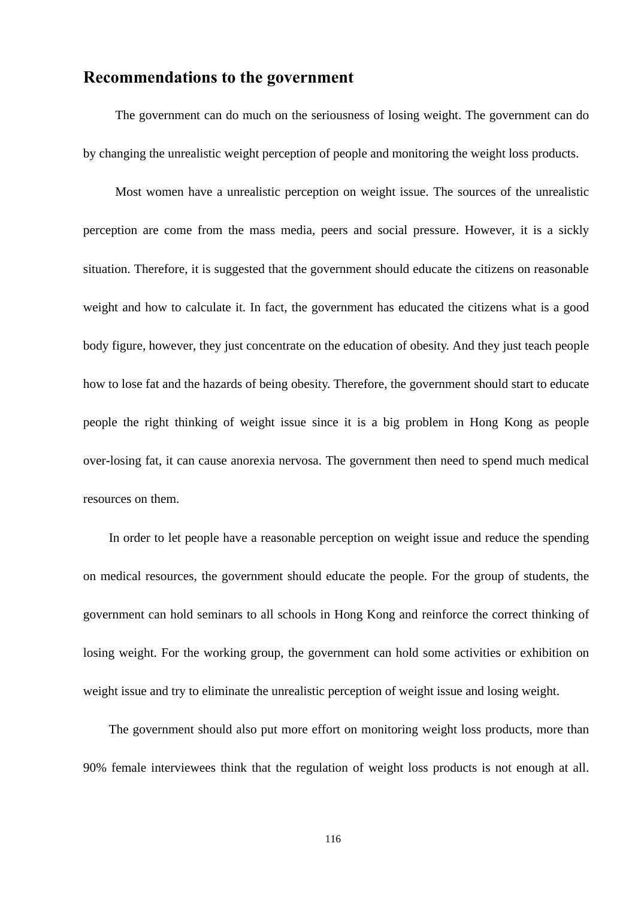### **Recommendations to the government**

 The government can do much on the seriousness of losing weight. The government can do by changing the unrealistic weight perception of people and monitoring the weight loss products.

 Most women have a unrealistic perception on weight issue. The sources of the unrealistic perception are come from the mass media, peers and social pressure. However, it is a sickly situation. Therefore, it is suggested that the government should educate the citizens on reasonable weight and how to calculate it. In fact, the government has educated the citizens what is a good body figure, however, they just concentrate on the education of obesity. And they just teach people how to lose fat and the hazards of being obesity. Therefore, the government should start to educate people the right thinking of weight issue since it is a big problem in Hong Kong as people over-losing fat, it can cause anorexia nervosa. The government then need to spend much medical resources on them.

 In order to let people have a reasonable perception on weight issue and reduce the spending on medical resources, the government should educate the people. For the group of students, the government can hold seminars to all schools in Hong Kong and reinforce the correct thinking of losing weight. For the working group, the government can hold some activities or exhibition on weight issue and try to eliminate the unrealistic perception of weight issue and losing weight.

 The government should also put more effort on monitoring weight loss products, more than 90% female interviewees think that the regulation of weight loss products is not enough at all.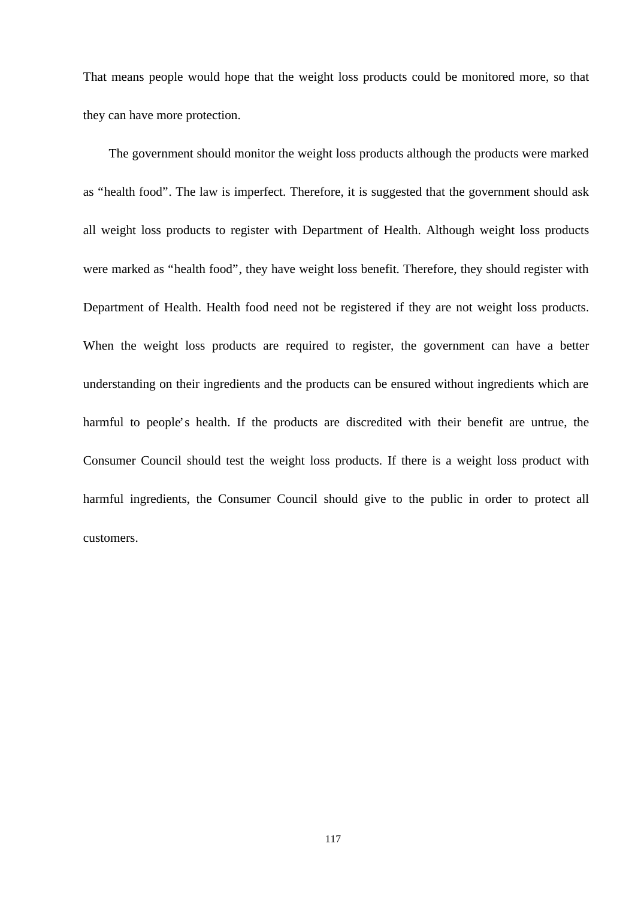That means people would hope that the weight loss products could be monitored more, so that they can have more protection.

 The government should monitor the weight loss products although the products were marked as "health food". The law is imperfect. Therefore, it is suggested that the government should ask all weight loss products to register with Department of Health. Although weight loss products were marked as "health food", they have weight loss benefit. Therefore, they should register with Department of Health. Health food need not be registered if they are not weight loss products. When the weight loss products are required to register, the government can have a better understanding on their ingredients and the products can be ensured without ingredients which are harmful to people's health. If the products are discredited with their benefit are untrue, the Consumer Council should test the weight loss products. If there is a weight loss product with harmful ingredients, the Consumer Council should give to the public in order to protect all customers.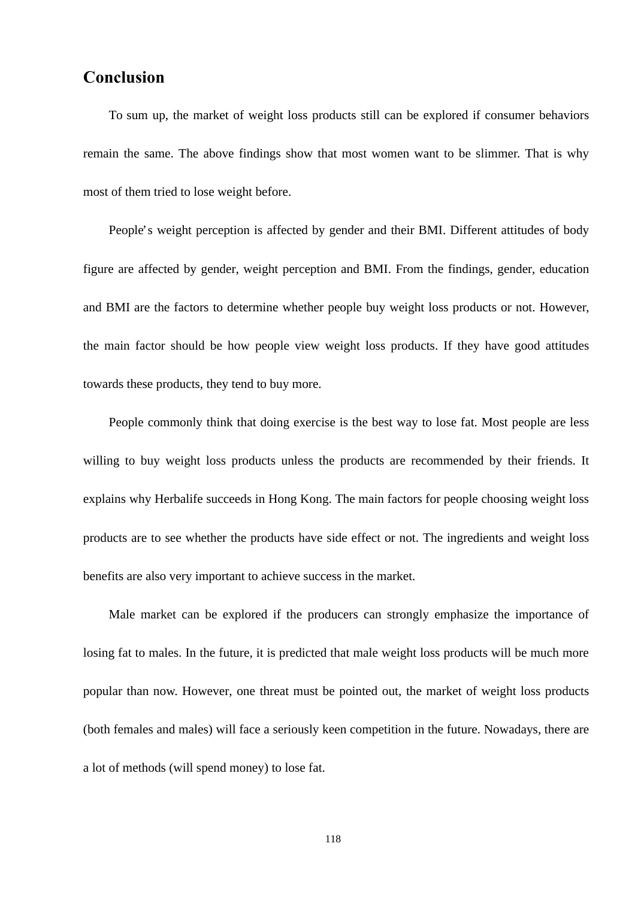### **Conclusion**

 To sum up, the market of weight loss products still can be explored if consumer behaviors remain the same. The above findings show that most women want to be slimmer. That is why most of them tried to lose weight before.

 People's weight perception is affected by gender and their BMI. Different attitudes of body figure are affected by gender, weight perception and BMI. From the findings, gender, education and BMI are the factors to determine whether people buy weight loss products or not. However, the main factor should be how people view weight loss products. If they have good attitudes towards these products, they tend to buy more.

 People commonly think that doing exercise is the best way to lose fat. Most people are less willing to buy weight loss products unless the products are recommended by their friends. It explains why Herbalife succeeds in Hong Kong. The main factors for people choosing weight loss products are to see whether the products have side effect or not. The ingredients and weight loss benefits are also very important to achieve success in the market.

 Male market can be explored if the producers can strongly emphasize the importance of losing fat to males. In the future, it is predicted that male weight loss products will be much more popular than now. However, one threat must be pointed out, the market of weight loss products (both females and males) will face a seriously keen competition in the future. Nowadays, there are a lot of methods (will spend money) to lose fat.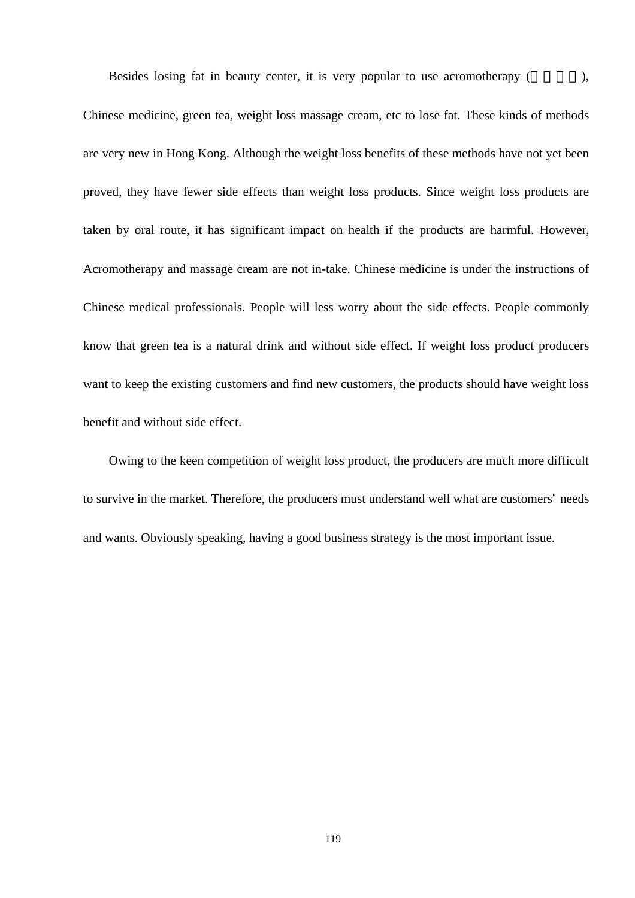Besides losing fat in beauty center, it is very popular to use acromotherapy (Section 2005),

Chinese medicine, green tea, weight loss massage cream, etc to lose fat. These kinds of methods are very new in Hong Kong. Although the weight loss benefits of these methods have not yet been proved, they have fewer side effects than weight loss products. Since weight loss products are taken by oral route, it has significant impact on health if the products are harmful. However, Acromotherapy and massage cream are not in-take. Chinese medicine is under the instructions of Chinese medical professionals. People will less worry about the side effects. People commonly know that green tea is a natural drink and without side effect. If weight loss product producers want to keep the existing customers and find new customers, the products should have weight loss benefit and without side effect.

 Owing to the keen competition of weight loss product, the producers are much more difficult to survive in the market. Therefore, the producers must understand well what are customers' needs and wants. Obviously speaking, having a good business strategy is the most important issue.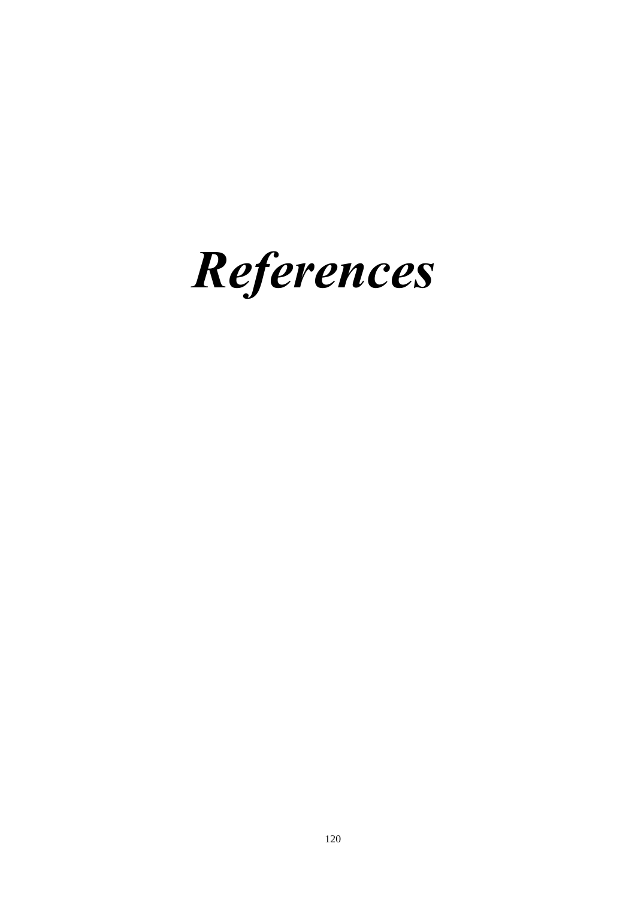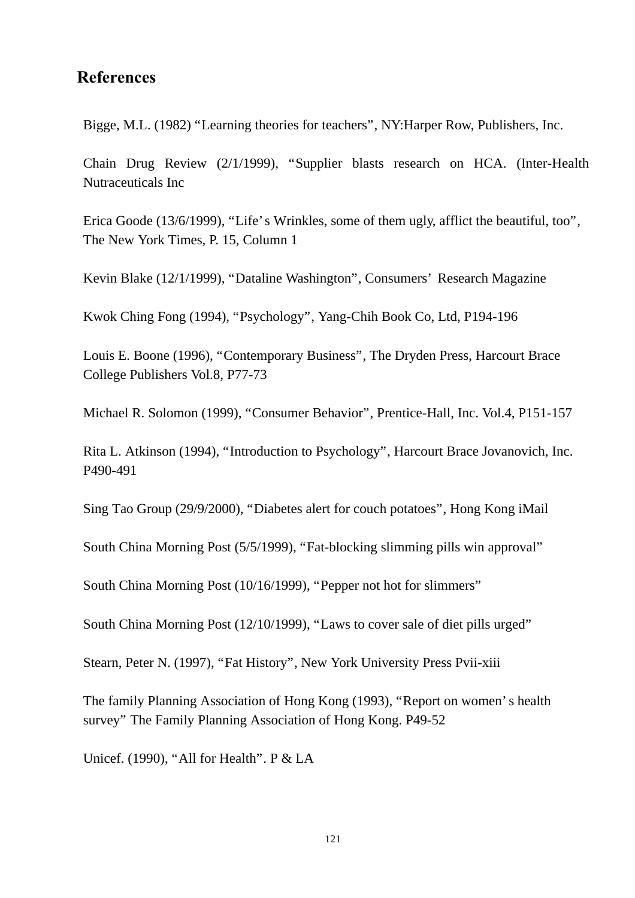## **References**

Bigge, M.L. (1982) "Learning theories for teachers", NY:Harper Row, Publishers, Inc.

Chain Drug Review (2/1/1999), "Supplier blasts research on HCA. (Inter-Health Nutraceuticals Inc

Erica Goode (13/6/1999), "Life's Wrinkles, some of them ugly, afflict the beautiful, too", The New York Times, P. 15, Column 1

Kevin Blake (12/1/1999), "Dataline Washington", Consumers' Research Magazine

Kwok Ching Fong (1994), "Psychology", Yang-Chih Book Co, Ltd, P194-196

Louis E. Boone (1996), "Contemporary Business", The Dryden Press, Harcourt Brace College Publishers Vol.8, P77-73

Michael R. Solomon (1999), "Consumer Behavior", Prentice-Hall, Inc. Vol.4, P151-157

Rita L. Atkinson (1994), "Introduction to Psychology", Harcourt Brace Jovanovich, Inc. P490-491

Sing Tao Group (29/9/2000), "Diabetes alert for couch potatoes", Hong Kong iMail

South China Morning Post (5/5/1999), "Fat-blocking slimming pills win approval"

South China Morning Post (10/16/1999), "Pepper not hot for slimmers"

South China Morning Post (12/10/1999), "Laws to cover sale of diet pills urged"

Stearn, Peter N. (1997), "Fat History", New York University Press Pvii-xiii

The family Planning Association of Hong Kong (1993), "Report on women's health survey" The Family Planning Association of Hong Kong. P49-52

Unicef. (1990), "All for Health". P & LA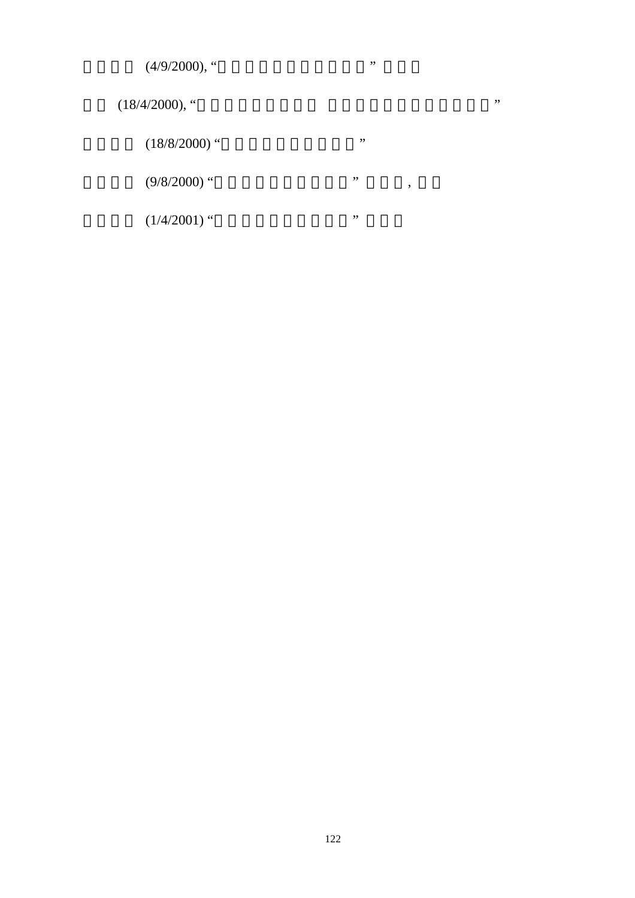| $(4/9/2000)$ , "  | ,,      |     |
|-------------------|---------|-----|
| $(18/4/2000)$ , " |         | , , |
| $(18/8/2000)$ "   | , ,     |     |
| $(9/8/2000)$ "    | ,,<br>, |     |
| $(1/4/2001)$ "    | ,,      |     |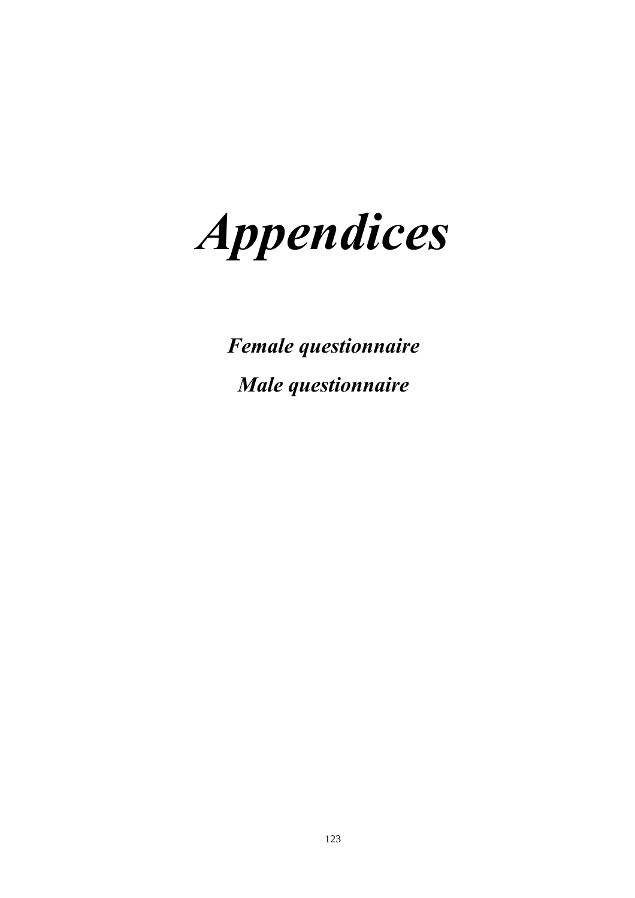*Appendices*

 *Female questionnaire Male questionnaire*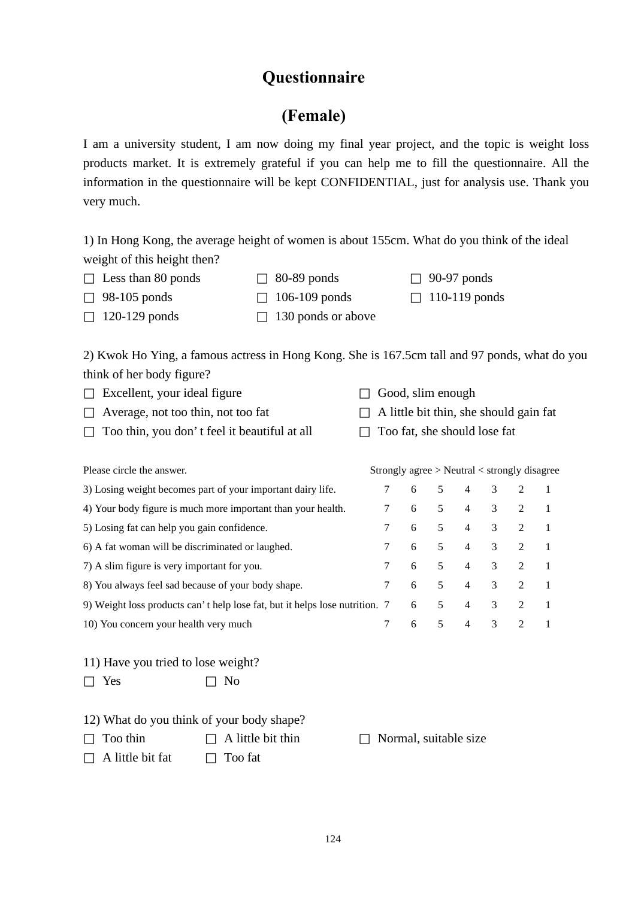## **Questionnaire**

# **(Female)**

I am a university student, I am now doing my final year project, and the topic is weight loss products market. It is extremely grateful if you can help me to fill the questionnaire. All the information in the questionnaire will be kept CONFIDENTIAL, just for analysis use. Thank you very much.

1) In Hong Kong, the average height of women is about 155cm. What do you think of the ideal weight of this height then?

| Less than 80 ponds | $80-89$ ponds      | $90-97$ ponds   |
|--------------------|--------------------|-----------------|
| 98-105 ponds       | $106-109$ ponds    | $110-119$ ponds |
| $120-129$ ponds    | 130 ponds or above |                 |

2) Kwok Ho Ying, a famous actress in Hong Kong. She is 167.5cm tall and 97 ponds, what do you think of her body figure?

| Excellent, your ideal figure                 | Good, slim enough                      |
|----------------------------------------------|----------------------------------------|
| Average, not too thin, not too fat           | A little bit thin, she should gain fat |
| Too thin, you don't feel it beautiful at all | Too fat, she should lose fat           |

| Please circle the answer.                                                   | Strongly agree $>$ Neutral $<$ strongly disagree |   |    |                |               |                             |  |
|-----------------------------------------------------------------------------|--------------------------------------------------|---|----|----------------|---------------|-----------------------------|--|
| 3) Losing weight becomes part of your important dairy life.                 |                                                  | 6 | 5  | $\overline{4}$ | 3             |                             |  |
| 4) Your body figure is much more important than your health.                | 7                                                | 6 | 5  | $\overline{4}$ | 3             | $\mathcal{L}$               |  |
| 5) Losing fat can help you gain confidence.                                 | 7                                                | 6 | 5  | $\overline{4}$ | 3             | $\mathcal{L}$               |  |
| 6) A fat woman will be discriminated or laughed.                            | 7                                                | 6 | 5  | $\overline{4}$ | 3             | $2^{\circ}$                 |  |
| 7) A slim figure is very important for you.                                 | $7\phantom{0}$                                   | 6 | .5 | $\overline{4}$ | 3             | 2                           |  |
| 8) You always feel sad because of your body shape.                          | 7                                                | 6 | 5  | $\overline{4}$ | $\mathcal{E}$ | 2                           |  |
| 9) Weight loss products can't help lose fat, but it helps lose nutrition. 7 |                                                  | 6 | 5  | $\overline{4}$ | 3             | $2^{\circ}$                 |  |
| 10) You concern your health very much                                       |                                                  | 6 | 5  | $\overline{4}$ | $\mathcal{R}$ | $\mathcal{D}_{\mathcal{L}}$ |  |

11) Have you tried to lose weight? Yes No

|                  | 12) What do you think of your body shape? |                       |
|------------------|-------------------------------------------|-----------------------|
| Too thin         | A little bit thin                         | Normal, suitable size |
| A little bit fat | Too fat                                   |                       |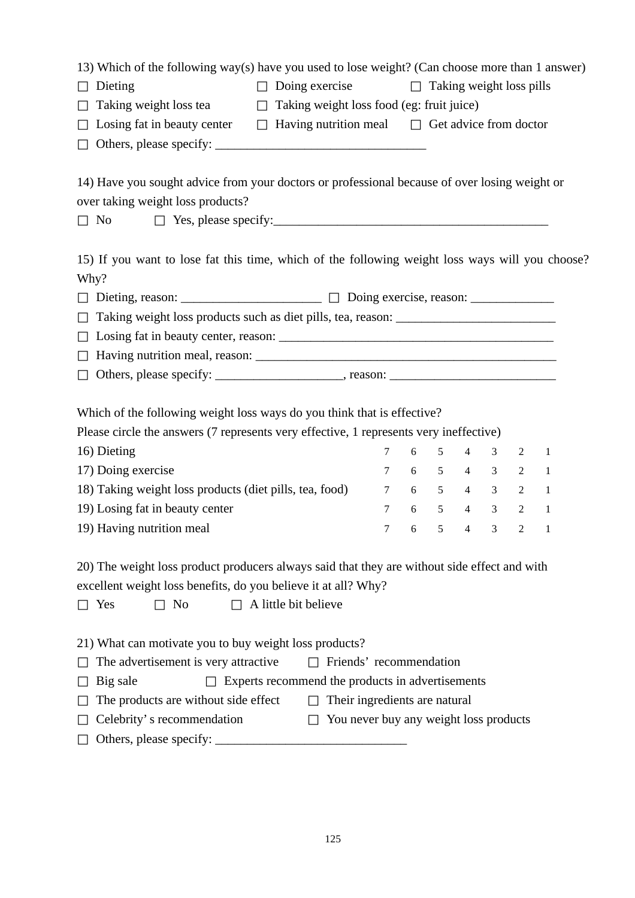|                             |                                           | 13) Which of the following way(s) have you used to lose weight? (Can choose more than 1 answer) |
|-----------------------------|-------------------------------------------|-------------------------------------------------------------------------------------------------|
| Dieting                     | Doing exercise                            | Taking weight loss pills                                                                        |
| Taking weight loss tea      | Taking weight loss food (eg: fruit juice) |                                                                                                 |
| Losing fat in beauty center | Having nutrition meal                     | Get advice from doctor                                                                          |
| Others, please specify:     |                                           |                                                                                                 |

14) Have you sought advice from your doctors or professional because of over losing weight or over taking weight loss products?

No Yes, please specify:\_\_\_\_\_\_\_\_\_\_\_\_\_\_\_\_\_\_\_\_\_\_\_\_\_\_\_\_\_\_\_\_\_\_\_\_\_\_\_\_\_\_\_

15) If you want to lose fat this time, which of the following weight loss ways will you choose? Why?

| Taking weight loss products such as diet pills, tea, reason: ____________________ |  |
|-----------------------------------------------------------------------------------|--|
|                                                                                   |  |
|                                                                                   |  |
|                                                                                   |  |

Which of the following weight loss ways do you think that is effective?

Please circle the answers (7 represents very effective, 1 represents very ineffective)

| 16) Dieting                                             |  |  | 7 6 5 4 3 2 1 |  |
|---------------------------------------------------------|--|--|---------------|--|
| 17) Doing exercise                                      |  |  | 7 6 5 4 3 2 1 |  |
| 18) Taking weight loss products (diet pills, tea, food) |  |  | 7 6 5 4 3 2 1 |  |
| 19) Losing fat in beauty center                         |  |  | 7 6 5 4 3 2 1 |  |
| 19) Having nutrition meal                               |  |  | 7 6 5 4 3 2 1 |  |

20) The weight loss product producers always said that they are without side effect and with excellent weight loss benefits, do you believe it at all? Why?

Yes No A little bit believe

21) What can motivate you to buy weight loss products?

| The advertisement is very attractive | Friends' recommendation                          |
|--------------------------------------|--------------------------------------------------|
| Big sale                             | Experts recommend the products in advertisements |
| The products are without side effect | Their ingredients are natural                    |
| Celebrity's recommendation           | You never buy any weight loss products           |
| Others, please specify:              |                                                  |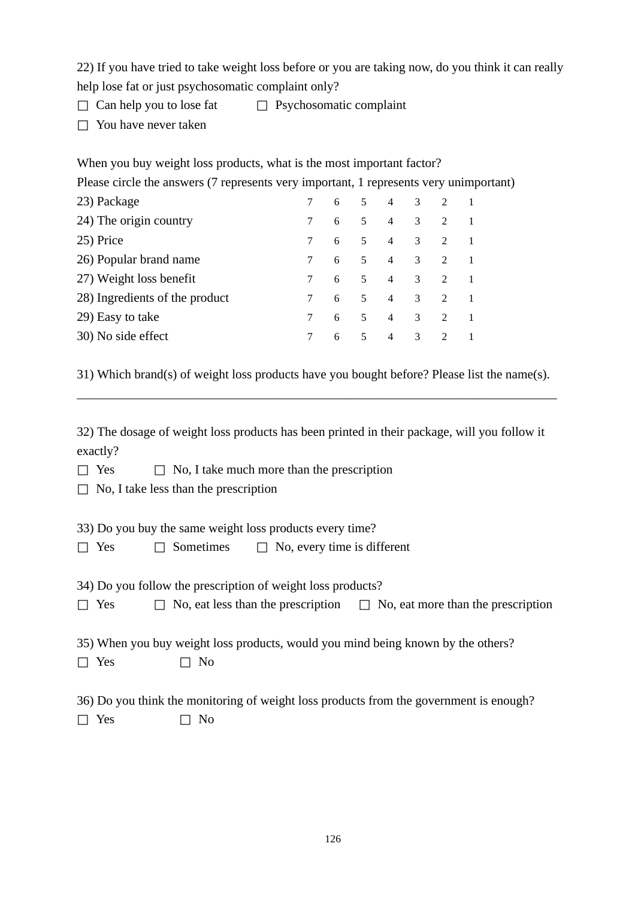22) If you have tried to take weight loss before or you are taking now, do you think it can really help lose fat or just psychosomatic complaint only?

Can help you to lose fat Psychosomatic complaint You have never taken

When you buy weight loss products, what is the most important factor? Please circle the answers (7 represents very important, 1 represents very unimportant) 23) Package 7 6 5 4 3 2 1 24) The origin country  $\begin{array}{cccccc} 7 & 6 & 5 & 4 & 3 & 2 & 1 \end{array}$ 25) Price 7 6 5 4 3 2 1 26) Popular brand name 7 6 5 4 3 2 1 27) Weight loss benefit  $\begin{array}{ccccccccc} & 7 & 6 & 5 & 4 & 3 & 2 & 1 \end{array}$ 28) Ingredients of the product  $\begin{array}{cccccc} 7 & 6 & 5 & 4 & 3 & 2 & 1 \end{array}$ 29) Easy to take  $\begin{array}{ccccccccc} & 7 & 6 & 5 & 4 & 3 & 2 & 1 \end{array}$ 30) No side effect 7 6 5 4 3 2 1

31) Which brand(s) of weight loss products have you bought before? Please list the name(s). \_\_\_\_\_\_\_\_\_\_\_\_\_\_\_\_\_\_\_\_\_\_\_\_\_\_\_\_\_\_\_\_\_\_\_\_\_\_\_\_\_\_\_\_\_\_\_\_\_\_\_\_\_\_\_\_\_\_\_\_\_\_\_\_\_\_\_\_\_\_\_\_\_\_\_

32) The dosage of weight loss products has been printed in their package, will you follow it exactly?

Yes No, I take much more than the prescription No, I take less than the prescription

33) Do you buy the same weight loss products every time? Yes Sometimes No, every time is different

34) Do you follow the prescription of weight loss products? Yes No, eat less than the prescription No, eat more than the prescription

35) When you buy weight loss products, would you mind being known by the others? Yes No

36) Do you think the monitoring of weight loss products from the government is enough? Yes No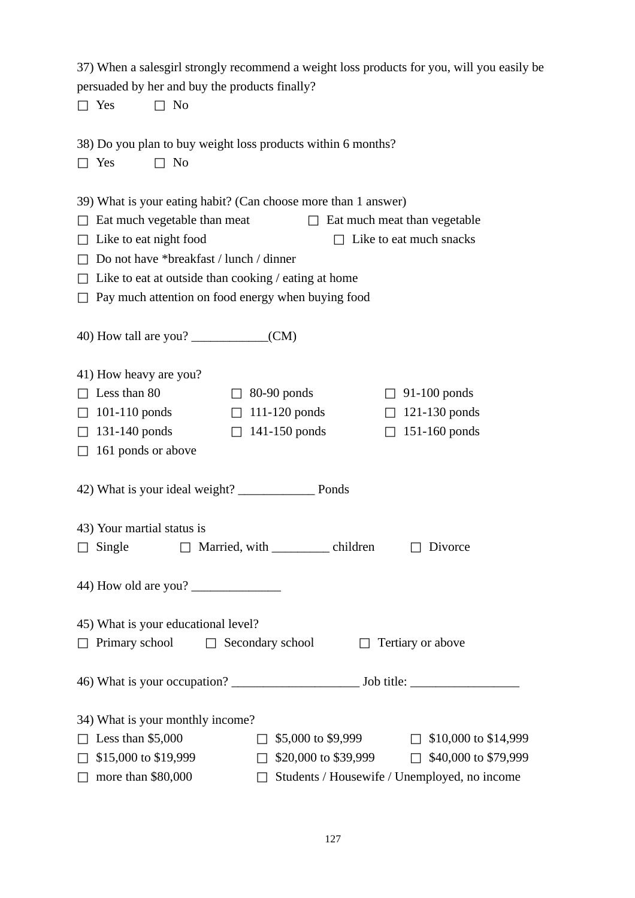37) When a salesgirl strongly recommend a weight loss products for you, will you easily be persuaded by her and buy the products finally?

Yes No

- 38) Do you plan to buy weight loss products within 6 months? Yes No
- 39) What is your eating habit? (Can choose more than 1 answer) Eat much vegetable than meat Eat much meat than vegetable Like to eat night food Like to eat much snacks Do not have \*breakfast / lunch / dinner Like to eat at outside than cooking / eating at home Pay much attention on food energy when buying food

40) How tall are you? \_\_\_\_\_\_\_\_\_\_\_\_(CM)

41) How heavy are you?

| Less than 80       | $80-90$ ponds     | $91-100$ ponds  |
|--------------------|-------------------|-----------------|
| $101-110$ ponds    | $111 - 120$ ponds | $121-130$ ponds |
| $131-140$ ponds    | $141-150$ ponds   | $151-160$ ponds |
| 161 ponds or above |                   |                 |

42) What is your ideal weight? \_\_\_\_\_\_\_\_\_\_\_\_ Ponds

- 43) Your martial status is Single Married, with children Divorce
- 44) How old are you? \_\_\_\_\_\_\_\_\_\_\_\_\_\_
- 45) What is your educational level? Primary school Secondary school Tertiary or above
- 46) What is your occupation? \_\_\_\_\_\_\_\_\_\_\_\_\_\_\_\_\_\_\_\_ Job title: \_\_\_\_\_\_\_\_\_\_\_\_\_\_\_\_\_
- 34) What is your monthly income?

| Less than $$5,000$   | \$5,000 to \$9,999                           | \$10,000 to \$14,999 |
|----------------------|----------------------------------------------|----------------------|
| \$15,000 to \$19,999 | \$20,000 to \$39,999                         | \$40,000 to \$79,999 |
| more than $$80,000$  | Students / Housewife / Unemployed, no income |                      |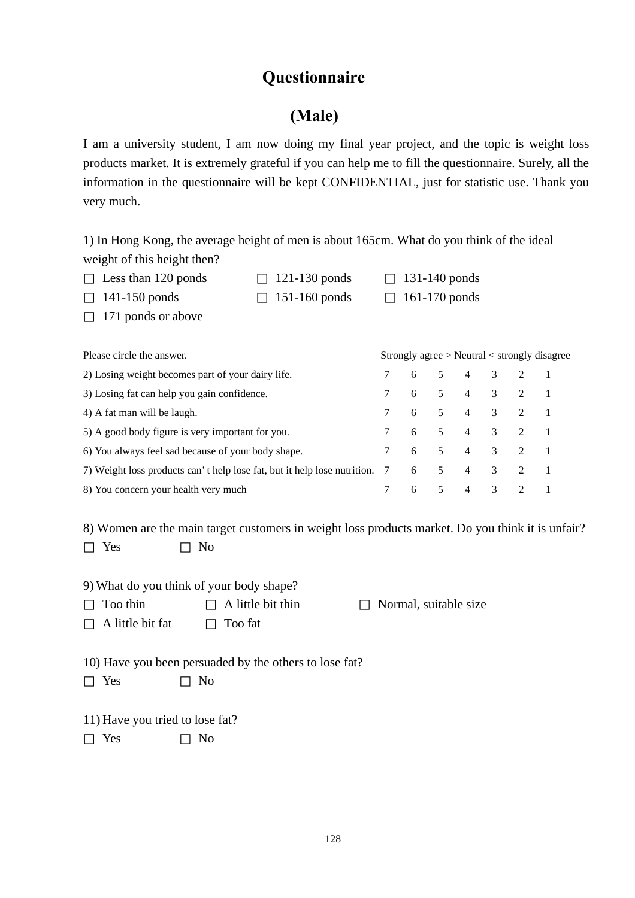## **Questionnaire**

## **(Male)**

I am a university student, I am now doing my final year project, and the topic is weight loss products market. It is extremely grateful if you can help me to fill the questionnaire. Surely, all the information in the questionnaire will be kept CONFIDENTIAL, just for statistic use. Thank you very much.

1) In Hong Kong, the average height of men is about 165cm. What do you think of the ideal weight of this height then?

| Less than 120 ponds | $121-130$ ponds | $131-140$ ponds |
|---------------------|-----------------|-----------------|
| $141-150$ ponds     | $151-160$ ponds | $161-170$ ponds |
| 171 ponds or above  |                 |                 |

| Please circle the answer.                                                  |  |               |  | Strongly agree $>$ Neutral $<$ strongly disagree |  |
|----------------------------------------------------------------------------|--|---------------|--|--------------------------------------------------|--|
| 2) Losing weight becomes part of your dairy life.                          |  | 7 6 5 4 3 2 1 |  |                                                  |  |
| 3) Losing fat can help you gain confidence.                                |  | 7 6 5 4 3 2 1 |  |                                                  |  |
| 4) A fat man will be laugh.                                                |  | 7 6 5 4 3 2 1 |  |                                                  |  |
| 5) A good body figure is very important for you.                           |  | 7 6 5 4 3 2 1 |  |                                                  |  |
| 6) You always feel sad because of your body shape.                         |  | 7 6 5 4 3 2 1 |  |                                                  |  |
| 7) Weight loss products can't help lose fat, but it help lose nutrition. 7 |  | 6 5 4 3 2 1   |  |                                                  |  |
| 8) You concern your health very much                                       |  | 6 5 4 3 2     |  |                                                  |  |

8) Women are the main target customers in weight loss products market. Do you think it is unfair? Yes No

| 9) What do you think of your body shape? |                   |                       |
|------------------------------------------|-------------------|-----------------------|
| Too thin                                 | A little bit thin | Normal, suitable size |
| A little bit fat                         | Too fat           |                       |

10) Have you been persuaded by the others to lose fat? Yes No

11) Have you tried to lose fat? Yes No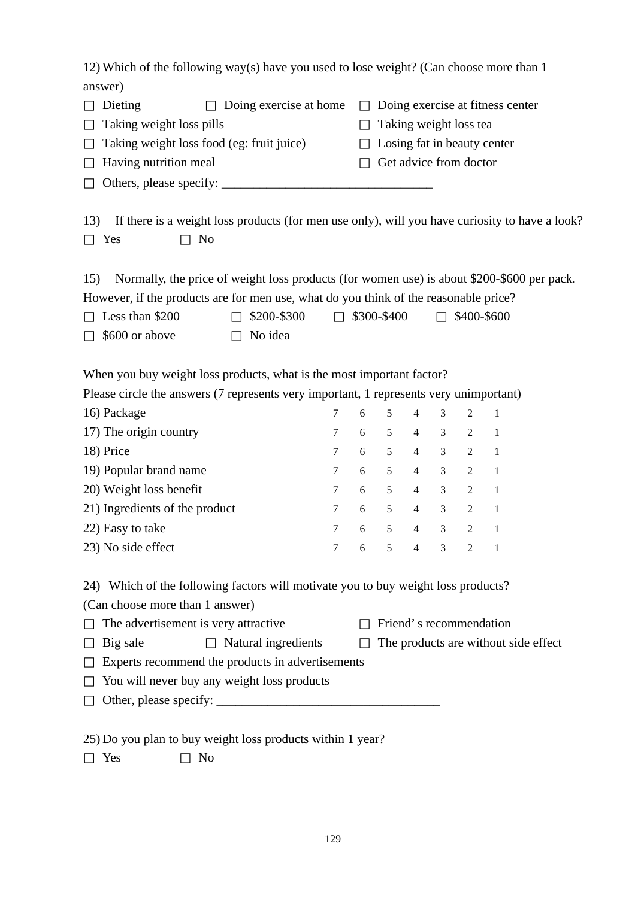12) Which of the following way(s) have you used to lose weight? (Can choose more than 1 answer)

| Dieting                                   | Doing exercise at home | Doing exercise at fitness center |  |  |  |
|-------------------------------------------|------------------------|----------------------------------|--|--|--|
| Taking weight loss pills                  | Taking weight loss tea |                                  |  |  |  |
| Taking weight loss food (eg: fruit juice) |                        | Losing fat in beauty center      |  |  |  |
| Having nutrition meal                     |                        | Get advice from doctor           |  |  |  |
| Others, please specify:                   |                        |                                  |  |  |  |

13) If there is a weight loss products (for men use only), will you have curiosity to have a look? Yes No

15) Normally, the price of weight loss products (for women use) is about \$200-\$600 per pack. However, if the products are for men use, what do you think of the reasonable price?

| Less than \$200 | \$200-\$300 | \$300-\$400 | \$400-\$600 |
|-----------------|-------------|-------------|-------------|
| \$600 or above  | No idea     |             |             |

When you buy weight loss products, what is the most important factor?

Please circle the answers (7 represents very important, 1 represents very unimportant)

| 16) Package                    |             |     |     | 7 6 5 4 3 2 1  |                         |                |  |
|--------------------------------|-------------|-----|-----|----------------|-------------------------|----------------|--|
| 17) The origin country         | $7^{\circ}$ | 6   | 5   | $\overline{4}$ |                         | $3 \t 2 \t 1$  |  |
| 18) Price                      | 7           | 6 5 |     | 4 3 2 1        |                         |                |  |
| 19) Popular brand name         | 7           | 6 5 |     | 4 3 2 1        |                         |                |  |
| 20) Weight loss benefit        | 7           | 6 5 |     | 4 3 2 1        |                         |                |  |
| 21) Ingredients of the product | 7           | 6 — | 5   | 4 3 2 1        |                         |                |  |
| 22) Easy to take               |             |     | 6 5 | 4 3 2 1        |                         |                |  |
| 23) No side effect             |             | 6 - | 5   | $\overline{4}$ | $\overline{\mathbf{3}}$ | $\overline{2}$ |  |

24) Which of the following factors will motivate you to buy weight loss products?

(Can choose more than 1 answer)

The advertisement is very attractive Friend's recommendation Big sale Natural ingredients The products are without side effect Experts recommend the products in advertisements You will never buy any weight loss products Other, please specify: \_\_\_\_\_\_\_\_\_\_\_\_\_\_\_\_\_\_\_\_\_\_\_\_\_\_\_\_\_\_\_\_\_\_\_

25) Do you plan to buy weight loss products within 1 year?

Yes No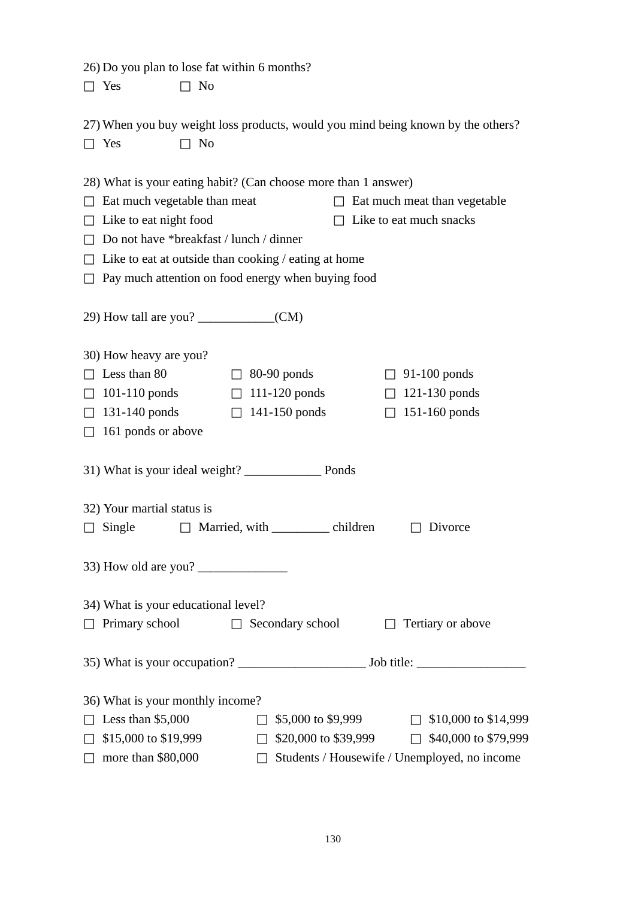|      | 26) Do you plan to lose fat within 6 months? |  |
|------|----------------------------------------------|--|
| Yes. | No.                                          |  |

| 27) When you buy weight loss products, would you mind being known by the others? |     |  |  |  |  |
|----------------------------------------------------------------------------------|-----|--|--|--|--|
| Yes                                                                              | No. |  |  |  |  |

| 28) What is your eating habit? (Can choose more than 1 answer) |                                                      |                                              |  |  |  |
|----------------------------------------------------------------|------------------------------------------------------|----------------------------------------------|--|--|--|
| Eat much vegetable than meat                                   |                                                      | Eat much meat than vegetable                 |  |  |  |
| Like to eat night food                                         |                                                      | Like to eat much snacks                      |  |  |  |
| Do not have *breakfast / lunch / dinner                        |                                                      |                                              |  |  |  |
|                                                                | Like to eat at outside than cooking / eating at home |                                              |  |  |  |
|                                                                | Pay much attention on food energy when buying food   |                                              |  |  |  |
|                                                                |                                                      |                                              |  |  |  |
| 30) How heavy are you?                                         |                                                      |                                              |  |  |  |
| Less than 80                                                   | $80-90$ ponds                                        | $91-100$ ponds                               |  |  |  |
| $101-110$ ponds                                                | $111-120$ ponds                                      | $121-130$ ponds                              |  |  |  |
| $131-140$ ponds                                                | 141-150 ponds                                        | 151-160 ponds                                |  |  |  |
| 161 ponds or above                                             |                                                      |                                              |  |  |  |
| 31) What is your ideal weight? Ponds                           |                                                      |                                              |  |  |  |
| 32) Your martial status is                                     |                                                      |                                              |  |  |  |
| Single                                                         | Married, with ______________ children                | Divorce                                      |  |  |  |
| 33) How old are you?                                           |                                                      |                                              |  |  |  |
| 34) What is your educational level?                            |                                                      |                                              |  |  |  |
| Primary school                                                 | Secondary school                                     | Tertiary or above                            |  |  |  |
|                                                                |                                                      |                                              |  |  |  |
| 36) What is your monthly income?                               |                                                      |                                              |  |  |  |
| Less than $$5,000$                                             | \$5,000 to \$9,999                                   | \$10,000 to \$14,999                         |  |  |  |
| \$15,000 to \$19,999                                           | \$20,000 to \$39,999                                 | \$40,000 to \$79,999                         |  |  |  |
| more than \$80,000                                             |                                                      | Students / Housewife / Unemployed, no income |  |  |  |